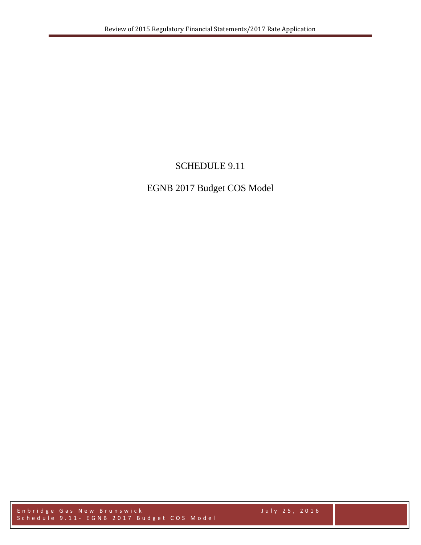# SCHEDULE 9.11

# EGNB 2017 Budget COS Model

Enbridge Gas New Brunswick July 2 5 , 2016 Schedule 9.11 - EGNB 2017 Budget COS Model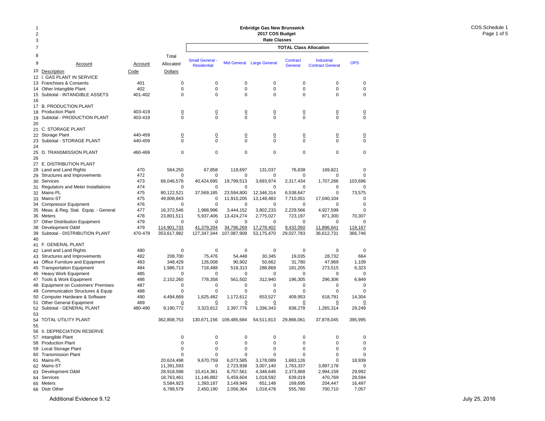| -1<br>$\overline{2}$<br>3 |                                                                      |                    |                               |                                              |                               | <b>Enbridge Gas New Brunswick</b><br>2017 COS Budget<br><b>Rate Classes</b> |                               |                                       |                               |
|---------------------------|----------------------------------------------------------------------|--------------------|-------------------------------|----------------------------------------------|-------------------------------|-----------------------------------------------------------------------------|-------------------------------|---------------------------------------|-------------------------------|
| 7                         |                                                                      |                    |                               |                                              |                               |                                                                             | <b>TOTAL Class Allocation</b> |                                       |                               |
| 8<br>9<br>10              | Account<br>Description                                               | Account<br>Code    | Total<br>Allocated<br>Dollars | <b>Small General -</b><br><b>Residential</b> |                               | Mid General Large General                                                   | Contract<br>General           | Industrial<br><b>Contract General</b> | <b>OPS</b>                    |
| 12                        | <b>GAS PLANT IN SERVICE</b><br>Ι.                                    |                    |                               |                                              |                               |                                                                             |                               |                                       |                               |
|                           | 13 Franchises & Consents                                             | 401                | 0                             | 0                                            | 0                             | 0                                                                           | 0                             | 0                                     | $\mathbf 0$                   |
|                           | 14 Other Intangible Plant                                            | 402                | 0<br>$\mathbf 0$              | 0<br>0                                       | 0<br>$\mathbf 0$              | 0<br>$\mathbf 0$                                                            | 0<br>$\mathbf 0$              | 0<br>$\mathbf 0$                      | 0                             |
| 15<br>16                  | Subtotal - INTANGIBLE ASSETS                                         | 401-402            |                               |                                              |                               |                                                                             |                               |                                       | 0                             |
|                           | 17 B. PRODUCTION PLANT<br>18 Production Plant                        | 403-419            | $\overline{0}$                | <u>0</u>                                     | $\overline{0}$                | $\overline{0}$                                                              | $\overline{0}$                | $\overline{0}$                        | $\overline{0}$                |
| 19<br>20                  | Subtotal - PRODUCTION PLANT                                          | 403-419            | $\Omega$                      | $\Omega$                                     | $\Omega$                      | $\Omega$                                                                    | $\Omega$                      | $\Omega$                              | $\Omega$                      |
|                           | 21 C. STORAGE PLANT                                                  |                    |                               |                                              |                               |                                                                             |                               |                                       |                               |
| 23                        | 22 Storage Plant<br>Subtotal - STORAGE PLANT                         | 440-459<br>440-459 | $\overline{0}$<br>$\mathbf 0$ | <u>0</u><br>$\Omega$                         | $\overline{0}$<br>$\mathbf 0$ | $\overline{0}$<br>$\mathbf 0$                                               | $\overline{0}$<br>$\mathbf 0$ | $\overline{0}$<br>$\Omega$            | $\overline{0}$<br>$\mathbf 0$ |
| 24<br>25                  | D. TRANSMISSION PLANT                                                | 460-469            | $\mathbf 0$                   | 0                                            | $\mathbf 0$                   | $\mathbf 0$                                                                 | $\mathbf 0$                   | $\mathbf 0$                           | $\mathbf 0$                   |
| 26                        | 27 E. DISTRIBUTION PLANT                                             |                    |                               |                                              |                               |                                                                             |                               |                                       |                               |
|                           | 28 Land and Land Rights                                              | 470                | 564,250                       | 67,858                                       | 118.697                       | 131.037                                                                     | 76,838                        | 169,821                               | $\mathbf 0$                   |
|                           | 29 Structures and Improvements                                       | 472                | $\mathbf 0$                   | 0                                            | 0                             | 0                                                                           | 0                             | 0                                     | $\Omega$                      |
|                           | 30 Services                                                          | 473                | 68,046,578                    | 40,424,695                                   | 19,799,513                    | 3,693,974                                                                   | 2,317,434                     | 1,707,266                             | 103,696                       |
|                           | 31 Regulators and Meter Installations                                | 474                | $\mathbf 0$                   | 0                                            | 0                             | 0                                                                           | 0                             | 0                                     | 0                             |
|                           | 32 Mains-PL                                                          | 475                | 80.122.521                    | 37,569,185                                   | 23,594,800                    | 12,346,314                                                                  | 6,538,647                     | $\mathbf 0$                           | 73,575                        |
|                           | 33 Mains-ST                                                          | 475                | 49,808,843                    | 0                                            | 11,910,205                    | 13,148,483                                                                  | 7,710,051                     | 17,040,104                            | $\mathbf 0$                   |
|                           | 34 Compressor Equipment                                              | 476                | $\mathbf 0$                   | 0                                            | 0                             | 0                                                                           | 0                             | 0                                     | 0                             |
|                           | 35 Meas. & Reg. Stat. Equip. - General                               | 477                | 16,372,546                    | 1,968,996                                    | 3.444.152                     | 3,802,233                                                                   | 2,229,566                     | 4,927,599                             | $\mathbf 0$                   |
|                           | 36 Meters                                                            | 478<br>479         | 23,801,511                    | 5,937,406                                    | 13,424,274                    | 2,775,027                                                                   | 723,197                       | 871,300                               | 70,307                        |
| 38                        | 37 Other Distribution Equipment<br>Development O&M                   | 479                | 0<br>114,901,733              | 0<br>41,379,204                              | 0<br>34,796,269               | 0<br>17,278,402                                                             | 0<br>9,432,050                | 0<br>11,896,641                       | $\mathbf 0$<br>119,167        |
| 39<br>40                  | Subtotal - DISTRIBUTION PLANT                                        | 470-479            | 353,617,982                   | 127,347,344                                  | 107,087,909                   | 53,175,470                                                                  | 29,027,783                    | 36,612,731                            | 366,746                       |
|                           | 41 F. GENERAL PLANT                                                  |                    |                               |                                              |                               |                                                                             |                               |                                       |                               |
|                           | 42 Land and Land Rights                                              | 480                | $\mathbf 0$                   | 0                                            | $\mathbf 0$                   | 0                                                                           | $\mathbf 0$                   | $\mathbf 0$                           | $\mathbf 0$                   |
|                           | 43 Structures and Improvements                                       | 482                | 208,700                       | 75,476                                       | 54,448                        | 30,345                                                                      | 19,035                        | 28,732                                | 664                           |
|                           | 44 Office Furniture and Equipment                                    | 483                | 348,429                       | 126,008                                      | 90,902                        | 50,662                                                                      | 31,780                        | 47,969                                | 1,109                         |
| 45                        | <b>Transportation Equipment</b>                                      | 484                | 1,986,713                     | 718,488                                      | 518,313                       | 288,869                                                                     | 181,205                       | 273,515                               | 6,323                         |
| 46                        | <b>Heavy Work Equipment</b>                                          | 485                | $\mathbf 0$                   | 0                                            | 0                             | 0                                                                           | 0                             | 0                                     | 0                             |
| 48                        | 47 Tools & Work Equipment<br><b>Equipment on Customers' Premises</b> | 486<br>487         | 2,152,260<br>$\mathbf 0$      | 778,358<br>0                                 | 561,502<br>0                  | 312,940<br>0                                                                | 196,305<br>0                  | 296,306<br>0                          | 6,849<br>$\mathbf 0$          |
| 49                        | <b>Communication Structures &amp; Equip</b>                          | 488                | $\mathbf 0$                   | 0                                            | 0                             | 0                                                                           | 0                             | 0                                     | 0                             |
|                           | 50 Computer Hardware & Software                                      | 490                | 4,494,669                     | 1.625.482                                    | 1,172,612                     | 653,527                                                                     | 409,953                       | 618,791                               | 14,304                        |
|                           | 51 Other General Equipment                                           | 489                | $\overline{0}$                | <u>0</u>                                     | <u>0</u>                      | <u>0</u>                                                                    | <u>0</u>                      | $\Omega$                              | <u>0</u>                      |
| 52<br>53                  | Subtotal - GENERAL PLANT                                             | 480-490            | 9,190,772                     | 3,323,812                                    | 2,397,776                     | 1,336,343                                                                   | 838,278                       | 1,265,314                             | 29,249                        |
| 55                        | 54 TOTAL UTILITY PLANT                                               |                    | 362,808,753                   | 130,671,156                                  | 109,485,684                   | 54,511,813                                                                  | 29.866.061                    | 37,878,045                            | 395,995                       |
|                           | 56 II. DEPRECIATION RESERVE                                          |                    |                               |                                              |                               |                                                                             |                               |                                       |                               |
|                           | 57 Intangible Plant                                                  |                    | 0                             | 0                                            | 0                             | 0                                                                           | 0                             | $\pmb{0}$                             | 0                             |
|                           | 58 Production Plant                                                  |                    | 0                             | 0                                            | $\mathbf 0$                   | 0                                                                           | 0                             | $\mathbf 0$                           | 0                             |
|                           | 59 Local Storage Plant                                               |                    | 0                             | 0                                            | 0                             | 0                                                                           | 0                             | 0                                     | 0                             |
|                           | 60 Transmission Plant                                                |                    | 0                             | 0                                            | 0                             | 0                                                                           | 0                             | 0                                     | $\mathbf 0$                   |
|                           | 61 Mains-PL                                                          |                    | 20,624,498<br>11,391,593      | 9,670,759                                    | 6,073,585                     | 3,178,089                                                                   | 1,683,126                     | 0                                     | 18,939                        |
|                           | 62 Mains-ST<br>63 Development O&M                                    |                    | 28,918,588                    | 0<br>10,414,361                              | 2,723,938<br>8,757,561        | 3,007,140<br>4,348,646                                                      | 1,763,337<br>2,373,868        | 3,897,178<br>2,994,159                | 0<br>29,992                   |
|                           | 64 Services                                                          |                    | 18,763,461                    | 11,146,882                                   | 5,459,604                     | 1,018,592                                                                   | 639,019                       | 470,769                               | 28,594                        |
|                           | 65 Meters                                                            |                    | 5,584,923                     | 1,393,187                                    | 3,149,949                     | 651,148                                                                     | 169,695                       | 204,447                               | 16,497                        |
|                           | 66 Distr Other                                                       |                    | 6,788,579                     | 2,450,190                                    | 2,056,364                     | 1,018,478                                                                   | 555,780                       | 700,710                               | 7,057                         |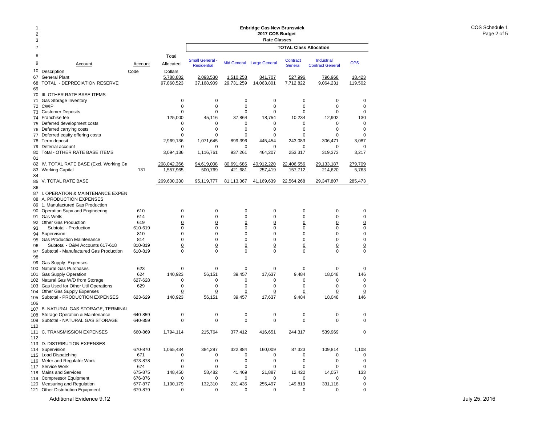#### 12378 Total9 Account Account Allocated10 <u>Description</u> and Code Dollars Code Dollars 67General Plant 6,788,882 68TOTAL - DEPRECIATION RESERVE 97,860,523 69 70 III. OTHER RATE BASE ITEMS 71 Gas Storage Inventory 0 72 CWIP 0 73 Customer Deposits 0 74 Franchise fee 125,000 75 Deferred development costs 0 76 Deferred carrying costs 0 77 Deferred equity offering costs 0 78 Term deposit 2,969,136 79 Deferral account 0 80 Total - OTHER RATE BASE ITEMS 3,094,136 8182 IV. TOTAL RATE BASE (Excl. Working Ca 268,042,366 83 Working Capital 131 1,557,965 8485 V. TOTAL RATE BASE 269,600,330 86 87 I. OPERATION & MAINTENANCE EXPEN 88 A. PRODUCTION EXPENSES 89 1. Manufactured Gas Production 90 Operation Supv and Engineering 610 0 91 Gas Wells 614 0 92 Other Gas Production 619 0 93 Subtotal - Production 610-619 0 94 Supervision 810 0 95Gas Production Maintenance 814 814 0 96 Subtotal - O&M Accounts 617-618 810-819  $\frac{0}{0}$ 97 Subtotal - Manufactured Gas Production 610-819 0 9899 Gas Supply Expenses 100Natural Gas Purchases 623 by a control 623 control of the Material of the Material of the Materia of the Materia of the Materia of the Materia of the Materia of the Materia of the Materia of the Materia of the Materia of t 101Gas Supply Operation 624 140,923<br>
Natural Gas W/D from Storage 627-628 627-628 102Natural Gas W/D from Storage 627-628 0 103 Gas Used for Other Util Operations 629 0 104 Other Gas Supply Expenses **000 Other Gas** Supply Expenses 105 Subtotal - PRODUCTION EXPENSES 623-629 140,923 106107 B. NATURAL GAS STORAGE, TERMINAL 108Storage Operation & Maintenance 640-859 0 109 Subtotal - NATURAL GAS STORAGE 640-859 0 110111 C. TRANSMISSION EXPENSES 660-869 1,794,114 112113 D. DISTRIBUTION EXPENSES 114 Supervision 670-870 1,065,434 115 Load Dispatching 671 0 116 Meter and Regulator Work 673-878 0 117 Service Work 674 0 118 Mains and Services 675-875 148,450 119 Compressor Equipment 676-876 0 120 Measuring and Regulation 677-877 1,100,179 **TOTAL Class AllocationEnbridge Gas New Brunswick 2017 COS Budget Rate Classes** Industrial Contract GeneralSmall General - Mid General Large General Contract Industrial OPS<br>Residential Mid General Large General General Contract General 2,093,530 1,510,258 841,707 527,996 796,968 18,423 37,168,909 29,731,259 14,063,801 7,712,822 9,064,231 119,502 0 0 0 0 000 0 0 0 00 $\mathsf 0$ 0 0 0 0 0045,116 37,864 18,754 10,234 12,902 130 0 0 0 0 000 0 0 0 000 0 0 0 003.087 1,071,645 899,396 445,454 243,083 306,471 3,087  $\Omega$  0 0 0 0 0 1,116,761 937,261 464,207 253,317 319,373 3,217 94,619,008 80,691,686 40,912,220 22,406,556 29,133,187 279,709 500,769 421,681 257,419 157,712 214,620 5,763 95,119,777 81,113,367 41,169,639 22,564,268 29,347,807 285,473 0 0 0 0 000 0 0 0 00 $\mathbf 0$ 0 0 0 0 0 0 0 0 0 0 000 0 0 0 000 0 0 0 0 0 0 0 0 0 0 0 0 0 0 0 000 0 0 0 0056,151 39,457 17,637 9,484 18,048 146 0 0 0 0 000 0 0 0 000 0 0 0 0 0 56,151 39,457 17,637 9,484 18,048 146 0 0 0 0 000 0 0 0 00215,764 377,412 416,651 244,317 539,969 0 384,297 322,884 160,009 87,323 109,814 1,108 0 0 0 0 000 0 0 0 00 $\Omega$ 0 0 0 0 0058,482 41,469 21,887 12,422 14,057 133 0 0 0 0 00132,310 231,435 255,497 149,819 331,118 0

0 0 0 0 00

121 Other Distribution Equipment 679-879 00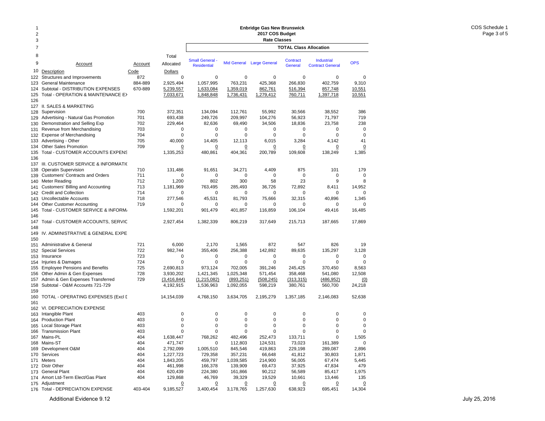#### 12378 Total9 Account Accountt Allocated 10Description Code Dollars 122Structures and Improvements 672 123 General Maintenance 884-889 2,925,494 124 Subtotal - DISTRIBUTION EXPENSES 670-889 5,239,557 125 Total - OPERATION & MAINTENANCE EX 7,033,671 126 127 II. SALES & MARKETING 128 Supervision 2700 372,351 129Advertising - Natural Gas Promotion 701 693,438 130 Demonstration and Selling Exp  $702$  229,464 131 Revenue from Merchandising 703 0 132 Expense of Merchandising 704 0 133 Advertising - Other 705 40,000 134 Other Sales Promotion 709 0 135 Total - CUSTOMER ACCOUNTS EXPENS 1,335,253 136137 III. CUSTOMER SERVICE & INFORMATIO 138 Operatin Supervision 138 Operatin Supervision 131,486 139 Customers' Contracts and Orders 711 0 140 Meter Reading 712 1,200 141 Customers' Billing and Accounting **713** 1,181,969 142 Credit and Collection 714 0 143 Uncollectable Accounts 718 277,546 144 Other Customer Accounting 719 0 145 Total - CUSTOMER SERVICE & INFORM. 1,592,201 146 147Total - CUSTOMER ACCOUNTS, SERVIC 2.927.454 148149 IV. ADMINISTRATIVE & GENERAL EXPE 150151 Administrative & General 151 721 6,000 152 Special Services 722 982,744 153 Insurance 723 0 154 Injuries & Damages 724 0 155 Employee Pensions and Benefits 725 2,690,813 156 Other Admin & Gen Expenses 728 3,930,202 157Admin & Gen Expenses Transferred 729 (3.416.844) 158 Subtotal - O&M Accounts 721-729 4,192,915 159160 TOTAL - OPERATING EXPENSES (Excl D 14,154,039 161 162 VI. DEPRECIATION EXPENSE 163 Intangible Plant 403 0 164 Production Plant 403 0 165 Local Storage Plant 165 2003 165 2004 165 2004 165 2004 165 2004 165 2005 166 2004 167 2005 168 2006 168 20 166 Transmission Plant 403 0 167 Mains-PL 404 1,638,447 168 Mains-ST 404 471,747 169 Development O&M 404 2,792,099 170 Services 404 1,227,723 171 Meters Meters 404 1,843,205 172 Distr Other 404 461,998 173 General Plant **173 General Plant** 173 General Plant 174 Amort Ltd-Term Elect/Gas Plant 404 129,868 175 Adjustment 0 176 Total - DEPRECIATION EXPENSE 403-404 9,185,527 **TOTAL Class AllocationEnbridge Gas New Brunswick 2017 COS Budget Rate Classes Industrial** Contract GeneralSmall General - Mid General Large General Contract - Industrial - OPS<br>Residential - Mid General Large General - General - Contract General 0 0 0 0 009.310 1,057,995 763,231 425,368 266,830 402,759 9,310 1,633,084 1,359,019 862,761 516,394 857,748 10,551 1,848,848 1,736,431 1,279,412 760,711 1,397,718 10,551 134,094 112,761 55,992 30,566 38,552 386 249,726 209,997 104,276 56,923 71,797 719 82,636 69,490 34,506 18,836 23,758 238 0 0 0 0 000 0 0 0 00 $41$ 14,405 12,113 6,015 3,284 4,142 41 0 0 0 0 0 0 480,861 404,361 200,789 109,608 138,249 1,385 91,651 34,271 4,409 875 101 179 0 0 0 0 00802 300 58 23 9 8763,495 285,493 36,726 72,892 8,411 14,952 0 0 0 0 001.345 45,531 81,793 75,666 32,315 40,896 1,345 0 0 0 0 00901,479 401,857 116,859 106,104 49,416 16,485 1,382,339 806,219 317,649 215,713 187,665 17,869 2,170 1,565 872 547 826 19 355,406 256,388 142,892 89,635 135,297 3,128 0 0 0 0 000 0 0 0 00973,124 702,005 391,246 245,425 370,450 8,563 1,421,345 1,025,348 571,454 358,468 541,080 12,508 (1,215,082) (893,251) (508,245) (313,315) (486,952) (0) 1,536,963 1,092,055 598,219 380,761 560,700 24,218 4,768,150 3,634,705 2,195,279 1,357,185 2,146,083 52,638 0 0 0 0 000 0 0 0 000 0 0 0 000 0 0 0 00768,262 482,496 252,473 133,711 0 1,505 0 112,803 124,531 73,023 161,389 0 1,005,510 845,546 419,863 229,198 289,087 2,896 729,358 357,231 66,648 41,812 30,803 1,871 459,797 1,039,585 214,900 56,005 67,474 5,445 166,378 139,909 69,473 37,925 47,834 479 224,380 161,866 90,212 56,589 85,417 1,975 46,769 39,329 19,529 10,661 13,446 135 0 0 0 0 0 0 3,400,454 3,178,765 1,257,630 638,923 695,451 14,304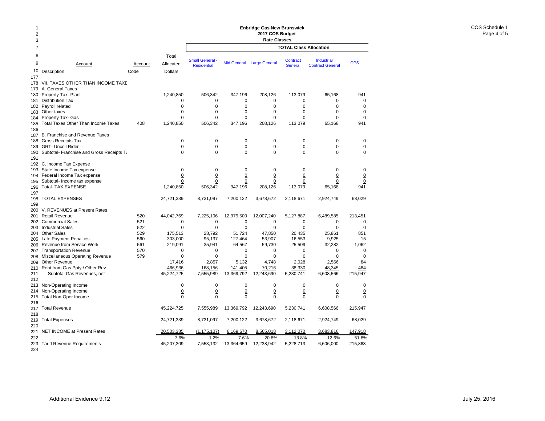#### 2378 Total9 Account Account Allocated10Description Code Dollars 177178 VII. TAXES OTHER THAN INCOME TAXE 179 A. General Taxes 180Property Tax- Plant 1,240,850 181Distribution Tax 0 182 Payroll related 0 183Other taxes 0 184 Property Tax- Gas <u>0</u> 185 Total Taxes Other Than Income Taxes 408 1,240,850 186 187 B. Franchise and Revenue Taxes 188 Gross Receipts Tax 0 189 GRT- Uncoll Rider 0 190 Subtotal- Franchise and Gross Receipts Ta metal of the 190 Subtotal-191 192 C. Income Tax Expense 193 State Income Tax expense 0 194 Federal Income Tax expense 0 195 Subtotal- Income tax expense 00 196 Total- TAX EXPENSE 1,240,850 197 198 TOTAL EXPENSES 24,721,339 199 200 V. REVENUES at Present Rates 201 Retail Revenue 520 44,042,769 202 Commercial Sales 521 0 203 Industrial Sales 622 and 100 million of the state of the state of the state of the state of the state of t 204 Other Sales 529 175,513 205 Late Payment Penalties 660 560 303,000 206 Revenue from Service Work  $561$  219,091 207 Transportation Revenue 570 0 208Miscellaneous Operating Revenue 579 by the 579 209 Other Revenue 17,416 210 Rent from Gas Ppty / Other Rev 466,936 211 Subtotal Gas Revenues, net 45,224,725 212213 Non-Operating Income 0 214 Non-Operating Income <u>0</u> 215 Total Non-Oper Income 0 216 217 Total Revenue 45,224,725 218219 Total Expenses 24,721,339 220221 NET INCOME at Present Rates 20,503,385 2222 and  $7.6\%$ 223 Tariff Revenue Requirements 45,207,309 **TOTAL Class Allocation2017 COS Budget Rate Classes** Industrial Contract GeneralSmall General - Mid General Large General Contract - Industrial - OPS<br>Residential - Mid General Large General - General - Contract General 506,342 347,196 208,126 113,079 65,168 941 0 0 0 0 000 0 0 0 000 0 0 0 000 0 0 0 0 0 506,342 347,196 208,126 113,079 65,168 941 0 0 0 0 000 0 0 0 0 0 0 0 0 0 000 0 0 0 000 0 0 0 0 0  $\Omega$  0 0 0 0 0 506,342 347,196 208,126 113,079 65,168 941 8,731,097 7,200,122 3,678,672 2,118,671 2,924,749 68,029 7,225,106 12,979,500 12,007,240 5,127,887 6,489,585 213,451 0 0 0 0 00 $\Omega$ 0 0 0 0 0028,792 51,724 47,850 20,435 25,861 851 95,137 127,464 53,907 16,553 9,925 15 35,941 64,567 59,730 25,509 32,282 1,062 0 0 0 0 000 0 0 0 002,857 5,132 4,748 2,028 2,566 84 168,156 141,405 70,216 38,330 48,345 484 7,555,989 13,369,792 12,243,690 5,230,741 6,608,566 215,947 0 0 0 0 00 $\Omega$  0 0 0 0 0 0 0 0 0 000 7,555,989 13,369,792 12,243,690 5,230,741 6,608,566 215,947 8,731,097 7,200,122 3,678,672 2,118,671 2,924,749 68,029 (1,175,107) 6,169,670 8,565,018 3,112,070 3,683,816 147,918 -1.2% 7.6% 20.8% 13.8% 12.6% 51.8%7,553,132 13,364,659 12,238,942 5,228,713 6,606,000 215,863

**Enbridge Gas New Brunswick** 

224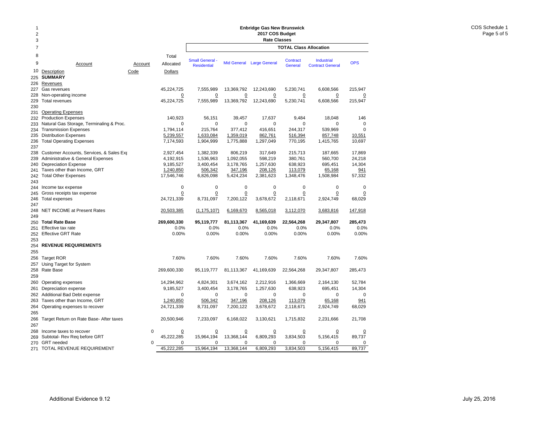## **Enbridge Gas New Brunswick 2017 COS Budget**

| 1<br>$\overline{2}$ |                                          |             |                    | <b>Enbridge Gas New Brunswick</b><br>2017 COS Budget<br><b>Rate Classes</b> |                |                           |                               |                         |                |  |  |  |
|---------------------|------------------------------------------|-------------|--------------------|-----------------------------------------------------------------------------|----------------|---------------------------|-------------------------------|-------------------------|----------------|--|--|--|
| 3<br>$\overline{7}$ |                                          |             |                    |                                                                             |                |                           |                               |                         |                |  |  |  |
|                     |                                          |             |                    |                                                                             |                |                           | <b>TOTAL Class Allocation</b> |                         |                |  |  |  |
| 8<br>9              | Account                                  | Account     | Total<br>Allocated | <b>Small General -</b>                                                      |                | Mid General Large General | Contract                      | <b>Industrial</b>       | <b>OPS</b>     |  |  |  |
| 10                  |                                          |             |                    | <b>Residential</b>                                                          |                |                           | General                       | <b>Contract General</b> |                |  |  |  |
| 225                 | Description<br><b>SUMMARY</b>            | Code        | <b>Dollars</b>     |                                                                             |                |                           |                               |                         |                |  |  |  |
| 226                 | Revenues                                 |             |                    |                                                                             |                |                           |                               |                         |                |  |  |  |
| 227                 | Gas revenues                             |             | 45,224,725         | 7,555,989                                                                   | 13,369,792     | 12,243,690                | 5,230,741                     | 6,608,566               | 215,947        |  |  |  |
| 228                 | Non-operating income                     |             | $\Omega$           | $\overline{0}$                                                              | $\overline{0}$ | $\overline{0}$            | $\overline{0}$                | $\overline{0}$          | $\overline{0}$ |  |  |  |
| 229                 | <b>Total revenues</b>                    |             | 45,224,725         | 7,555,989                                                                   | 13,369,792     | 12,243,690                | 5,230,741                     | 6,608,566               | 215,947        |  |  |  |
| 230                 |                                          |             |                    |                                                                             |                |                           |                               |                         |                |  |  |  |
| 231                 | <b>Operating Expenses</b>                |             |                    |                                                                             |                |                           |                               |                         |                |  |  |  |
| 232                 | <b>Production Expenses</b>               |             | 140,923            | 56,151                                                                      | 39,457         | 17.637                    | 9,484                         | 18,048                  | 146            |  |  |  |
| 233                 | Natural Gas Storage, Terminaling & Proc. |             | $\Omega$           | $\Omega$                                                                    | $\Omega$       | $\Omega$                  | $\Omega$                      | 0                       | $\Omega$       |  |  |  |
| 234                 | <b>Transmission Expenses</b>             |             | 1,794,114          | 215,764                                                                     | 377,412        | 416,651                   | 244,317                       | 539,969                 | $\Omega$       |  |  |  |
| 235                 | <b>Distribution Expenses</b>             |             | 5,239,557          | 1,633,084                                                                   | 1,359,019      | 862,761                   | 516,394                       | 857,748                 | 10,551         |  |  |  |
| 236                 | <b>Total Operating Expenses</b>          |             | 7,174,593          | 1,904,999                                                                   | 1,775,888      | 1,297,049                 | 770,195                       | 1,415,765               | 10,697         |  |  |  |
| 237                 |                                          |             |                    |                                                                             |                |                           |                               |                         |                |  |  |  |
| 238                 | Customer Accounts, Services, & Sales Exp |             | 2,927,454          | 1,382,339                                                                   | 806,219        | 317,649                   | 215,713                       | 187,665                 | 17,869         |  |  |  |
| 239                 | Administrative & General Expenses        |             | 4,192,915          | 1,536,963                                                                   | 1,092,055      | 598,219                   | 380,761                       | 560,700                 | 24,218         |  |  |  |
| 240                 | <b>Depreciation Expense</b>              |             | 9,185,527          | 3,400,454                                                                   | 3,178,765      | 1,257,630                 | 638,923                       | 695,451                 | 14,304         |  |  |  |
| 241                 | Taxes other than Income, GRT             |             | 1,240,850          | 506,342                                                                     | 347,196        | 208,126                   | 113,079                       | 65,168                  | 941            |  |  |  |
| 242<br>243          | <b>Total Other Expenses</b>              |             | 17,546,746         | 6,826,098                                                                   | 5,424,234      | 2,381,623                 | 1,348,476                     | 1,508,984               | 57,332         |  |  |  |
| 244                 | Income tax expense                       |             | $\mathbf 0$        | $\mathbf 0$                                                                 | $\mathbf 0$    | $\mathbf 0$               | $\mathbf 0$                   | $\Omega$                | $\Omega$       |  |  |  |
| 245                 | Gross receipts tax expense               |             | 0                  | 0                                                                           | $\overline{0}$ | $\Omega$                  | $\Omega$                      | 0                       | 0              |  |  |  |
| 246                 | Total expenses                           |             | 24,721,339         | 8,731,097                                                                   | 7,200,122      | 3,678,672                 | 2,118,671                     | 2,924,749               | 68,029         |  |  |  |
| 247                 |                                          |             |                    |                                                                             |                |                           |                               |                         |                |  |  |  |
| 248                 | NET INCOME at Present Rates              |             | 20,503,385         | (1, 175, 107)                                                               | 6,169,670      | 8,565,018                 | 3,112,070                     | 3,683,816               | 147,918        |  |  |  |
| 249                 |                                          |             |                    |                                                                             |                |                           |                               |                         |                |  |  |  |
| 250                 | <b>Total Rate Base</b>                   |             | 269,600,330        | 95,119,777                                                                  | 81,113,367     | 41,169,639                | 22,564,268                    | 29,347,807              | 285,473        |  |  |  |
| 251                 | Effective tax rate                       |             | 0.0%               | 0.0%                                                                        | 0.0%           | 0.0%                      | 0.0%                          | 0.0%                    | 0.0%           |  |  |  |
| 252                 | <b>Effective GRT Rate</b>                |             | 0.00%              | 0.00%                                                                       | 0.00%          | 0.00%                     | 0.00%                         | 0.00%                   | 0.00%          |  |  |  |
| 253                 |                                          |             |                    |                                                                             |                |                           |                               |                         |                |  |  |  |
| 254                 | <b>REVENUE REQUIREMENTS</b>              |             |                    |                                                                             |                |                           |                               |                         |                |  |  |  |
| 255                 |                                          |             |                    |                                                                             |                |                           |                               |                         |                |  |  |  |
| 256                 | <b>Target ROR</b>                        |             | 7.60%              | 7.60%                                                                       | 7.60%          | 7.60%                     | 7.60%                         | 7.60%                   | 7.60%          |  |  |  |
| 257                 | Using Target for System                  |             |                    |                                                                             |                |                           |                               |                         |                |  |  |  |
| 258                 | Rate Base                                |             | 269,600,330        | 95,119,777                                                                  | 81,113,367     | 41,169,639                | 22,564,268                    | 29,347,807              | 285,473        |  |  |  |
| 259                 |                                          |             |                    |                                                                             |                |                           |                               |                         |                |  |  |  |
| 260                 | Operating expenses                       |             | 14,294,962         | 4,824,301                                                                   | 3,674,162      | 2,212,916                 | 1,366,669                     | 2,164,130               | 52,784         |  |  |  |
| 261                 | Depreciation expense                     |             | 9,185,527          | 3,400,454                                                                   | 3,178,765      | 1,257,630                 | 638,923                       | 695,451                 | 14,304         |  |  |  |
| 262                 | Additional Bad Debt expense              |             | $\mathbf 0$        | $\mathbf 0$                                                                 | $\mathbf 0$    | $\mathbf 0$               | $\mathbf 0$                   | $\mathbf 0$             | $\mathbf 0$    |  |  |  |
| 263                 | Taxes other than Income, GRT             |             | 1.240.850          | 506,342                                                                     | 347,196        | 208,126                   | 113,079                       | 65,168                  | 941            |  |  |  |
| 264                 | Operating expenses to recover            |             | 24,721,339         | 8,731,097                                                                   | 7,200,122      | 3,678,672                 | 2,118,671                     | 2,924,749               | 68,029         |  |  |  |
| 265                 |                                          |             |                    |                                                                             |                |                           |                               |                         |                |  |  |  |
| 266                 | Target Return on Rate Base- After taxes  |             | 20,500,946         | 7,233,097                                                                   | 6,168,022      | 3,130,621                 | 1,715,832                     | 2,231,666               | 21,708         |  |  |  |
| 267                 |                                          |             |                    |                                                                             |                |                           |                               |                         |                |  |  |  |
| 268                 | Income taxes to recover                  | $\mathbf 0$ | $\overline{0}$     | 0                                                                           | $\overline{0}$ | $\overline{0}$            | $\overline{0}$                | 0                       |                |  |  |  |
| 269                 | Subtotal- Rev Reg before GRT             |             | 45,222,285         | 15,964,194                                                                  | 13,368,144     | 6,809,293                 | 3,834,503                     | 5,156,415               | 89,737         |  |  |  |
| 270                 | <b>GRT</b> needed                        | 0           | $\mathbf 0$        | $\mathbf 0$                                                                 | $\mathbf 0$    | 0                         | $\mathbf 0$                   | $\Omega$                | $\mathbf 0$    |  |  |  |
| 271                 | TOTAL REVENUE REQUIREMENT                |             | 45,222,285         | 15,964,194                                                                  | 13,368,144     | 6,809,293                 | 3,834,503                     | 5,156,415               | 89,737         |  |  |  |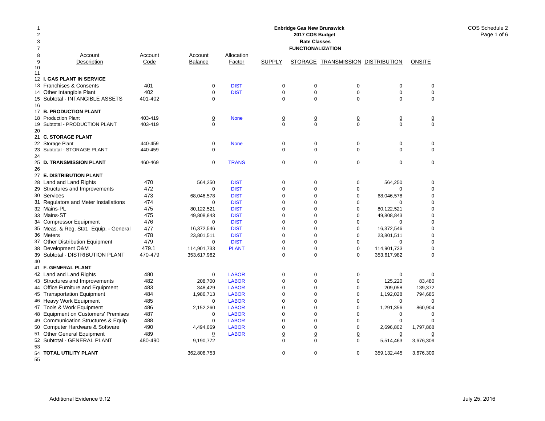| 1<br>$\overline{2}$<br>3 |                                                        | <b>Enbridge Gas New Brunswick</b><br>2017 COS Budget<br><b>Rate Classes</b> |                  |                            |                                |                                |                                   |                            |                               |  |  |  |
|--------------------------|--------------------------------------------------------|-----------------------------------------------------------------------------|------------------|----------------------------|--------------------------------|--------------------------------|-----------------------------------|----------------------------|-------------------------------|--|--|--|
| $\overline{7}$           |                                                        |                                                                             |                  |                            |                                | <b>FUNCTIONALIZATION</b>       |                                   |                            |                               |  |  |  |
| 8                        | Account                                                | Account                                                                     | Account          | Allocation                 |                                |                                |                                   |                            |                               |  |  |  |
| 9                        | Description                                            | Code                                                                        | <b>Balance</b>   | Factor                     | <b>SUPPLY</b>                  |                                | STORAGE TRANSMISSION DISTRIBUTION |                            | <b>ONSITE</b>                 |  |  |  |
| 10                       |                                                        |                                                                             |                  |                            |                                |                                |                                   |                            |                               |  |  |  |
| 11                       | 12 I. GAS PLANT IN SERVICE                             |                                                                             |                  |                            |                                |                                |                                   |                            |                               |  |  |  |
|                          | 13 Franchises & Consents                               | 401                                                                         | $\mathbf 0$      | <b>DIST</b>                | $\pmb{0}$                      | $\mathbf 0$                    | $\Omega$                          | $\boldsymbol{0}$           | $\Omega$                      |  |  |  |
|                          | 14 Other Intangible Plant                              | 402                                                                         | $\mathbf 0$      | <b>DIST</b>                | $\pmb{0}$                      | 0                              | 0                                 | $\boldsymbol{0}$           | $\mathbf 0$                   |  |  |  |
|                          | 15 Subtotal - INTANGIBLE ASSETS                        | 401-402                                                                     | $\mathbf 0$      |                            | $\mathbf 0$                    | $\mathbf 0$                    | $\Omega$                          | $\Omega$                   | $\mathbf 0$                   |  |  |  |
| 16                       |                                                        |                                                                             |                  |                            |                                |                                |                                   |                            |                               |  |  |  |
|                          | 17 B. PRODUCTION PLANT                                 |                                                                             |                  |                            |                                |                                |                                   |                            |                               |  |  |  |
|                          | 18 Production Plant                                    | 403-419                                                                     | $\overline{0}$   | <b>None</b>                | $\underline{0}$                | $\overline{0}$                 | $\underline{0}$                   | $\overline{0}$             | $\overline{0}$                |  |  |  |
| 19                       | Subtotal - PRODUCTION PLANT                            | 403-419                                                                     | $\Omega$         |                            | $\Omega$                       | $\Omega$                       | $\Omega$                          | $\Omega$                   | $\Omega$                      |  |  |  |
| 20                       |                                                        |                                                                             |                  |                            |                                |                                |                                   |                            |                               |  |  |  |
|                          | 21 C. STORAGE PLANT                                    |                                                                             |                  |                            |                                |                                |                                   |                            |                               |  |  |  |
|                          | 22 Storage Plant                                       | 440-459                                                                     | $\overline{0}$   | <b>None</b>                | $\underline{0}$                | $\overline{0}$                 | $\overline{0}$                    | $\overline{0}$             | $\overline{0}$                |  |  |  |
| 23                       | Subtotal - STORAGE PLANT                               | 440-459                                                                     | $\mathbf 0$      |                            | $\mathbf 0$                    | $\mathbf 0$                    | $\Omega$                          | $\Omega$                   | $\mathbf 0$                   |  |  |  |
| 24                       |                                                        |                                                                             |                  |                            |                                |                                |                                   |                            |                               |  |  |  |
|                          | 25 D. TRANSMISSION PLANT                               | 460-469                                                                     | $\mathbf 0$      | <b>TRANS</b>               | $\mathbf 0$                    | $\mathbf 0$                    | $\mathbf 0$                       | 0                          | $\mathbf 0$                   |  |  |  |
| 26                       |                                                        |                                                                             |                  |                            |                                |                                |                                   |                            |                               |  |  |  |
|                          | 27 E. DISTRIBUTION PLANT                               |                                                                             |                  |                            |                                |                                |                                   |                            |                               |  |  |  |
|                          | 28 Land and Land Rights                                | 470                                                                         | 564,250          | <b>DIST</b>                | $\pmb{0}$                      | 0                              | 0                                 | 564,250                    | 0                             |  |  |  |
|                          | 29 Structures and Improvements                         | 472                                                                         | $\mathbf 0$      | <b>DIST</b>                | $\mathbf 0$                    | 0                              | $\mathbf 0$                       | 0                          | $\mathbf 0$                   |  |  |  |
|                          | 30 Services                                            | 473                                                                         | 68,046,578       | <b>DIST</b>                | $\mathbf 0$                    | 0                              | 0                                 | 68,046,578                 | $\mathbf 0$                   |  |  |  |
|                          | 31 Regulators and Meter Installations                  | 474                                                                         | $\Omega$         | <b>DIST</b>                | $\Omega$                       | $\Omega$                       | 0                                 | $\Omega$                   | $\Omega$                      |  |  |  |
|                          | 32 Mains-PL                                            | 475                                                                         | 80,122,521       | <b>DIST</b>                | $\mathbf 0$                    | 0                              | $\mathbf 0$                       | 80,122,521                 | $\mathbf 0$                   |  |  |  |
|                          | 33 Mains-ST                                            | 475                                                                         | 49,808,843       | <b>DIST</b>                | $\Omega$                       | 0                              | $\Omega$                          | 49,808,843                 | $\Omega$                      |  |  |  |
|                          | 34 Compressor Equipment                                | 476                                                                         | $\mathbf 0$      | <b>DIST</b>                | $\mathbf 0$                    | 0                              | $\mathbf 0$                       | $\mathbf 0$                | $\mathbf 0$                   |  |  |  |
|                          | 35 Meas. & Reg. Stat. Equip. - General                 | 477<br>478                                                                  | 16,372,546       | <b>DIST</b>                | $\mathbf 0$                    | 0                              | 0                                 | 16,372,546                 | $\mathbf 0$                   |  |  |  |
|                          | 36 Meters                                              | 479                                                                         | 23,801,511       | <b>DIST</b><br><b>DIST</b> | $\mathbf 0$<br>$\mathbf 0$     | 0<br>$\mathbf 0$               | $\mathbf 0$<br>$\mathbf 0$        | 23,801,511<br>$\Omega$     | $\mathbf 0$<br>$\Omega$       |  |  |  |
|                          | 37 Other Distribution Equipment                        | 479.1                                                                       | 0<br>114.901.733 | <b>PLANT</b>               |                                |                                |                                   |                            |                               |  |  |  |
|                          | 38 Development O&M<br>39 Subtotal - DISTRIBUTION PLANT | 470-479                                                                     | 353,617,982      |                            | $\underline{0}$<br>$\mathbf 0$ | $\underline{0}$<br>$\mathbf 0$ | $\underline{0}$<br>$\mathbf 0$    | 114,901,733<br>353,617,982 | $\overline{0}$<br>$\mathbf 0$ |  |  |  |
| 40                       |                                                        |                                                                             |                  |                            |                                |                                |                                   |                            |                               |  |  |  |
|                          | 41 F. GENERAL PLANT                                    |                                                                             |                  |                            |                                |                                |                                   |                            |                               |  |  |  |
|                          | 42 Land and Land Rights                                | 480                                                                         | $\mathbf 0$      | <b>LABOR</b>               | $\mathbf 0$                    | $\mathbf 0$                    | $\mathbf 0$                       | 0                          | $\Omega$                      |  |  |  |
|                          | 43 Structures and Improvements                         | 482                                                                         | 208.700          | <b>LABOR</b>               | $\mathbf 0$                    | $\Omega$                       | $\mathbf 0$                       | 125,220                    | 83.480                        |  |  |  |
|                          | 44 Office Furniture and Equipment                      | 483                                                                         | 348,429          | <b>LABOR</b>               | $\Omega$                       | 0                              | $\mathbf 0$                       | 209,058                    | 139,372                       |  |  |  |
|                          | 45 Transportation Equipment                            | 484                                                                         | 1,986,713        | <b>LABOR</b>               | $\mathbf 0$                    | 0                              | $\mathbf 0$                       | 1,192,028                  | 794,685                       |  |  |  |
|                          | 46 Heavy Work Equipment                                | 485                                                                         | 0                | <b>LABOR</b>               | $\mathbf 0$                    | 0                              | $\mathbf 0$                       | 0                          | 0                             |  |  |  |
|                          | 47 Tools & Work Equipment                              | 486                                                                         | 2,152,260        | <b>LABOR</b>               | $\mathbf 0$                    | 0                              | 0                                 | 1,291,356                  | 860,904                       |  |  |  |
|                          | 48 Equipment on Customers' Premises                    | 487                                                                         | $\mathbf 0$      | <b>LABOR</b>               | $\mathbf 0$                    | 0                              | 0                                 | $\mathbf 0$                | $\mathbf 0$                   |  |  |  |
| 49                       | <b>Communication Structures &amp; Equip</b>            | 488                                                                         | $\Omega$         | <b>LABOR</b>               | $\Omega$                       | $\Omega$                       | $\Omega$                          | $\mathbf 0$                | $\Omega$                      |  |  |  |
|                          | 50 Computer Hardware & Software                        | 490                                                                         | 4,494,669        | <b>LABOR</b>               | $\Omega$                       | $\Omega$                       | $\Omega$                          | 2,696,802                  | 1,797,868                     |  |  |  |
| 51                       | <b>Other General Equipment</b>                         | 489                                                                         | $\overline{0}$   | <b>LABOR</b>               | $\underline{0}$                | $\underline{0}$                | $\underline{0}$                   | $\overline{0}$             | $\overline{0}$                |  |  |  |
|                          | 52 Subtotal - GENERAL PLANT                            | 480-490                                                                     | 9,190,772        |                            | $\mathbf 0$                    | 0                              | $\mathbf 0$                       | 5,514,463                  | 3,676,309                     |  |  |  |
| 53                       |                                                        |                                                                             |                  |                            |                                |                                |                                   |                            |                               |  |  |  |
|                          | 54 TOTAL UTILITY PLANT                                 |                                                                             | 362,808,753      |                            | $\mathbf 0$                    | $\mathbf 0$                    | $\mathbf 0$                       | 359,132,445                | 3,676,309                     |  |  |  |
| 55                       |                                                        |                                                                             |                  |                            |                                |                                |                                   |                            |                               |  |  |  |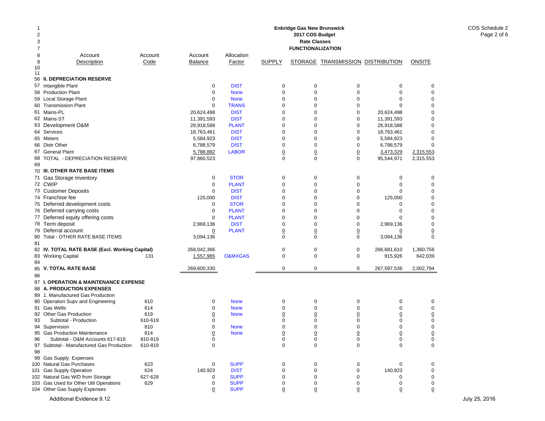| 2<br>3<br>7  | <b>Enbridge Gas New Brunswick</b><br>2017 COS Budget<br><b>Rate Classes</b><br><b>FUNCTIONALIZATION</b> |                 |                           |                             |                 |                  |                                   |                          |                            |  |  |  |
|--------------|---------------------------------------------------------------------------------------------------------|-----------------|---------------------------|-----------------------------|-----------------|------------------|-----------------------------------|--------------------------|----------------------------|--|--|--|
| 8<br>9<br>10 | Account<br>Description                                                                                  | Account<br>Code | Account<br><b>Balance</b> | Allocation<br>Factor        | <b>SUPPLY</b>   |                  | STORAGE TRANSMISSION DISTRIBUTION |                          | <b>ONSITE</b>              |  |  |  |
| 11           | 56 II. DEPRECIATION RESERVE                                                                             |                 |                           |                             |                 |                  |                                   |                          |                            |  |  |  |
| 57           | Intangible Plant                                                                                        |                 | $\mathbf 0$               | <b>DIST</b>                 | 0               | $\mathbf 0$      | 0                                 | $\mathbf 0$              | 0                          |  |  |  |
|              | 58 Production Plant                                                                                     |                 | $\mathbf 0$               | <b>None</b>                 | $\mathbf 0$     | $\mathbf 0$      | 0                                 | $\mathbf 0$              | $\mathbf 0$                |  |  |  |
|              | 59 Local Storage Plant                                                                                  |                 | $\mathbf 0$               | <b>None</b>                 | 0               | $\mathbf 0$      | 0                                 | 0                        | 0                          |  |  |  |
|              | 60 Transmission Plant                                                                                   |                 | $\mathbf 0$               | <b>TRANS</b>                | 0               | 0                | 0                                 | $\Omega$                 | $\mathbf 0$                |  |  |  |
|              | 61 Mains-PL                                                                                             |                 | 20,624,498                | <b>DIST</b>                 | 0               | $\mathbf 0$      | 0                                 | 20,624,498               | $\mathbf 0$                |  |  |  |
|              | 62 Mains-ST                                                                                             |                 | 11,391,593                | <b>DIST</b>                 | 0               | $\mathbf 0$      | 0                                 | 11,391,593               | $\Omega$                   |  |  |  |
|              | 63 Development O&M                                                                                      |                 | 28,918,588                | <b>PLANT</b>                | $\Omega$        | $\mathbf 0$      | $\mathbf 0$                       | 28,918,588               | $\Omega$                   |  |  |  |
|              | 64 Services                                                                                             |                 | 18,763,461                | <b>DIST</b>                 | 0               | 0                | 0                                 | 18,763,461               | $\mathbf 0$                |  |  |  |
|              | 65 Meters                                                                                               |                 | 5,584,923                 | <b>DIST</b>                 | 0               | 0                | 0                                 | 5,584,923                | $\mathbf 0$                |  |  |  |
|              | 66 Distr Other                                                                                          |                 | 6,788,579                 | <b>DIST</b>                 | 0               | $\mathbf 0$      | 0                                 | 6,788,579                | $\mathbf 0$                |  |  |  |
| 67           | <b>General Plant</b>                                                                                    |                 | 5,788,882                 | <b>LABOR</b>                | 0               | $\overline{0}$   | $\overline{0}$                    | 3,473,329                | 2,315,553                  |  |  |  |
|              | 68 TOTAL - DEPRECIATION RESERVE                                                                         |                 | 97,860,523                |                             | $\Omega$        | $\Omega$         | $\mathbf 0$                       | 95,544,971               | 2,315,553                  |  |  |  |
| 69           |                                                                                                         |                 |                           |                             |                 |                  |                                   |                          |                            |  |  |  |
|              | 70 III. OTHER RATE BASE ITEMS                                                                           |                 |                           |                             |                 |                  |                                   |                          |                            |  |  |  |
|              | 71 Gas Storage Inventory                                                                                |                 | 0                         | <b>STOR</b>                 | 0               | $\mathbf 0$      | $\pmb{0}$                         | 0                        | 0                          |  |  |  |
|              | 72 CWIP                                                                                                 |                 | $\mathbf 0$               | <b>PLANT</b>                | 0               | 0                | 0                                 | 0                        | 0                          |  |  |  |
|              | 73 Customer Deposits                                                                                    |                 | $\mathbf 0$               | <b>DIST</b>                 | 0               | $\mathbf 0$      | $\mathbf 0$                       | $\Omega$                 | $\mathbf 0$                |  |  |  |
|              | 74 Franchise fee                                                                                        |                 | 125,000                   | <b>DIST</b>                 | 0               | $\mathbf 0$      | 0                                 | 125,000                  | 0                          |  |  |  |
|              | 75 Deferred development costs                                                                           |                 | 0                         | <b>STOR</b>                 | 0               | 0                | 0                                 | 0                        | $\mathbf 0$                |  |  |  |
|              | 76 Deferred carrying costs                                                                              |                 | $\mathbf 0$               | <b>PLANT</b>                | $\mathbf 0$     | $\mathbf 0$      | 0                                 | $\mathbf 0$              | $\mathbf 0$                |  |  |  |
|              | 77 Deferred equity offering costs<br>78 Term deposit                                                    |                 | $\mathbf 0$<br>2,969,136  | <b>PLANT</b><br><b>DIST</b> | 0<br>0          | 0<br>$\mathbf 0$ | 0<br>0                            | $\mathbf 0$<br>2,969,136 | $\mathbf 0$<br>$\mathbf 0$ |  |  |  |
|              | 79 Deferral account                                                                                     |                 | $\Omega$                  | <b>PLANT</b>                | $\underline{0}$ | $\overline{0}$   | $\underline{0}$                   | $\overline{0}$           | $\overline{0}$             |  |  |  |
| 80           | Total - OTHER RATE BASE ITEMS                                                                           |                 | 3,094,136                 |                             | 0               | $\Omega$         | $\mathbf 0$                       | 3,094,136                | $\mathbf 0$                |  |  |  |
| 81           | 82 IV. TOTAL RATE BASE (Excl. Working Capital)                                                          |                 | 268,042,366               |                             | 0               | $\mathbf 0$      | $\mathbf 0$                       | 266,681,610              | 1,360,756                  |  |  |  |
|              | 83 Working Capital                                                                                      | 131             | 1,557,965                 | <b>O&amp;MXGAS</b>          | $\mathbf 0$     | $\mathbf 0$      | $\mathbf 0$                       | 915,926                  | 642,039                    |  |  |  |
| 84           |                                                                                                         |                 |                           |                             |                 |                  |                                   |                          |                            |  |  |  |
|              | 85 V. TOTAL RATE BASE                                                                                   |                 | 269,600,330               |                             | $\mathbf 0$     | $\mathbf 0$      | $\mathbf 0$                       | 267,597,536              | 2,002,794                  |  |  |  |
| 86           | 87 I. OPERATION & MAINTENANCE EXPENSE                                                                   |                 |                           |                             |                 |                  |                                   |                          |                            |  |  |  |
|              | 88 A. PRODUCTION EXPENSES                                                                               |                 |                           |                             |                 |                  |                                   |                          |                            |  |  |  |
|              | 89 1. Manufactured Gas Production                                                                       |                 |                           |                             |                 |                  |                                   |                          |                            |  |  |  |
|              | 90 Operation Supv and Engineering                                                                       | 610             | 0                         | <b>None</b>                 | 0               | 0                | 0                                 | 0                        | 0                          |  |  |  |
|              | 91 Gas Wells                                                                                            | 614             | $\mathbf 0$               | <b>None</b>                 | 0               | 0                | 0                                 | $\mathbf 0$              | 0                          |  |  |  |
|              | 92 Other Gas Production                                                                                 | 619             | $\overline{0}$            | <b>None</b>                 | $\overline{0}$  | $\overline{0}$   | $\overline{0}$                    | $\overline{0}$           | $\overline{0}$             |  |  |  |
| 93           | Subtotal - Production                                                                                   | 610-619         | 0                         |                             | 0               | 0                | 0                                 | $\mathbf 0$              | 0                          |  |  |  |
|              | 94 Supervision                                                                                          | 810             | $\mathbf 0$               | <b>None</b>                 | 0               | $\mathbf 0$      | 0                                 | $\mathbf 0$              | 0                          |  |  |  |
|              | 95 Gas Production Maintenance                                                                           | 814             | $\overline{0}$            | <b>None</b>                 | 0               | $\overline{0}$   | $\overline{0}$                    | $\Omega$                 | $\overline{0}$             |  |  |  |
| 96           | Subtotal - O&M Accounts 617-618                                                                         | 810-819         | 0                         |                             | 0               | 0                | 0                                 | 0                        | 0                          |  |  |  |
|              | 97 Subtotal - Manufactured Gas Production                                                               | 610-819         | $\mathbf 0$               |                             | 0               | $\mathbf 0$      | 0                                 | 0                        | 0                          |  |  |  |
| 98           |                                                                                                         |                 |                           |                             |                 |                  |                                   |                          |                            |  |  |  |
|              | 99 Gas Supply Expenses<br>100 Natural Gas Purchases                                                     | 623             | 0                         | <b>SUPP</b>                 | 0               | 0                | 0                                 | 0                        | 0                          |  |  |  |
|              | 101 Gas Supply Operation                                                                                | 624             | 140,923                   | <b>DIST</b>                 | 0               | 0                | 0                                 | 140,923                  | 0                          |  |  |  |
|              | 102 Natural Gas W/D from Storage                                                                        | 627-628         | 0                         | <b>SUPP</b>                 | 0               | $\mathbf 0$      | 0                                 | o                        | 0                          |  |  |  |
|              | 103 Gas Used for Other Util Operations                                                                  | 629             | 0                         | <b>SUPP</b>                 | 0               | 0                | 0                                 | 0                        | 0                          |  |  |  |
|              | 104 Other Gas Supply Expenses                                                                           |                 | $\overline{0}$            | <b>SUPP</b>                 | 0               | <u>0</u>         | $\overline{0}$                    | $\overline{0}$           | 0                          |  |  |  |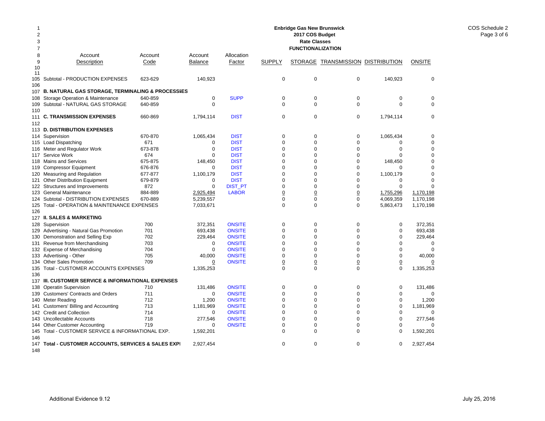| $\overline{2}$<br>3 | <b>Enbridge Gas New Brunswick</b><br>2017 COS Budget<br><b>Rate Classes</b> |                    |                     |                            |                               |                               |                                          |                            |                         |  |  |
|---------------------|-----------------------------------------------------------------------------|--------------------|---------------------|----------------------------|-------------------------------|-------------------------------|------------------------------------------|----------------------------|-------------------------|--|--|
| 7                   |                                                                             |                    |                     |                            |                               | <b>FUNCTIONALIZATION</b>      |                                          |                            |                         |  |  |
| 8                   | Account                                                                     | Account            | Account             | Allocation                 |                               |                               |                                          |                            |                         |  |  |
| 9                   | Description                                                                 | Code               | <b>Balance</b>      | Factor                     | <b>SUPPLY</b>                 |                               | <b>STORAGE TRANSMISSION DISTRIBUTION</b> |                            | <b>ONSITE</b>           |  |  |
| 10                  |                                                                             |                    |                     |                            |                               |                               |                                          |                            |                         |  |  |
| 11                  |                                                                             |                    |                     |                            |                               |                               |                                          |                            |                         |  |  |
| 105                 | Subtotal - PRODUCTION EXPENSES                                              | 623-629            | 140,923             |                            | $\mathbf 0$                   | $\mathbf 0$                   | $\mathbf 0$                              | 140,923                    | $\mathbf 0$             |  |  |
| 106                 |                                                                             |                    |                     |                            |                               |                               |                                          |                            |                         |  |  |
|                     | 107 B. NATURAL GAS STORAGE, TERMINALING & PROCESSIES                        |                    |                     |                            |                               |                               |                                          |                            |                         |  |  |
| 108                 | Storage Operation & Maintenance                                             | 640-859            | 0                   | <b>SUPP</b>                | $\mathbf 0$<br>$\Omega$       | 0                             | $\mathbf 0$<br>$\Omega$                  | $\pmb{0}$<br>$\Omega$      | 0                       |  |  |
| 109                 | Subtotal - NATURAL GAS STORAGE                                              | 640-859            | $\Omega$            |                            |                               | $\Omega$                      |                                          |                            | $\mathbf 0$             |  |  |
| 110                 | <b>C. TRANSMISSION EXPENSES</b>                                             | 660-869            | 1,794,114           | <b>DIST</b>                | $\mathbf 0$                   | $\mathbf 0$                   | $\mathbf 0$                              | 1,794,114                  | $\mathbf 0$             |  |  |
| 111<br>112          |                                                                             |                    |                     |                            |                               |                               |                                          |                            |                         |  |  |
|                     | 113 D. DISTRIBUTION EXPENSES                                                |                    |                     |                            |                               |                               |                                          |                            |                         |  |  |
|                     |                                                                             |                    |                     |                            |                               |                               |                                          |                            |                         |  |  |
|                     | 114 Supervision                                                             | 670-870            | 1,065,434           | <b>DIST</b>                | $\mathbf 0$<br>$\mathbf 0$    | $\mathbf 0$<br>$\mathbf 0$    | $\mathbf 0$                              | 1,065,434                  | 0                       |  |  |
|                     | 115 Load Dispatching                                                        | 671<br>673-878     | 0<br>$\mathbf 0$    | <b>DIST</b><br><b>DIST</b> | $\mathbf 0$                   | $\Omega$                      | $\mathbf 0$<br>$\mathbf 0$               | $\mathbf 0$<br>$\mathbf 0$ | 0<br>$\mathbf 0$        |  |  |
|                     | 116 Meter and Regulator Work                                                |                    | $\Omega$            |                            | $\Omega$                      | $\Omega$                      | $\Omega$                                 | $\Omega$                   | $\Omega$                |  |  |
| 117                 | Service Work                                                                | 674                |                     | <b>DIST</b>                | $\mathbf 0$                   | $\mathbf 0$                   | $\mathbf 0$                              |                            |                         |  |  |
|                     | 118 Mains and Services                                                      | 675-875<br>676-876 | 148,450<br>$\Omega$ | <b>DIST</b><br><b>DIST</b> | $\Omega$                      | $\Omega$                      | $\mathbf 0$                              | 148,450<br>$\Omega$        | 0<br>$\Omega$           |  |  |
| 119                 | <b>Compressor Equipment</b>                                                 |                    |                     |                            | $\mathbf 0$                   | $\mathbf 0$                   | $\mathbf 0$                              |                            |                         |  |  |
|                     | 120 Measuring and Regulation                                                | 677-877            | 1,100,179           | <b>DIST</b>                | $\mathbf 0$                   | $\Omega$                      | $\mathbf 0$                              | 1,100,179<br>$\mathbf 0$   | $\mathbf 0$<br>$\Omega$ |  |  |
| 121                 | <b>Other Distribution Equipment</b>                                         | 679-879            | 0                   | <b>DIST</b>                | $\Omega$                      | $\Omega$                      | $\mathbf 0$                              | $\Omega$                   | $\Omega$                |  |  |
|                     | 122 Structures and Improvements                                             | 872                | $\mathbf 0$         | DIST_PT                    |                               |                               |                                          |                            |                         |  |  |
|                     | 123 General Maintenance<br>Subtotal - DISTRIBUTION EXPENSES                 | 884-889<br>670-889 | 2,925,494           | <b>LABOR</b>               | $\overline{0}$<br>$\mathbf 0$ | $\overline{0}$<br>$\mathbf 0$ | $\Omega$<br>$\mathbf 0$                  | 1,755,296                  | 1,170,198<br>1.170.198  |  |  |
| 124                 |                                                                             |                    | 5,239,557           |                            | $\mathbf 0$                   | $\mathbf 0$                   | $\Omega$                                 | 4,069,359                  |                         |  |  |
| 126                 | 125 Total - OPERATION & MAINTENANCE EXPENSES                                |                    | 7,033,671           |                            |                               |                               |                                          | 5,863,473                  | 1,170,198               |  |  |
|                     | 127 II. SALES & MARKETING                                                   |                    |                     |                            |                               |                               |                                          |                            |                         |  |  |
|                     | 128 Supervision                                                             | 700                | 372,351             | <b>ONSITE</b>              | $\mathbf 0$                   | $\mathbf 0$                   | $\mathbf 0$                              | $\mathbf 0$                | 372,351                 |  |  |
|                     | 129 Advertising - Natural Gas Promotion                                     | 701                | 693,438             | <b>ONSITE</b>              | $\mathbf 0$                   | $\Omega$                      | $\mathbf 0$                              | $\mathbf 0$                | 693,438                 |  |  |
|                     | 130 Demonstration and Selling Exp                                           | 702                | 229,464             | <b>ONSITE</b>              | $\Omega$                      | $\Omega$                      | $\mathbf 0$                              | $\mathbf 0$                | 229,464                 |  |  |
| 131                 | Revenue from Merchandising                                                  | 703                | 0                   | <b>ONSITE</b>              | $\Omega$                      | $\Omega$                      | $\Omega$                                 | $\Omega$                   | $\Omega$                |  |  |
|                     | 132 Expense of Merchandising                                                | 704                | 0                   | <b>ONSITE</b>              | $\mathbf 0$                   | $\mathbf 0$                   | $\mathbf 0$                              | $\mathbf 0$                | $\mathbf 0$             |  |  |
| 133                 | Advertising - Other                                                         | 705                | 40,000              | <b>ONSITE</b>              | $\mathbf 0$                   | $\mathbf 0$                   | $\mathbf 0$                              | $\mathbf 0$                | 40,000                  |  |  |
|                     | 134 Other Sales Promotion                                                   | 709                | 0                   | <b>ONSITE</b>              | $\overline{0}$                | $\overline{0}$                | $\overline{0}$                           | $\overline{0}$             | 0                       |  |  |
| 135                 | Total - CUSTOMER ACCOUNTS EXPENSES                                          |                    | 1,335,253           |                            | $\mathbf 0$                   | $\mathbf 0$                   | $\mathbf 0$                              | $\mathbf 0$                | 1,335,253               |  |  |
| 136                 |                                                                             |                    |                     |                            |                               |                               |                                          |                            |                         |  |  |
|                     | 137 III. CUSTOMER SERVICE & INFORMATIONAL EXPENSES                          |                    |                     |                            |                               |                               |                                          |                            |                         |  |  |
| 138                 | <b>Operatin Supervision</b>                                                 | 710                | 131,486             | <b>ONSITE</b>              | $\mathbf 0$                   | $\mathbf 0$                   | $\mathbf 0$                              | $\mathbf 0$                | 131,486                 |  |  |
|                     | 139 Customers' Contracts and Orders                                         | 711                | 0                   | <b>ONSITE</b>              | $\mathbf 0$                   | $\mathbf 0$                   | $\mathbf 0$                              | $\mathbf 0$                | $\Omega$                |  |  |
| 140                 | Meter Reading                                                               | 712                | 1,200               | <b>ONSITE</b>              | $\Omega$                      | $\Omega$                      | $\mathbf 0$                              | $\mathbf 0$                | 1,200                   |  |  |
| 141                 | Customers' Billing and Accounting                                           | 713                | 1,181,969           | <b>ONSITE</b>              | $\Omega$                      | $\Omega$                      | $\Omega$                                 | $\mathbf 0$                | 1,181,969               |  |  |
|                     | 142 Credit and Collection                                                   | 714                | 0                   | <b>ONSITE</b>              | $\mathbf 0$                   | $\mathbf 0$                   | $\mathbf 0$                              | $\mathbf 0$                | $\mathbf 0$             |  |  |
|                     | 143 Uncollectable Accounts                                                  | 718                | 277,546             | <b>ONSITE</b>              | $\mathbf 0$                   | $\mathbf 0$                   | $\Omega$                                 | $\mathbf 0$                | 277,546                 |  |  |
|                     | 144 Other Customer Accounting                                               | 719                | 0                   | <b>ONSITE</b>              | $\mathbf 0$                   | $\mathbf 0$                   | $\mathbf 0$                              | $\mathbf 0$                | $\Omega$                |  |  |
|                     | 145 Total - CUSTOMER SERVICE & INFORMATIONAL EXP.                           |                    | 1,592,201           |                            | $\mathbf 0$                   | $\Omega$                      | $\mathbf 0$                              | $\mathbf 0$                | 1,592,201               |  |  |
| 146                 |                                                                             |                    |                     |                            |                               |                               |                                          |                            |                         |  |  |
| 147                 | Total - CUSTOMER ACCOUNTS, SERVICES & SALES EXPI                            |                    | 2,927,454           |                            | $\mathbf 0$                   | $\Omega$                      | $\mathbf 0$                              | $\mathbf 0$                | 2,927,454               |  |  |
| 148                 |                                                                             |                    |                     |                            |                               |                               |                                          |                            |                         |  |  |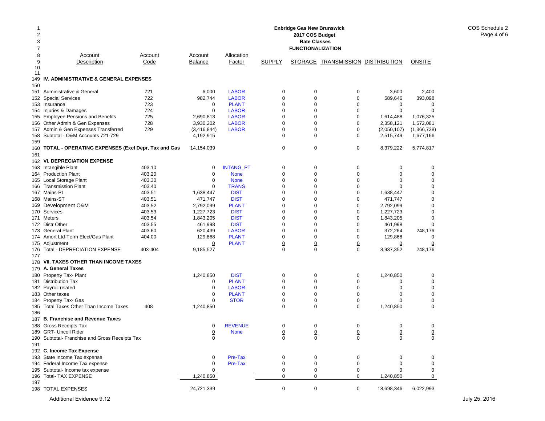| 1<br>2<br>3 | <b>Enbridge Gas New Brunswick</b><br>2017 COS Budget<br><b>Rate Classes</b><br>7<br><b>FUNCTIONALIZATION</b> |         |                |                  |                 |                |                                   |                 |               |  |
|-------------|--------------------------------------------------------------------------------------------------------------|---------|----------------|------------------|-----------------|----------------|-----------------------------------|-----------------|---------------|--|
|             |                                                                                                              |         |                |                  |                 |                |                                   |                 |               |  |
| 8           | Account                                                                                                      | Account | Account        | Allocation       |                 |                |                                   |                 |               |  |
| 9<br>10     | Description                                                                                                  | Code    | Balance        | Factor           | <b>SUPPLY</b>   |                | STORAGE TRANSMISSION DISTRIBUTION |                 | <b>ONSITE</b> |  |
| 11<br>149   | IV. ADMINISTRATIVE & GENERAL EXPENSES                                                                        |         |                |                  |                 |                |                                   |                 |               |  |
| 150         |                                                                                                              |         |                |                  |                 |                |                                   |                 |               |  |
|             | 151 Administrative & General                                                                                 | 721     | 6,000          | <b>LABOR</b>     | 0               | 0              | 0                                 | 3,600           | 2,400         |  |
|             | 152 Special Services                                                                                         | 722     | 982,744        | <b>LABOR</b>     | 0               | $\mathbf 0$    | 0                                 | 589,646         | 393,098       |  |
|             | 153 Insurance                                                                                                | 723     | 0              | <b>PLANT</b>     | $\mathbf 0$     | 0              | 0                                 | 0               | 0             |  |
|             | 154 Injuries & Damages                                                                                       | 724     | 0              | <b>LABOR</b>     | 0               | 0              | 0                                 | 0               | 0             |  |
|             | 155 Employee Pensions and Benefits                                                                           | 725     | 2,690,813      | <b>LABOR</b>     | 0               | 0              | 0                                 | 1,614,488       | 1,076,325     |  |
|             | 156 Other Admin & Gen Expenses                                                                               | 728     | 3,930,202      | <b>LABOR</b>     | 0               | $\mathbf 0$    | 0                                 | 2,358,121       | 1,572,081     |  |
|             | 157 Admin & Gen Expenses Transferred                                                                         | 729     | (3,416,844)    | <b>LABOR</b>     | 0               | 0              | $\underline{0}$                   | (2,050,107)     | (1,366,738)   |  |
|             | 158 Subtotal - O&M Accounts 721-729                                                                          |         | 4,192,915      |                  | 0               | 0              | $\mathbf 0$                       | 2,515,749       | 1,677,166     |  |
| 159         |                                                                                                              |         |                |                  |                 |                |                                   |                 |               |  |
|             | 160 TOTAL - OPERATING EXPENSES (Excl Depr, Tax and Gas                                                       |         | 14,154,039     |                  | 0               | 0              | 0                                 | 8,379,222       | 5,774,817     |  |
| 161         |                                                                                                              |         |                |                  |                 |                |                                   |                 |               |  |
|             | 162 VI. DEPRECIATION EXPENSE                                                                                 |         |                |                  |                 |                |                                   |                 |               |  |
|             | 163 Intangible Plant                                                                                         | 403.10  | 0              | <b>INTANG_PT</b> | 0               | 0              | 0                                 | 0               | 0             |  |
|             | 164 Production Plant                                                                                         | 403.20  | 0              | <b>None</b>      | $\mathbf 0$     | $\mathbf 0$    | $\mathbf 0$                       | $\mathbf 0$     | 0             |  |
|             | 165 Local Storage Plant                                                                                      | 403.30  | $\mathbf 0$    | <b>None</b>      | $\mathbf 0$     | $\mathbf 0$    | 0                                 | $\mathbf 0$     | 0             |  |
|             | 166 Transmission Plant                                                                                       | 403.40  | $\mathbf 0$    | <b>TRANS</b>     | $\mathbf 0$     | $\mathbf 0$    | 0                                 | $\Omega$        | 0             |  |
|             | 167 Mains-PL                                                                                                 | 403.51  | 1,638,447      | <b>DIST</b>      | $\mathbf 0$     | 0              | 0                                 | 1,638,447       | 0             |  |
|             | 168 Mains-ST                                                                                                 | 403.51  | 471,747        | <b>DIST</b>      | $\mathbf 0$     | $\mathbf 0$    | 0                                 | 471,747         | 0             |  |
|             |                                                                                                              | 403.52  | 2,792,099      | <b>PLANT</b>     | 0               | 0              | 0                                 |                 | 0             |  |
|             | 169 Development O&M<br>170 Services                                                                          | 403.53  |                | <b>DIST</b>      | 0               | 0              | 0                                 | 2,792,099       | 0             |  |
|             |                                                                                                              |         | 1,227,723      |                  |                 |                |                                   | 1,227,723       |               |  |
|             | 171 Meters                                                                                                   | 403.54  | 1,843,205      | <b>DIST</b>      | 0               | 0              | 0                                 | 1,843,205       | 0             |  |
|             | 172 Distr Other                                                                                              | 403.55  | 461,998        | <b>DIST</b>      | 0               | 0              | 0                                 | 461,998         | 0             |  |
|             | 173 General Plant                                                                                            | 403.60  | 620,439        | <b>LABOR</b>     | 0               | $\mathbf 0$    | 0                                 | 372,264         | 248,176       |  |
|             | 174 Amort Ltd-Term Elect/Gas Plant                                                                           | 404.00  | 129,868        | <b>PLANT</b>     | 0               | $\mathbf 0$    | 0                                 | 129,868         | 0             |  |
|             | 175 Adjustment                                                                                               |         | $\overline{0}$ | <b>PLANT</b>     | $\overline{0}$  | $\overline{0}$ | $\underline{0}$                   | $\overline{0}$  | <u>0</u>      |  |
| 176<br>177  | Total - DEPRECIATION EXPENSE                                                                                 | 403-404 | 9,185,527      |                  | 0               | 0              | $\mathbf 0$                       | 8,937,352       | 248,176       |  |
|             | 178 VII. TAXES OTHER THAN INCOME TAXES                                                                       |         |                |                  |                 |                |                                   |                 |               |  |
|             | 179 A. General Taxes                                                                                         |         |                |                  |                 |                |                                   |                 |               |  |
|             | 180 Property Tax- Plant                                                                                      |         | 1,240,850      | <b>DIST</b>      | 0               | 0              | 0                                 | 1,240,850       | 0             |  |
|             | 181 Distribution Tax                                                                                         |         | 0              | <b>PLANT</b>     | 0               | $\mathbf 0$    | 0                                 | $\Omega$        | 0             |  |
|             | 182 Payroll related                                                                                          |         | 0              | <b>LABOR</b>     | 0               | $\mathbf 0$    | 0                                 | $\mathbf 0$     | 0             |  |
|             | 183 Other taxes                                                                                              |         | $\mathbf 0$    | <b>PLANT</b>     | 0               | 0              | 0                                 | 0               | 0             |  |
|             | 184 Property Tax- Gas                                                                                        |         | 0              | <b>STOR</b>      | $\Omega$        | $\overline{0}$ | $\overline{0}$                    | $\Omega$        | 0             |  |
|             | 185 Total Taxes Other Than Income Taxes                                                                      | 408     | 1,240,850      |                  | 0               | $\Omega$       | $\mathbf 0$                       | 1,240,850       | $\Omega$      |  |
| 186         |                                                                                                              |         |                |                  |                 |                |                                   |                 |               |  |
|             | 187 B. Franchise and Revenue Taxes                                                                           |         |                |                  |                 |                |                                   |                 |               |  |
|             | 188 Gross Receipts Tax                                                                                       |         | 0              | <b>REVENUE</b>   | 0               | 0              | $\pmb{0}$                         | 0               | 0             |  |
|             | 189 GRT- Uncoll Rider                                                                                        |         | $\overline{0}$ | <b>None</b>      | $\underline{0}$ | 0              | $\overline{0}$                    | $\underline{0}$ | $\pmb{0}$     |  |
|             | 190 Subtotal- Franchise and Gross Receipts Tax                                                               |         | 0              |                  | $\mathbf 0$     | 0              | $\mathbf 0$                       | 0               | 0             |  |
| 191         |                                                                                                              |         |                |                  |                 |                |                                   |                 |               |  |
|             | 192 C. Income Tax Expense                                                                                    |         |                |                  |                 |                |                                   |                 |               |  |
|             | 193 State Income Tax expense                                                                                 |         | 0              | Pre-Tax          | 0               | 0              | 0                                 | 0               | 0             |  |
|             | 194 Federal Income Tax expense                                                                               |         | $\overline{0}$ | Pre-Tax          | 0               | $\overline{0}$ | $\overline{0}$                    | $\overline{0}$  | 0             |  |
|             | 195 Subtotal- Income tax expense                                                                             |         | 0              |                  | 0               | 0              | 0                                 | 0               | 0             |  |
|             | 196 Total- TAX EXPENSE                                                                                       |         | 1,240,850      |                  | 0               | $\mathbf 0$    | $\mathbf 0$                       | 1,240,850       | $\mathbf{0}$  |  |
| 197         |                                                                                                              |         |                |                  |                 |                |                                   |                 |               |  |
|             | 198 TOTAL EXPENSES                                                                                           |         | 24,721,339     |                  | $\mathbf 0$     | 0              | 0                                 | 18,698,346      | 6,022,993     |  |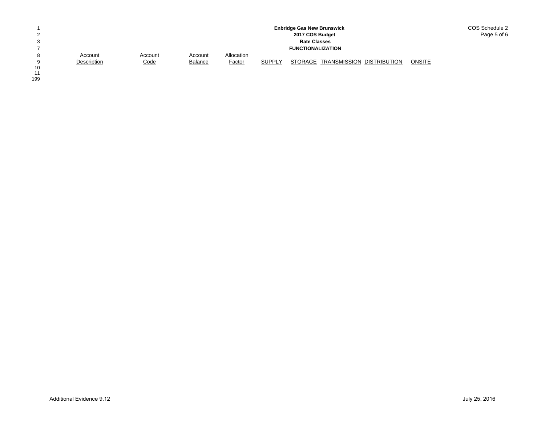|    |             |             |                |               |               | <b>Enbridge Gas New Brunswick</b> |               | COS Schedule 2 |
|----|-------------|-------------|----------------|---------------|---------------|-----------------------------------|---------------|----------------|
| っ  |             |             |                |               |               | 2017 COS Budget                   |               | Page 5 of 6    |
| 3  |             |             |                |               |               | <b>Rate Classes</b>               |               |                |
|    |             |             |                |               |               | <b>FUNCTIONALIZATION</b>          |               |                |
| 8  | Account     | Account     | Account        | Allocation    |               |                                   |               |                |
| 9  | Description | <u>Code</u> | <b>Balance</b> | <b>Factor</b> | <b>SUPPLY</b> | STORAGE TRANSMISSION DISTRIBUTION | <b>ONSITE</b> |                |
| 10 |             |             |                |               |               |                                   |               |                |

10<br>11<br>199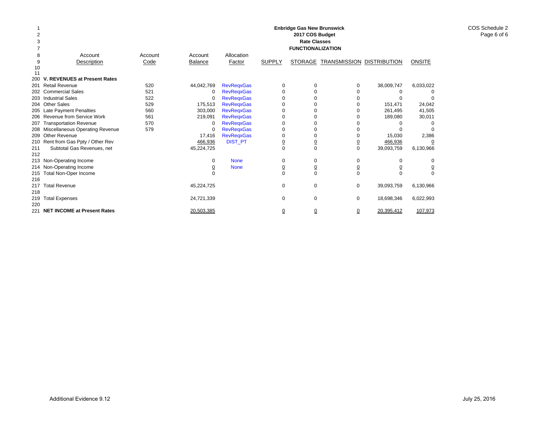|         |                                     |         |                |                   |                | <b>Enbridge Gas New Brunswick</b>      |                |                     |                |
|---------|-------------------------------------|---------|----------------|-------------------|----------------|----------------------------------------|----------------|---------------------|----------------|
|         |                                     |         |                |                   |                | 2017 COS Budget<br><b>Rate Classes</b> |                |                     |                |
|         |                                     |         |                |                   |                |                                        |                |                     |                |
|         |                                     |         |                |                   |                | <b>FUNCTIONALIZATION</b>               |                |                     |                |
| 8       | Account                             | Account | Account        | Allocation        |                |                                        |                |                     |                |
| 9<br>10 | Description                         | Code    | <b>Balance</b> | Factor            | <b>SUPPLY</b>  | <b>STORAGE</b>                         | TRANSMISSION   | <b>DISTRIBUTION</b> | <b>ONSITE</b>  |
| 11      |                                     |         |                |                   |                |                                        |                |                     |                |
| 200     | V. REVENUES at Present Rates        |         |                |                   |                |                                        |                |                     |                |
| 201     | <b>Retail Revenue</b>               | 520     | 44,042,769     | <b>RevRegxGas</b> | 0              | 0                                      | 0              | 38,009,747          | 6,033,022      |
| 202     | <b>Commercial Sales</b>             | 521     | $\mathbf 0$    | <b>RevRegxGas</b> | $\Omega$       | 0                                      | O              | 0                   |                |
|         | 203 Industrial Sales                | 522     | $\mathbf 0$    | <b>RevRegxGas</b> | U              | $\Omega$                               |                |                     | n              |
|         | 204 Other Sales                     | 529     | 175,513        | <b>RevRegxGas</b> | 0              | 0                                      |                | 151,471             | 24,042         |
|         | 205 Late Payment Penalties          | 560     | 303,000        | <b>RevRegxGas</b> | U              | $\Omega$                               |                | 261,495             | 41,505         |
| 206     | Revenue from Service Work           | 561     | 219,091        | <b>RevRegxGas</b> |                |                                        |                | 189,080             | 30,011         |
| 207     | <b>Transportation Revenue</b>       | 570     | $\mathbf 0$    | <b>RevRegxGas</b> | $\Omega$       |                                        |                |                     |                |
|         | 208 Miscellaneous Operating Revenue | 579     | 0              | <b>RevReqxGas</b> | $\Omega$       | 0                                      |                |                     | n              |
| 209     | Other Revenue                       |         | 17.416         | <b>RevRegxGas</b> | $\Omega$       | $\Omega$                               | O              | 15,030              | 2,386          |
|         | 210 Rent from Gas Ppty / Other Rev  |         | 466,936        | <b>DIST_PT</b>    | $\overline{0}$ | $\overline{0}$                         | $\overline{0}$ | 466,936             | 0              |
| 211     | Subtotal Gas Revenues, net          |         | 45,224,725     |                   | $\mathbf 0$    | $\mathbf 0$                            | $\mathbf 0$    | 39,093,759          | 6,130,966      |
| 212     |                                     |         |                |                   |                |                                        |                |                     |                |
|         | 213 Non-Operating Income            |         | $\Omega$       | <b>None</b>       | 0              | 0                                      | $\Omega$       | $\Omega$            | 0              |
| 214     | Non-Operating Income                |         |                | <b>None</b>       | 0              | $\underline{0}$                        | $\overline{0}$ |                     | $\overline{0}$ |
| 215     | <b>Total Non-Oper Income</b>        |         |                |                   | $\Omega$       | $\Omega$                               | $\Omega$       | $\Omega$            | $\Omega$       |
| 216     |                                     |         |                |                   |                |                                        |                |                     |                |
| 217     | <b>Total Revenue</b>                |         | 45,224,725     |                   | 0              | 0                                      | $\mathbf 0$    | 39,093,759          | 6,130,966      |
| 218     |                                     |         |                |                   |                |                                        |                |                     |                |
| 219     | <b>Total Expenses</b>               |         | 24,721,339     |                   | 0              | 0                                      | $\mathbf 0$    | 18,698,346          | 6,022,993      |
| 220     |                                     |         |                |                   |                |                                        |                |                     |                |
| 221     | <b>NET INCOME at Present Rates</b>  |         | 20.503.385     |                   | $\overline{0}$ | ₫                                      | $\Omega$       | 20.395.412          | 107.973        |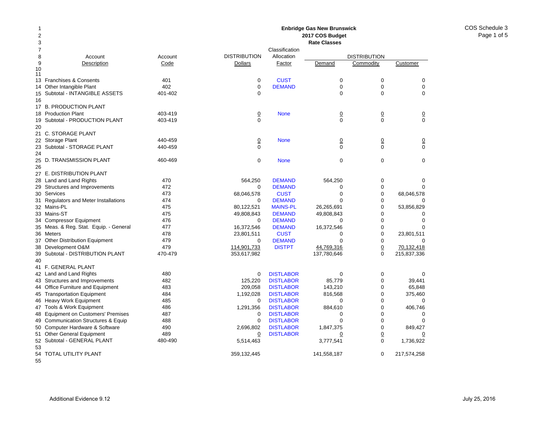COS Schedule 3Page 1 of 5

#### 2 378 Account Account 9Description Code 10 1113 Franchises & Consents 401 14 Other Intangible Plant 402 15Subtotal - INTANGIBLE ASSETS 401-402 16 17 B. PRODUCTION PLANT 18 Production Plant 403-419 19Subtotal - PRODUCTION PLANT 403-419 2021 C. STORAGE PLANT 22 Storage Plant 440-459 23Subtotal - STORAGE PLANT 440-459 2425 D. TRANSMISSION PLANT 460-469 2627 E. DISTRIBUTION PLANT 28 Land and Land Rights 470 29Structures and Improvements 472 30Services 473 31Regulators and Meter Installations 474 32 Mains-PL 475 33 Mains-ST 475 34 Compressor Equipment 476 35Meas. & Reg. Stat. Equip. - General 477 36 Meters 478 37Other Distribution Equipment 479 38Development O&M 479 39Subtotal - DISTRIBUTION PLANT 470-479 40 41 F. GENERAL PLANT 42 Land and Land Rights 480 43 Structures and Improvements 482 44 Office Furniture and Equipment 483 45 Transportation Equipment 484 46 Heavy Work Equipment 485 47 Tools & Work Equipment 486 48 Equipment on Customers' Premises 487 49 Communication Structures & Equip 488 50Computer Hardware & Software 490 51Other General Equipment 489 52Subtotal - GENERAL PLANT 480-490 5354 TOTAL UTILITY PLANT **Enbridge Gas New Brunswick 2017 COS Budget Rate Classes**ClassificationDISTRIBUTION Allocation DISTRIBUTIONDollarsFactor Demand Commodity Customer 0**CUST** T 0 0 0 0**DEMAND** D 0 0 0 0 00000 None 0 0 0 0 000 0 None 0 0 0 0 000 0 None 000 564,250 DEMAND 564,250 0 0 0 DEMANDD 0 0 0 68,046,578 CUST 0 0 68,046,578  $\Omega$ **DEMAND** D 0 0 0 80,122,521 MAINS-PL 26,265,691 0 53,856,829 49,808,843 DEMAND 49,808,843 0 0  $\Omega$  DEMANDD 0 0 0 16,372,546 DEMAND 16,372,546 0 0 23,801,511 CUST 0 0 23,801,511 0 DEMANDD 0 0 0 114,901,733 DISTPT 44,769,316 0 70,132,418 353,617,982 137,780,646 0 215,837,336 0**DISTLABOR** R 0 0 0 125,220 DISTLABOR 85,779 0 39,441 209,058 DISTLABOR 143,210 0 65,848 1,192,028 DISTLABOR 816,568 0 375,460  $\Omega$ **DISTLABOR** R 0 0 0 1,291,356 DISTLABOR 884,610 0 406,746 0**DISTLABOR** R 0 0 0 0**DISTLABOR** R 0 0 0 2,696,802 DISTLABOR 1,847,375 0 849,427 0**DISTLABOR** R 0 0 0 0 5,514,463 3,777,541 0 1,736,922 359,132,445 141,558,187 0 217,574,258

55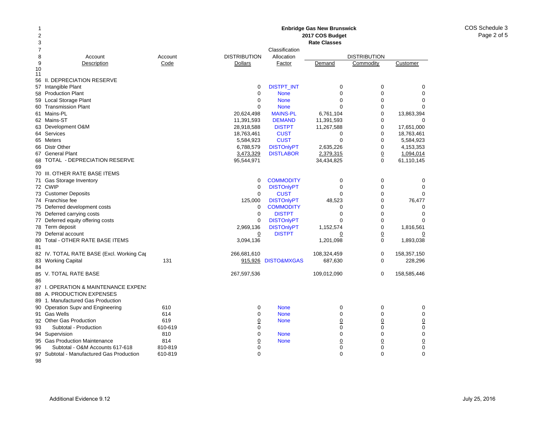#### 378 Account Account 9 Description Code 10 1156 II. DEPRECIATION RESERVE 57 Intangible Plant 58 Production Plant 59 Local Storage Plant 60 Transmission Plant 61 Mains-PL 62 Mains-ST 63 Development O&M 64 Services 65 Meters 66 Distr Other 67 General Plant 68 TOTAL - DEPRECIATION RESERVE 6970 III. OTHER RATE BASE ITEMS 71 Gas Storage Inventory 72 CWIP 73 Customer Deposits 74 Franchise fee 75 Deferred development costs 76 Deferred carrying costs 77 Deferred equity offering costs 78 Term deposit 79 Deferral account 80 Total - OTHER RATE BASE ITEMS 8182 IV. TOTAL RATE BASE (Excl. Working Cap 83Working Capital 131 8485 V. TOTAL RATE BASE 8687 I. OPERATION & MAINTENANCE EXPENS 88 A. PRODUCTION EXPENSES 89 1. Manufactured Gas Production 90 Operation Supv and Engineering 610 91Gas Wells 614 92 Other Gas Production 619 93 Subtotal - Production 610-619 94 Supervision 810 95Gas Production Maintenance **814** 96 Subtotal - O&M Accounts 617-618 810-819 **Rate Classes**ClassificationDISTRIBUTION Allocation DISTRIBUTION**Dollars** Factor Demand Commodity Customer 0DISTPT\_INT 0 0 0 0 0 None 000 0 None 000  $\Omega$  None 000 20,624,498 MAINS-PL 6,761,104 0 13,863,394 11,391,593 DEMAND 11,391,593 0 0 28,918,588 DISTPT 11,267,588 0 17,651,000 18,763,461 CUST 0 0 18,763,461 5,584,923 CUST 0 0 5,584,923 6,788,579 DISTOnlyPT 2,635,226 0 4,153,353 3,473,329 DISTLABOR 2,379,315 0 1,094,014 95,544,971 34,434,825 0 61,110,145 0**COMMODITY** Y 0 0 0 0DISTOnlyPT 0 0 0 0 0**CUST** T 0 0 0 125,000 DISTOnlyPT 48,523 0 76,477<br>0 COMMODITY 0 0 0**COMMODITY** Y 0 0 0 0 DISTPTT 0 0 0  $\Omega$ DISTONIVPT 0 0 0 0 2,969,136 DISTOnlyPT 1,152,574 0 1,816,561 0 DISTPT 0 0 0 3,094,136 1,201,098 0 1,893,038 266,681,610 108,324,459 0 158,357,150 915,926 DISTO&MXGAS 687,630 0 228,296 267,597,536 109,012,090 0 158,585,446 0 None 000 0 None 000 0 None 0 0 0 0 000 0 None 000 00 None 0 0 0 0000

**Enbridge Gas New Brunswick 2017 COS Budget** 

12

97

98

Subtotal - Manufactured Gas Production 610-819

0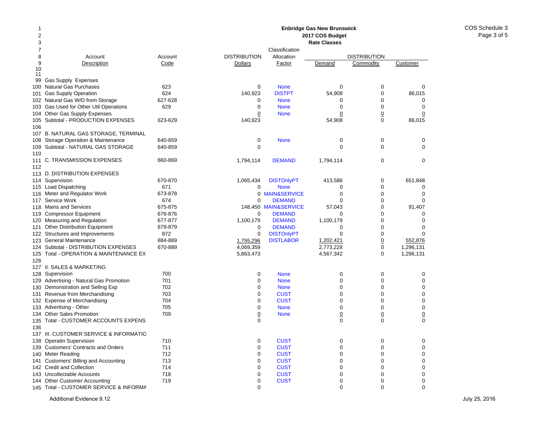#### 12378 Account Account 9Description Code 10 1199 Gas Supply Expenses 100Natural Gas Purchases 623 101Gas Supply Operation 624 102 Natural Gas W/D from Storage 627-628 103Gas Used for Other Util Operations 629 104 Other Gas Supply Expenses 105Subtotal - PRODUCTION EXPENSES 623-629 106107 B. NATURAL GAS STORAGE, TERMINAL 108 Storage Operation & Maintenance 640-859 109Subtotal - NATURAL GAS STORAGE 640-859 110111 C. TRANSMISSION EXPENSES 660-869 112113 D. DISTRIBUTION EXPENSES 114Supervision 670-870 115Load Dispatching 671 116Meter and Regulator Work 673-878 117Service Work 674 118Mains and Services 675-875 119Compressor Equipment 676-876 120 Measuring and Regulation 677-877 121Other Distribution Equipment 679-879 122 Structures and Improvements 872 123General Maintenance 884-889 124 Subtotal - DISTRIBUTION EXPENSES 670-889 125 Total - OPERATION & MAINTENANCE EX126127 II. SALES & MARKETING128Supervision 700 129Advertising - Natural Gas Promotion 701 130Demonstration and Selling Exp 702 131Revenue from Merchandising 703 132 Expense of Merchandising metal of the 704 133Advertising - Other 705 134Other Sales Promotion **709** 135 Total - CUSTOMER ACCOUNTS EXPENS 136137 III. CUSTOMER SERVICE & INFORMATIO138Operatin Supervision 710 139 Customers' Contracts and Orders 711 140Meter Reading **712** 141 Customers' Billing and Accounting 713 142 Credit and Collection 714 143Uncollectable Accounts 718 144Other Customer Accounting T19 **Enbridge Gas New Brunswick 2017 COS Budget Rate Classes**ClassificationDISTRIBUTION Allocation DISTRIBUTION**Dollars** Factor Demand Commodity Customer 0 None 000 140,923 DISTPT 54,908 0 86,015 0 None 000 0 None 000 00 None 0 0 0 140,923 54,908 0 86,015 0 None 000 0 000 1,794,114 **DEMAND** 1,794,114 0 0 0 1,065,434 DISTOnlyPT 413,586 0 651,848 0 None 000 0 MAIN&SERVICEE 0 0 0  $\Omega$  DEMANDD 0 0 0 148,450 MAIN&SERVICE 57,043 0 91,407  $\Omega$  DEMANDD 0 0 0 1,100,179 **DEMAND** 1,100,179 0 0 0  $\Omega$  DEMANDD 0 0 0 0DISTOnlyPT 0 0 0 0 1,755,296 DISTLABOR 1,202,421 0 552,876 4,069,359 2,773,228 0 1,296,131 5,863,473 4,567,342 0 1,296,131 0 None 000 0 None 000 0 None 000 0**CUST** T 0 0 0  $\Omega$ **CUST** T 0 0 0 0 None 000 0 None 0 0 0 0 000 0**CUST** T 0 0 0 0**CUST** T 0 0 0 0**CUST** T 0 0 0 0**CUST** T 0 0 0 0**CUST** T 0 0 0 0**CUST** T 0 0 0 0**CUST** T 0 0 0  $\Omega$

145 Total - CUSTOMER SERVICE & INFORMA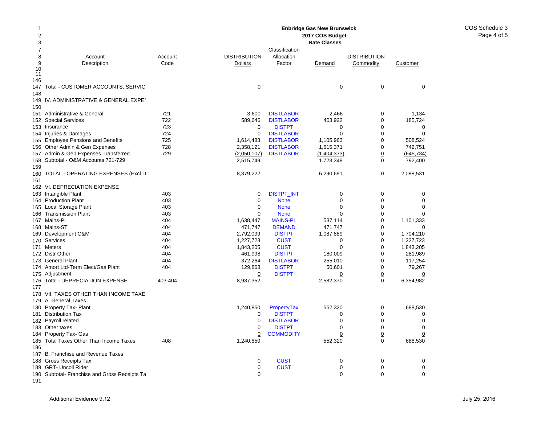| 1<br>$\overline{2}$<br>3 |                                               | <b>Enbridge Gas New Brunswick</b><br>2017 COS Budget |                     |                   |                     |                     |                            |  |  |  |
|--------------------------|-----------------------------------------------|------------------------------------------------------|---------------------|-------------------|---------------------|---------------------|----------------------------|--|--|--|
|                          |                                               |                                                      |                     |                   | <b>Rate Classes</b> |                     |                            |  |  |  |
| 7                        |                                               |                                                      |                     | Classification    |                     |                     |                            |  |  |  |
| 8                        | Account                                       | Account                                              | <b>DISTRIBUTION</b> | Allocation        |                     | <b>DISTRIBUTION</b> |                            |  |  |  |
| 9<br>10                  | Description                                   | Code                                                 | <b>Dollars</b>      | Factor            | Demand              | Commodity           | Customer                   |  |  |  |
| 11                       |                                               |                                                      |                     |                   |                     |                     |                            |  |  |  |
| 146                      |                                               |                                                      |                     |                   |                     |                     |                            |  |  |  |
| 147                      | Total - CUSTOMER ACCOUNTS, SERVIC             |                                                      | $\mathbf 0$         |                   | $\mathbf 0$         | 0                   | 0                          |  |  |  |
| 148                      |                                               |                                                      |                     |                   |                     |                     |                            |  |  |  |
| 149                      | IV. ADMINISTRATIVE & GENERAL EXPEI            |                                                      |                     |                   |                     |                     |                            |  |  |  |
| 150                      |                                               |                                                      |                     |                   |                     |                     |                            |  |  |  |
| 151                      | Administrative & General                      | 721                                                  | 3,600               | <b>DISTLABOR</b>  | 2,466               | $\mathbf 0$         | 1,134                      |  |  |  |
| 152                      | <b>Special Services</b>                       | 722                                                  | 589,646             | <b>DISTLABOR</b>  | 403,922             | $\mathbf 0$         | 185,724                    |  |  |  |
| 153                      | Insurance                                     | 723                                                  | $\mathbf 0$         | <b>DISTPT</b>     | $\mathbf 0$         | $\mathbf 0$         | $\mathbf 0$                |  |  |  |
|                          | 154 Injuries & Damages                        | 724                                                  | $\Omega$            | <b>DISTLABOR</b>  | $\Omega$            | $\Omega$            | $\Omega$                   |  |  |  |
| 155                      | <b>Employee Pensions and Benefits</b>         | 725                                                  | 1,614,488           | <b>DISTLABOR</b>  | 1,105,963           | $\mathbf 0$         | 508,524                    |  |  |  |
| 156                      | Other Admin & Gen Expenses                    | 728                                                  | 2,358,121           | <b>DISTLABOR</b>  | 1,615,371           | $\mathbf 0$         | 742,751                    |  |  |  |
| 157                      | Admin & Gen Expenses Transferred              | 729                                                  | (2,050,107)         | <b>DISTLABOR</b>  | (1,404,373)         | 0                   | (645, 734)                 |  |  |  |
| 158                      | Subtotal - O&M Accounts 721-729               |                                                      | 2,515,749           |                   | 1,723,349           | $\mathbf 0$         | 792,400                    |  |  |  |
| 159                      |                                               |                                                      |                     |                   |                     |                     |                            |  |  |  |
| 160                      | TOTAL - OPERATING EXPENSES (Excl D            |                                                      | 8,379,222           |                   | 6,290,691           | 0                   | 2,088,531                  |  |  |  |
| 161                      |                                               |                                                      |                     |                   |                     |                     |                            |  |  |  |
|                          | 162 VI. DEPRECIATION EXPENSE                  |                                                      |                     |                   |                     |                     |                            |  |  |  |
|                          | 163 Intangible Plant                          | 403                                                  | $\Omega$            | <b>DISTPT_INT</b> | $\mathbf 0$         | $\Omega$            | 0                          |  |  |  |
|                          | 164 Production Plant                          | 403                                                  | $\mathbf 0$         | <b>None</b>       | $\mathbf 0$         | $\mathbf 0$         | $\mathbf 0$                |  |  |  |
|                          | 165 Local Storage Plant                       | 403                                                  | 0                   | <b>None</b>       | $\mathbf 0$         | $\mathbf 0$         | $\mathbf 0$                |  |  |  |
| 166                      | <b>Transmission Plant</b>                     | 403                                                  | $\Omega$            | <b>None</b>       | $\Omega$            | $\Omega$            | $\Omega$                   |  |  |  |
|                          | 167 Mains-PL                                  | 404                                                  | 1,638,447           | <b>MAINS-PL</b>   | 537,114             | $\Omega$            | 1,101,333                  |  |  |  |
|                          | 168 Mains-ST                                  | 404                                                  | 471,747             | <b>DEMAND</b>     | 471,747             | $\mathbf 0$         | 0                          |  |  |  |
|                          | 169 Development O&M                           | 404                                                  | 2,792,099           | <b>DISTPT</b>     | 1,087,889           | $\Omega$            | 1,704,210                  |  |  |  |
| 170                      | Services                                      | 404                                                  | 1,227,723           | <b>CUST</b>       | $\mathbf 0$         | $\mathbf 0$         | 1,227,723                  |  |  |  |
|                          | 171 Meters                                    | 404                                                  | 1,843,205           | <b>CUST</b>       | $\mathbf 0$         | $\mathbf 0$         | 1,843,205                  |  |  |  |
|                          | 172 Distr Other                               | 404                                                  | 461,998             | <b>DISTPT</b>     | 180,009             | $\mathbf 0$         | 281,989                    |  |  |  |
| 173                      | <b>General Plant</b>                          | 404                                                  | 372,264             | <b>DISTLABOR</b>  | 255,010             | $\mathbf 0$         | 117,254                    |  |  |  |
|                          | 174 Amort Ltd-Term Elect/Gas Plant            | 404                                                  | 129,868             | <b>DISTPT</b>     | 50,601              | $\mathbf 0$         | 79,267                     |  |  |  |
| 175                      | Adjustment                                    |                                                      | $\overline{0}$      | <b>DISTPT</b>     | $\overline{0}$      | $\underline{0}$     | $\overline{0}$             |  |  |  |
|                          | 176 Total - DEPRECIATION EXPENSE              | 403-404                                              | 8,937,352           |                   | 2,582,370           | $\Omega$            | 6,354,982                  |  |  |  |
| 177                      |                                               |                                                      |                     |                   |                     |                     |                            |  |  |  |
|                          | 178 VII. TAXES OTHER THAN INCOME TAXE         |                                                      |                     |                   |                     |                     |                            |  |  |  |
| 179                      | A. General Taxes                              |                                                      |                     |                   |                     |                     |                            |  |  |  |
|                          | 180 Property Tax- Plant                       |                                                      | 1,240,850           | PropertyTax       | 552,320             | 0                   | 688,530                    |  |  |  |
|                          | 181 Distribution Tax                          |                                                      | 0                   | <b>DISTPT</b>     | 0                   | $\Omega$            | $\mathbf 0$                |  |  |  |
|                          | 182 Payroll related                           |                                                      | $\mathbf 0$         | <b>DISTLABOR</b>  | $\mathbf 0$         | $\mathbf 0$         | $\mathbf 0$                |  |  |  |
|                          | 183 Other taxes                               |                                                      | 0                   | <b>DISTPT</b>     | $\mathbf 0$         | $\mathbf 0$         | $\mathbf 0$                |  |  |  |
| 184                      | Property Tax- Gas                             |                                                      | 0                   | <b>COMMODITY</b>  | $\underline{0}$     | $\overline{0}$      | $\overline{0}$             |  |  |  |
| 185                      | <b>Total Taxes Other Than Income Taxes</b>    | 408                                                  | 1,240,850           |                   | 552,320             | $\mathbf 0$         | 688,530                    |  |  |  |
| 186                      |                                               |                                                      |                     |                   |                     |                     |                            |  |  |  |
| 187                      | B. Franchise and Revenue Taxes                |                                                      |                     |                   |                     |                     |                            |  |  |  |
|                          | 188 Gross Receipts Tax                        |                                                      | $\mathbf 0$         | <b>CUST</b>       | $\mathbf 0$         | $\mathbf 0$         | $\mathbf 0$                |  |  |  |
|                          | 189 GRT- Uncoll Rider                         |                                                      | $\overline{0}$      | <b>CUST</b>       | $\overline{0}$      | $\overline{0}$      | $\overline{0}$<br>$\Omega$ |  |  |  |
|                          | 190 Subtotal- Franchise and Gross Receipts Ta |                                                      | $\Omega$            |                   | $\Omega$            | $\Omega$            |                            |  |  |  |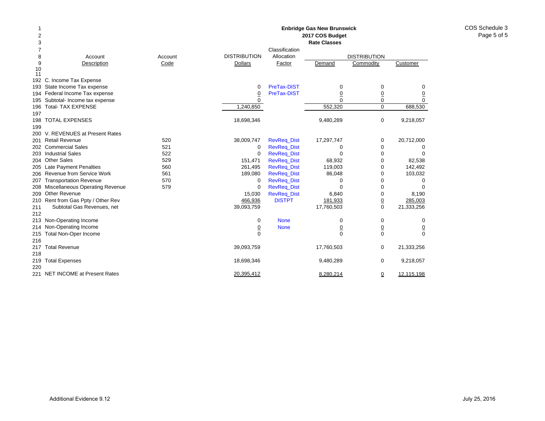| -1<br>$\mathbf 2$<br>3 |                                        |         |                     |                    | <b>Enbridge Gas New Brunswick</b><br>2017 COS Budget<br><b>Rate Classes</b> |                     |                |
|------------------------|----------------------------------------|---------|---------------------|--------------------|-----------------------------------------------------------------------------|---------------------|----------------|
| 7                      |                                        |         |                     | Classification     |                                                                             |                     |                |
| 8                      | Account                                | Account | <b>DISTRIBUTION</b> | Allocation         |                                                                             | <b>DISTRIBUTION</b> |                |
| 9<br>10                | Description                            | Code    | <b>Dollars</b>      | Factor             | Demand                                                                      | Commodity           | Customer       |
| 11                     |                                        |         |                     |                    |                                                                             |                     |                |
| 192                    | C. Income Tax Expense                  |         |                     |                    |                                                                             |                     |                |
| 193                    | State Income Tax expense               |         | $\mathbf 0$         | PreTax-DIST        | 0                                                                           | 0                   | 0              |
|                        | 194 Federal Income Tax expense         |         | $\overline{0}$      | PreTax-DIST        | $\overline{0}$                                                              | $\underline{0}$     | $\overline{0}$ |
|                        | 195 Subtotal- Income tax expense       |         | $\Omega$            |                    | $\Omega$                                                                    | 0                   | $\Omega$       |
| 196                    | <b>Total- TAX EXPENSE</b>              |         | 1,240,850           |                    | 552,320                                                                     | $\mathbf 0$         | 688,530        |
| 197                    |                                        |         |                     |                    |                                                                             |                     |                |
| 198                    | <b>TOTAL EXPENSES</b>                  |         | 18,698,346          |                    | 9,480,289                                                                   | $\mathbf 0$         | 9,218,057      |
| 199                    |                                        |         |                     |                    |                                                                             |                     |                |
| 200                    | V. REVENUES at Present Rates           |         |                     |                    |                                                                             |                     |                |
| 201                    | <b>Retail Revenue</b>                  | 520     | 38,009,747          | <b>RevReq_Dist</b> | 17,297,747                                                                  | 0                   | 20,712,000     |
| 202                    | <b>Commercial Sales</b>                | 521     | 0                   | <b>RevReq_Dist</b> | 0                                                                           | $\mathbf 0$         | 0              |
| 203                    | <b>Industrial Sales</b>                | 522     | 0                   | <b>RevReg Dist</b> | 0                                                                           | 0                   | $\Omega$       |
| 204                    | <b>Other Sales</b>                     | 529     | 151,471             | <b>RevReq_Dist</b> | 68,932                                                                      | 0                   | 82,538         |
|                        | 205 Late Payment Penalties             | 560     | 261,495             | <b>RevReq_Dist</b> | 119,003                                                                     | 0                   | 142,492        |
| 206                    | Revenue from Service Work              | 561     | 189,080             | <b>RevReq_Dist</b> | 86,048                                                                      | 0                   | 103,032        |
| 207                    | <b>Transportation Revenue</b>          | 570     | 0                   | <b>RevReq_Dist</b> | 0                                                                           | $\mathbf 0$         | 0              |
| 208                    | <b>Miscellaneous Operating Revenue</b> | 579     | $\mathbf 0$         | <b>RevReq_Dist</b> | 0                                                                           | $\mathbf 0$         | $\Omega$       |
| 209                    | <b>Other Revenue</b>                   |         | 15,030              | <b>RevReq_Dist</b> | 6,840                                                                       | $\mathbf 0$         | 8,190          |
| 210                    | Rent from Gas Ppty / Other Rev         |         | 466,936             | <b>DISTPT</b>      | 181,933                                                                     | $\underline{0}$     | 285,003        |
| 211                    | Subtotal Gas Revenues, net             |         | 39,093,759          |                    | 17,760,503                                                                  | $\mathbf 0$         | 21,333,256     |
| 212                    |                                        |         |                     |                    |                                                                             |                     |                |
| 213                    | Non-Operating Income                   |         | 0                   | <b>None</b>        | 0                                                                           | 0                   | 0              |
| 214.                   | Non-Operating Income                   |         | $\overline{0}$      | <b>None</b>        | $\overline{0}$                                                              | $\underline{0}$     | $\overline{0}$ |
| 215                    | <b>Total Non-Oper Income</b>           |         | $\Omega$            |                    | $\Omega$                                                                    | $\Omega$            | $\Omega$       |
| 216                    |                                        |         |                     |                    |                                                                             |                     |                |
| 217                    | <b>Total Revenue</b>                   |         | 39,093,759          |                    | 17,760,503                                                                  | 0                   | 21,333,256     |
| 218                    |                                        |         |                     |                    |                                                                             |                     |                |
| 219                    | <b>Total Expenses</b>                  |         | 18,698,346          |                    | 9,480,289                                                                   | $\mathbf 0$         | 9,218,057      |
| 220                    |                                        |         |                     |                    |                                                                             |                     |                |
|                        | 221 NET INCOME at Present Rates        |         | 20,395,412          |                    | 8,280,214                                                                   | ₫                   | 12,115,198     |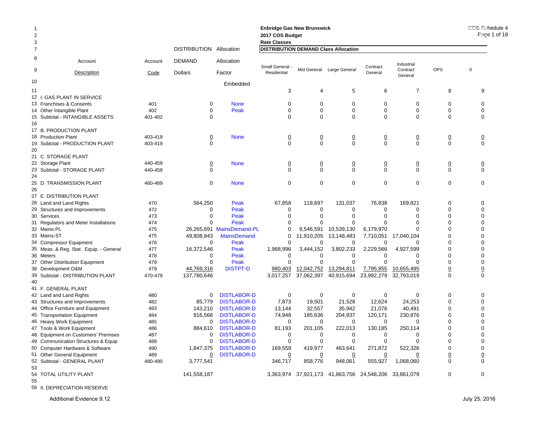| $\mathbf 1$<br>$\boldsymbol{2}$<br>3 |                                                               |            |                         |                           | <b>Enbridge Gas New Brunswick</b><br>2017 COS Budget<br><b>Rate Classes</b> |                   |                                            |                   |                     |                 | COS Schedule 4<br>Page 1 of 18 |
|--------------------------------------|---------------------------------------------------------------|------------|-------------------------|---------------------------|-----------------------------------------------------------------------------|-------------------|--------------------------------------------|-------------------|---------------------|-----------------|--------------------------------|
| $\overline{7}$                       |                                                               |            | DISTRIBUTION Allocation |                           | <b>DISTRIBUTION DEMAND Class Allocation</b>                                 |                   |                                            |                   |                     |                 |                                |
| 8                                    | Account                                                       | Account    | <b>DEMAND</b>           | Allocation                | Small General                                                               |                   |                                            | Contract          | Industrial          |                 |                                |
| 9                                    | Description                                                   | Code       | <b>Dollars</b>          | Factor                    | Residential                                                                 |                   | Mid General Large General                  | General           | Contract<br>General | <b>OPS</b>      | $\mathbf 0$                    |
| 10                                   |                                                               |            |                         | Embedded                  |                                                                             |                   |                                            |                   |                     |                 |                                |
| 11                                   |                                                               |            |                         |                           | 3                                                                           | 4                 | $\sqrt{5}$                                 | 6                 | $\overline{7}$      | 8               | 9                              |
|                                      | 12 I. GAS PLANT IN SERVICE                                    |            |                         |                           |                                                                             |                   |                                            |                   |                     |                 |                                |
|                                      | 13 Franchises & Consents                                      | 401        | 0                       | <b>None</b>               | 0                                                                           | $\Omega$          | $\mathbf 0$                                | $\mathbf 0$       | 0                   | 0               | 0                              |
|                                      | 14 Other Intangible Plant                                     | 402        | $\Omega$                | Peak                      | $\Omega$                                                                    | $\Omega$          | $\mathbf 0$                                | $\mathbf 0$       | $\mathbf 0$         | $\mathbf 0$     | $\mathbf 0$                    |
| 16                                   | 15 Subtotal - INTANGIBLE ASSETS                               | 401-402    | $\Omega$                |                           | $\Omega$                                                                    | $\Omega$          | $\mathbf 0$                                | $\mathbf 0$       | $\mathbf 0$         | $\mathbf 0$     | $\Omega$                       |
|                                      | 17 B. PRODUCTION PLANT                                        |            |                         |                           |                                                                             |                   |                                            |                   |                     |                 |                                |
|                                      | 18 Production Plant                                           | 403-419    | $\overline{0}$          | <b>None</b>               | $\overline{0}$                                                              | $\overline{0}$    | $\overline{0}$                             | $\overline{0}$    | $\overline{0}$      | $\overline{0}$  | $\overline{0}$                 |
|                                      | 19 Subtotal - PRODUCTION PLANT                                | 403-419    | $\mathbf 0$             |                           | $\Omega$                                                                    | $\mathbf 0$       | $\mathbf 0$                                | $\mathbf 0$       | $\mathbf 0$         | $\mathbf 0$     | $\mathbf 0$                    |
| 20                                   |                                                               |            |                         |                           |                                                                             |                   |                                            |                   |                     |                 |                                |
|                                      | 21 C. STORAGE PLANT                                           |            |                         |                           |                                                                             |                   |                                            |                   |                     |                 |                                |
|                                      | 22 Storage Plant                                              | 440-459    | $\overline{0}$          | <b>None</b>               | $\overline{0}$                                                              | $\underline{0}$   | $\underline{0}$                            | $\underline{0}$   | $\underline{0}$     | $\underline{0}$ | $\overline{0}$                 |
| 24                                   | 23 Subtotal - STORAGE PLANT                                   | 440-459    | 0                       |                           | $\Omega$                                                                    | $\Omega$          | $\mathbf 0$                                | $\mathbf 0$       | $\mathbf 0$         | $\mathbf 0$     | $\Omega$                       |
| 26                                   | 25 D. TRANSMISSION PLANT                                      | 460-469    | 0                       | <b>None</b>               | $\mathbf 0$                                                                 | $\mathbf 0$       | $\mathbf 0$                                | $\mathbf 0$       | $\mathbf 0$         | $\mathbf 0$     | $\mathbf 0$                    |
|                                      |                                                               |            |                         |                           |                                                                             |                   |                                            |                   |                     |                 |                                |
|                                      | 27 E. DISTRIBUTION PLANT                                      |            |                         |                           |                                                                             |                   |                                            |                   | 169.821             | $\mathbf 0$     | $\Omega$                       |
|                                      | 28 Land and Land Rights                                       | 470        | 564,250                 | Peak                      | 67,858                                                                      | 118,697           | 131,037                                    | 76,838            |                     |                 |                                |
|                                      | 29 Structures and Improvements                                | 472        | $\mathbf 0$<br>$\Omega$ | Peak                      | 0<br>$\Omega$                                                               | 0<br>$\Omega$     | 0<br>$\Omega$                              | 0<br>$\Omega$     | 0<br>$\Omega$       | 0<br>$\Omega$   | $\mathbf 0$<br>$\Omega$        |
|                                      | 30 Services                                                   | 473        | $\Omega$                | Peak                      |                                                                             | n                 |                                            |                   |                     |                 |                                |
|                                      | 31 Regulators and Meter Installations                         | 474        |                         | Peak                      | ∩                                                                           |                   | $\Omega$                                   | 0                 | 0                   | 0               | $\mathbf 0$                    |
|                                      | 32 Mains-PL                                                   | 475        |                         | 26,265,691 MainsDemand-PL | O                                                                           | 9,546,591         | 10,539,130                                 | 6,179,970         | 0                   | 0<br>0          | $\Omega$                       |
|                                      | 33 Mains-ST                                                   | 475        | 49,808,843              | <b>MainsDemand</b>        | $\Omega$                                                                    | 11,910,205        | 13,148,483                                 | 7,710,051         | 17,040,104          |                 | $\mathbf 0$                    |
|                                      | 34 Compressor Equipment                                       | 476        | $\Omega$                | Peak                      | $\Omega$                                                                    | O                 | 0                                          | $\Omega$          | O                   | 0               | $\Omega$                       |
|                                      | 35 Meas. & Reg. Stat. Equip. - General                        | 477        | 16,372,546              | Peak                      | 1,968,996                                                                   | 3,444,152         | 3,802,233                                  | 2,229,566         | 4,927,599           | 0               | $\mathbf 0$                    |
|                                      | 36 Meters                                                     | 478        | $\Omega$                | Peak                      | $\Omega$                                                                    | $\Omega$          | 0                                          | $\Omega$          | 0                   | 0               | $\mathbf 0$                    |
|                                      | 37 Other Distribution Equipment                               | 479        | 0                       | Peak                      | $\Omega$                                                                    | $\Omega$          | $\mathbf 0$                                | $\mathbf 0$       | 0                   | 0               | $\mathbf 0$                    |
|                                      | 38 Development O&M                                            | 479        | 44,769,316              | <b>DISTPT-D</b>           | 980,403                                                                     | 12,042,752        | 13,294,811                                 | 7,795,855         | 10,655,495          | <u>0</u>        | $\underline{0}$                |
|                                      | 39 Subtotal - DISTRIBUTION PLANT                              | 470-479    | 137,780,646             |                           | 3,017,257                                                                   | 37,062,397        | 40,915,694                                 | 23,992,279        | 32,793,019          | $\mathbf 0$     | $\mathbf 0$                    |
| 40                                   | 41 F. GENERAL PLANT                                           |            |                         |                           |                                                                             |                   |                                            |                   |                     |                 |                                |
|                                      |                                                               |            | $\mathbf 0$             | <b>DISTLABOR-D</b>        | $\mathbf 0$                                                                 | $\mathbf 0$       | $\mathbf 0$                                | $\mathbf 0$       | $\mathbf 0$         | $\mathbf 0$     | $\mathbf 0$                    |
|                                      | 42 Land and Land Rights                                       | 480<br>482 | 85,779                  | <b>DISTLABOR-D</b>        | 7,873                                                                       | 19,501            | 21,528                                     | 12,624            | 24,253              | 0               | $\mathbf 0$                    |
|                                      | 43 Structures and Improvements                                |            |                         | <b>DISTLABOR-D</b>        |                                                                             |                   |                                            |                   |                     | 0               | $\mathbf 0$                    |
|                                      | 44 Office Furniture and Equipment                             | 483<br>484 | 143,210<br>816,568      | <b>DISTLABOR-D</b>        | 13,144<br>74,948                                                            | 32,557<br>185,636 | 35,942<br>204,937                          | 21,076<br>120,171 | 40,491<br>230,876   | 0               | $\mathbf 0$                    |
|                                      | 45 Transportation Equipment                                   |            | 0                       | <b>DISTLABOR-D</b>        | 0                                                                           | 0                 | 0                                          | 0                 | $\mathbf 0$         | 0               | 0                              |
|                                      | 46 Heavy Work Equipment                                       | 485        |                         | <b>DISTLABOR-D</b>        | 81,193                                                                      |                   | 222,013                                    |                   | 250,114             | $\Omega$        | $\Omega$                       |
|                                      | 47 Tools & Work Equipment                                     | 486        | 884,610<br>0            | <b>DISTLABOR-D</b>        | 0                                                                           | 201,105<br>0      | 0                                          | 130,185<br>0      | 0                   | 0               | $\mathbf 0$                    |
|                                      | 48 Equipment on Customers' Premises                           | 487        | $\mathbf 0$             | <b>DISTLABOR-D</b>        | $\mathbf 0$                                                                 | $\mathbf 0$       | $\mathbf 0$                                | $\mathbf 0$       | $\mathbf 0$         | 0               | $\mathbf 0$                    |
|                                      | 49 Communication Structures & Equip                           | 488<br>490 | 1,847,375               | <b>DISTLABOR-D</b>        |                                                                             |                   | 463,641                                    | 271,872           | 522,326             | 0               | $\mathbf 0$                    |
|                                      | 50 Computer Hardware & Software<br>51 Other General Equipment |            |                         | <b>DISTLABOR-D</b>        | 169,559                                                                     | 419,977           |                                            |                   |                     |                 |                                |
|                                      |                                                               | 489        | $\overline{0}$          |                           | $\overline{0}$                                                              | $\overline{0}$    | $\overline{0}$                             | $\overline{0}$    | 0                   | $\underline{0}$ | $\overline{0}$                 |
| 53                                   | 52 Subtotal - GENERAL PLANT                                   | 480-490    | 3,777,541               |                           | 346,717                                                                     | 858,776           | 948,061                                    | 555,927           | 1,068,060           | $\mathbf 0$     | $\mathbf 0$                    |
|                                      | 54 TOTAL UTILITY PLANT                                        |            | 141,558,187             |                           |                                                                             |                   | 3,363,974 37,921,173 41,863,756 24,548,206 |                   | 33,861,079          | $\Omega$        | $\Omega$                       |
| 55                                   |                                                               |            |                         |                           |                                                                             |                   |                                            |                   |                     |                 |                                |

56 II. DEPRECIATION RESERVE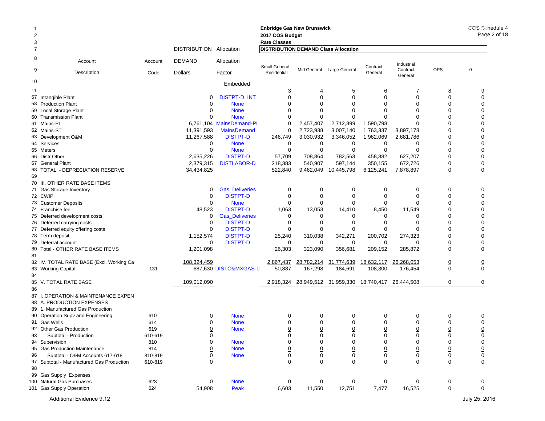|       |                                          |         |                         |                          | <b>Enbridge Gas New Brunswick</b>           |                |                           |                |                     |                                | COS Schedule 4 |
|-------|------------------------------------------|---------|-------------------------|--------------------------|---------------------------------------------|----------------|---------------------------|----------------|---------------------|--------------------------------|----------------|
|       |                                          |         |                         |                          | 2017 COS Budget                             |                |                           |                |                     |                                | Page 2 of 18   |
| 3     |                                          |         |                         |                          | <b>Rate Classes</b>                         |                |                           |                |                     |                                |                |
| 7     |                                          |         | DISTRIBUTION Allocation |                          | <b>DISTRIBUTION DEMAND Class Allocation</b> |                |                           |                |                     |                                |                |
| 8     | Account                                  | Account | <b>DEMAND</b>           | Allocation               | Small General -                             |                |                           | Contract       | Industrial          |                                |                |
| 9     | <b>Description</b>                       | Code    | <b>Dollars</b>          | Factor                   | Residential                                 |                | Mid General Large General | General        | Contract<br>General | <b>OPS</b>                     | $\mathbf 0$    |
| 10    |                                          |         |                         | Embedded                 |                                             |                |                           |                |                     |                                |                |
| 11    |                                          |         |                         |                          | 3                                           | 4              | 5                         | 6              | 7                   | 8                              | 9              |
| 57    | Intangible Plant                         |         | 0                       | <b>DISTPT-D INT</b>      | $\mathbf 0$                                 | $\mathbf 0$    | $\mathbf 0$               | $\Omega$       | 0                   | $\Omega$                       | $\mathbf 0$    |
|       | 58 Production Plant                      |         | $\mathbf 0$             | <b>None</b>              | 0                                           | $\Omega$       | 0                         | $\Omega$       | $\Omega$            | $\Omega$                       | $\Omega$       |
|       | 59 Local Storage Plant                   |         | $\mathbf 0$             | <b>None</b>              | $\Omega$                                    | $\Omega$       | $\Omega$                  | $\Omega$       | $\Omega$            | $\Omega$                       | $\Omega$       |
|       | 60 Transmission Plant                    |         | 0                       | <b>None</b>              | $\Omega$                                    | $\Omega$       | $\mathbf 0$               | $\Omega$       | $\Omega$            | $\Omega$                       | $\Omega$       |
|       | 61 Mains-PL                              |         |                         | 6,761,104 MainsDemand-PL | 0                                           | 2,457,407      | 2,712,899                 | 1,590,798      | $\Omega$            | $\Omega$                       | $\Omega$       |
|       | 62 Mains-ST                              |         | 11,391,593              | <b>MainsDemand</b>       | 0                                           | 2,723,938      | 3,007,140                 | 1,763,337      | 3,897,178           | $\Omega$                       | $\Omega$       |
|       | 63 Development O&M                       |         | 11,267,588              | <b>DISTPT-D</b>          | 246,749                                     | 3,030,932      | 3,346,052                 | 1,962,069      | 2,681,786           | $\Omega$                       | $\Omega$       |
|       | 64 Services                              |         | 0                       | <b>None</b>              | 0                                           | 0              | 0                         | 0              | 0                   | $\Omega$                       | $\Omega$       |
|       | 65 Meters                                |         | 0                       | <b>None</b>              | 0                                           | $\mathbf 0$    | $\mathbf 0$               | 0              | $\Omega$            | $\mathbf 0$                    | $\Omega$       |
|       | 66 Distr Other                           |         | 2,635,226               | <b>DISTPT-D</b>          | 57,709                                      | 708,864        | 782,563                   | 458,882        | 627,207             | $\mathbf 0$                    | $\mathbf 0$    |
|       | 67 General Plant                         |         | 2,379,315               | <b>DISTLABOR-D</b>       | 218,383                                     | 540,907        | 597,144                   | 350,155        | 672,726             | $\overline{0}$                 | $\overline{0}$ |
|       | 68 TOTAL - DEPRECIATION RESERVE          |         | 34,434,825              |                          | 522,840                                     | 9,462,049      | 10,445,798                | 6,125,241      | 7,878,897           | $\mathbf 0$                    | $\mathbf 0$    |
| 69    |                                          |         |                         |                          |                                             |                |                           |                |                     |                                |                |
|       | 70 III. OTHER RATE BASE ITEMS            |         |                         |                          |                                             |                |                           |                |                     |                                |                |
|       | 71 Gas Storage Inventory                 |         | 0                       | <b>Gas_Deliveries</b>    | 0                                           | 0              | 0                         | 0              | 0                   | $\mathbf 0$                    | 0              |
|       | 72 CWIP                                  |         | 0                       | <b>DISTPT-D</b>          | $\mathbf 0$                                 | $\mathbf 0$    | $\mathbf 0$               | $\Omega$       | $\Omega$            | $\Omega$                       | $\mathbf 0$    |
|       | 73 Customer Deposits                     |         | $\mathbf 0$             | <b>None</b>              | 0                                           | $\mathbf 0$    | 0                         | $\Omega$       | $\Omega$            | $\Omega$                       | $\Omega$       |
|       | 74 Franchise fee                         |         | 48,523                  | <b>DISTPT-D</b>          | 1,063                                       | 13,053         | 14,410                    | 8,450          | 11,549              | $\Omega$                       | $\Omega$       |
|       | 75 Deferred development costs            |         | 0                       | <b>Gas_Deliveries</b>    | 0                                           | 0              | 0                         | 0              | 0                   | 0                              | $\Omega$       |
|       | 76 Deferred carrying costs               |         | 0                       | <b>DISTPT-D</b>          | 0                                           | 0              | 0                         | $\Omega$       | $\Omega$            | $\Omega$                       | $\Omega$       |
|       | 77 Deferred equity offering costs        |         | 0                       | <b>DISTPT-D</b>          | $\Omega$                                    | $\Omega$       | $\Omega$                  | $\Omega$       | $\Omega$            | $\Omega$                       | $\mathbf 0$    |
|       | 78 Term deposit                          |         | 1,152,574               | <b>DISTPT-D</b>          | 25,240                                      | 310,038        | 342,271                   | 200,702        | 274,323             | $\Omega$                       | $\Omega$       |
|       | 79 Deferral account                      |         | $\overline{0}$          | <b>DISTPT-D</b>          | $\overline{0}$                              | $\overline{0}$ | $\overline{0}$            | 0              | 0                   | $\underline{0}$                | $\overline{0}$ |
| 81    | 80 Total - OTHER RATE BASE ITEMS         |         | 1,201,098               |                          | 26,303                                      | 323,090        | 356,681                   | 209,152        | 285,872             | $\mathbf 0$                    | $\mathbf 0$    |
|       | 82 IV. TOTAL RATE BASE (Excl. Working Ca |         | 108,324,459             |                          | 2,867,437                                   | 28,782,214     | 31,774,639                | 18,632,117     | 26,268,053          | $\overline{0}$                 | $\overline{0}$ |
|       | 83 Working Capital                       | 131     |                         | 687,630 DISTO&MXGAS-D    | 50,887                                      | 167,298        | 184,691                   | 108,300        | 176,454             | $\mathbf 0$                    | $\mathbf 0$    |
| 84    |                                          |         |                         |                          |                                             |                |                           |                |                     |                                |                |
|       | 85 V. TOTAL RATE BASE                    |         | 109,012,090             |                          | 2,918,324                                   |                | 28,949,512 31,959,330     | 18,740,417     | 26,444,508          | 0                              | 0              |
| 86    |                                          |         |                         |                          |                                             |                |                           |                |                     |                                |                |
| 87 I. | OPERATION & MAINTENANCE EXPEN            |         |                         |                          |                                             |                |                           |                |                     |                                |                |
|       | 88 A. PRODUCTION EXPENSES                |         |                         |                          |                                             |                |                           |                |                     |                                |                |
|       | 89 1. Manufactured Gas Production        |         |                         |                          |                                             |                |                           |                |                     |                                |                |
|       | 90 Operation Supv and Engineering        | 610     | 0                       | <b>None</b>              | 0                                           | 0              | 0                         | 0              | 0                   | 0                              | 0              |
|       | 91 Gas Wells                             | 614     | 0                       | <b>None</b>              | $\Omega$                                    | 0              | 0                         | $\Omega$       | $\Omega$            | $\Omega$                       | $\Omega$       |
|       | 92 Other Gas Production                  | 619     | <u>0</u>                | <b>None</b>              | $\overline{0}$                              | $\overline{0}$ | $\overline{0}$            | $\overline{0}$ | $\overline{0}$      | 0                              | $\overline{0}$ |
| 93    | Subtotal - Production                    | 610-619 | 0                       |                          | 0                                           | 0              | 0                         | 0              | 0                   | 0                              | $\mathbf 0$    |
|       | 94 Supervision                           | 810     | 0                       | <b>None</b>              | 0                                           | $\mathbf 0$    | 0                         | 0              | 0                   | 0                              | $\mathbf 0$    |
|       | 95 Gas Production Maintenance            | 814     | $\pmb{0}$               | <b>None</b>              |                                             |                |                           | $\overline{0}$ | $\overline{0}$      | $\overline{0}$                 |                |
| 96    | Subtotal - O&M Accounts 617-618          | 810-819 | $\pmb{0}$               | <b>None</b>              | $\frac{0}{0}$                               | $\frac{0}{0}$  | $\frac{0}{0}$             | $\mathbf 0$    | $\underline{0}$     |                                | $\frac{0}{0}$  |
| 97    | Subtotal - Manufactured Gas Production   | 610-819 | $\mathbf 0$             |                          |                                             | $\mathbf 0$    |                           | $\mathbf 0$    | $\mathbf 0$         | $\underline{0}$<br>$\mathbf 0$ |                |
| 98    |                                          |         |                         |                          |                                             |                |                           |                |                     |                                |                |
|       | 99 Gas Supply Expenses                   |         |                         |                          |                                             |                |                           |                |                     |                                |                |
|       | 100 Natural Gas Purchases                | 623     | 0                       | <b>None</b>              | 0                                           | 0              | 0                         | 0              | 0                   | 0                              | 0              |
|       | 101 Gas Supply Operation                 | 624     | 54,908                  | Peak                     | 6,603                                       | 11,550         | 12,751                    | 7,477          | 16,525              | $\pmb{0}$                      | $\mathbf 0$    |
|       |                                          |         |                         |                          |                                             |                |                           |                |                     |                                |                |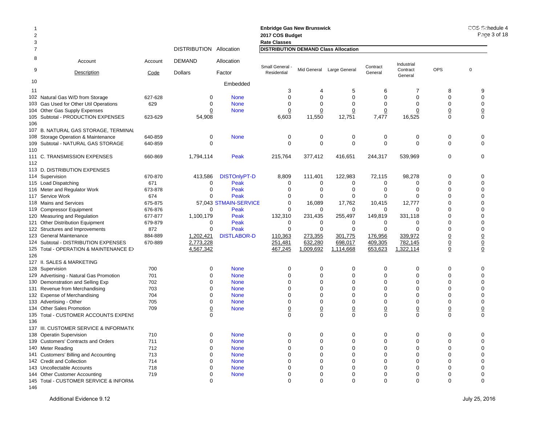| $\overline{2}$ |                                         |         |                         |                       | <b>Enbridge Gas New Brunswick</b><br>2017 COS Budget |                |                                             |                |                        |                         | COS Schedule 4<br>Page 3 of 18 |
|----------------|-----------------------------------------|---------|-------------------------|-----------------------|------------------------------------------------------|----------------|---------------------------------------------|----------------|------------------------|-------------------------|--------------------------------|
| 3              |                                         |         |                         |                       | <b>Rate Classes</b>                                  |                |                                             |                |                        |                         |                                |
| $\overline{7}$ |                                         |         | DISTRIBUTION Allocation |                       |                                                      |                | <b>DISTRIBUTION DEMAND Class Allocation</b> |                |                        |                         |                                |
| 8<br>9         | Account                                 | Account | <b>DEMAND</b>           | Allocation            | Small General                                        | Mid General    | Large General                               | Contract       | Industrial<br>Contract | OPS                     | $\mathbf 0$                    |
|                | Description                             | Code    | <b>Dollars</b>          | Factor                | Residential                                          |                |                                             | General        | General                |                         |                                |
| 10             |                                         |         |                         | Embedded              |                                                      |                |                                             |                |                        |                         |                                |
| 11             |                                         |         |                         |                       | 3                                                    | 4              | 5                                           | 6              | 7                      | 8                       | 9                              |
|                | 102 Natural Gas W/D from Storage        | 627-628 | $\Omega$                | <b>None</b>           | $\Omega$                                             | $\Omega$       | $\Omega$                                    | $\Omega$       | $\Omega$               | $\Omega$                | $\mathbf 0$                    |
|                | 103 Gas Used for Other Util Operations  | 629     | 0                       | <b>None</b>           | 0                                                    | 0              | 0                                           | 0              | 0                      | $\mathbf 0$             | $\mathbf 0$                    |
|                | 104 Other Gas Supply Expenses           |         | 0                       | <b>None</b>           | $\overline{0}$                                       | 0              | $\overline{0}$                              | $\overline{0}$ | 0                      | $\underline{0}$         | $\overline{0}$                 |
|                | 105 Subtotal - PRODUCTION EXPENSES      | 623-629 | 54,908                  |                       | 6,603                                                | 11,550         | 12,751                                      | 7,477          | 16,525                 | $\mathbf 0$             | $\mathbf 0$                    |
| 106            |                                         |         |                         |                       |                                                      |                |                                             |                |                        |                         |                                |
|                | 107 B. NATURAL GAS STORAGE, TERMINAL    |         |                         |                       |                                                      |                |                                             |                |                        |                         |                                |
|                | 108 Storage Operation & Maintenance     | 640-859 | 0                       | <b>None</b>           | $\mathbf 0$                                          | 0              | $\pmb{0}$                                   | $\pmb{0}$      | $\mathbf 0$            | $\mathbf 0$             | $\mathbf 0$                    |
|                | 109 Subtotal - NATURAL GAS STORAGE      | 640-859 | $\Omega$                |                       | $\mathbf 0$                                          | 0              | $\mathbf 0$                                 | 0              | $\mathbf 0$            | $\mathbf 0$             | $\mathbf 0$                    |
| 110            |                                         |         |                         |                       |                                                      |                |                                             |                |                        |                         |                                |
| 112            | 111 C. TRANSMISSION EXPENSES            | 660-869 | 1,794,114               | Peak                  | 215,764                                              | 377,412        | 416,651                                     | 244,317        | 539,969                | $\mathbf 0$             | $\mathbf 0$                    |
|                | 113 D. DISTRIBUTION EXPENSES            |         |                         |                       |                                                      |                |                                             |                |                        |                         |                                |
|                | 114 Supervision                         | 670-870 | 413,586                 | <b>DISTOnlyPT-D</b>   | 8,809                                                | 111,401        | 122,983                                     | 72,115         | 98,278                 | $\mathbf 0$             | $\Omega$                       |
|                |                                         | 671     | $\mathbf 0$             | Peak                  | 0                                                    | 0              | 0                                           | 0              | 0                      | 0                       | $\mathbf 0$                    |
|                | 115 Load Dispatching                    |         | $\Omega$                | Peak                  | $\mathbf 0$                                          | 0              | 0                                           | 0              | $\mathbf 0$            | $\Omega$                | $\Omega$                       |
|                | 116 Meter and Regulator Work            | 673-878 |                         |                       |                                                      |                |                                             |                |                        |                         |                                |
|                | 117 Service Work                        | 674     | 0                       | Peak                  | $\mathbf 0$                                          | 0              | 0                                           | 0              | 0                      | $\mathbf 0$<br>$\Omega$ | $\mathbf 0$<br>$\Omega$        |
|                | 118 Mains and Services                  | 675-875 |                         | 57,043 STMAIN-SERVICE | $\mathbf 0$                                          | 16,089         | 17,762                                      | 10,415         | 12,777                 |                         |                                |
|                | 119 Compressor Equipment                | 676-876 | 0                       | Peak                  | $\mathbf 0$                                          | 0              | 0                                           | $\Omega$       | 0                      | $\mathbf 0$             | $\mathbf 0$                    |
|                | 120 Measuring and Regulation            | 677-877 | 1,100,179               | Peak                  | 132,310                                              | 231,435        | 255,497                                     | 149,819        | 331,118                | $\Omega$                | $\Omega$                       |
|                | 121 Other Distribution Equipment        | 679-879 | 0                       | Peak                  | 0                                                    | 0              | 0                                           | 0              | 0                      | $\mathbf 0$             | $\mathbf 0$                    |
|                | 122 Structures and Improvements         | 872     | $\Omega$                | Peak                  | $\mathbf 0$                                          | 0              | 0                                           | 0              | $\Omega$               | $\Omega$                | $\mathbf 0$                    |
|                | 123 General Maintenance                 | 884-889 | 1,202,421               | <b>DISTLABOR-D</b>    | 110,363                                              | 273,355        | 301,775                                     | 176,956        | 339,972                | $\underline{0}$         | $\overline{0}$                 |
|                | 124 Subtotal - DISTRIBUTION EXPENSES    | 670-889 | 2,773,228               |                       | 251,481                                              | 632,280        | 698,017                                     | 409,305        | 782,145                | $\underline{0}$         | $\underline{0}$                |
|                | 125 Total - OPERATION & MAINTENANCE E>  |         | 4,567,342               |                       | 467,245                                              | 1,009,692      | 1,114,668                                   | 653,623        | 1,322,114              | $\underline{0}$         | $\mathbf 0$                    |
| 126            |                                         |         |                         |                       |                                                      |                |                                             |                |                        |                         |                                |
|                | 127 II. SALES & MARKETING               |         |                         |                       |                                                      |                |                                             |                |                        |                         |                                |
|                | 128 Supervision                         | 700     | 0                       | <b>None</b>           | 0                                                    | 0              | 0                                           | 0              | 0                      | $\mathbf 0$             | $\mathbf 0$                    |
|                | 129 Advertising - Natural Gas Promotion | 701     | $\Omega$                | <b>None</b>           | $\Omega$                                             | $\Omega$       | 0                                           | $\Omega$       | $\mathbf 0$            | $\Omega$                | $\Omega$                       |
|                | 130 Demonstration and Selling Exp       | 702     | $\Omega$                | <b>None</b>           | 0                                                    | $\Omega$       | 0                                           | $\Omega$       | $\Omega$               | $\Omega$                | $\mathbf 0$                    |
|                | 131 Revenue from Merchandising          | 703     | $\Omega$                | <b>None</b>           | $\Omega$                                             | 0              | 0                                           | 0              | $\mathbf 0$            | $\mathbf 0$             | $\mathbf 0$                    |
|                | 132 Expense of Merchandising            | 704     | $\Omega$                | <b>None</b>           | 0                                                    | $\Omega$       | 0                                           | $\Omega$       | $\mathbf 0$            | $\Omega$                | $\mathbf 0$                    |
|                | 133 Advertising - Other                 | 705     | 0                       | <b>None</b>           | $\mathbf 0$                                          | 0              | 0                                           | 0              | $\mathbf 0$            | $\mathbf 0$             | $\mathbf 0$                    |
|                | 134 Other Sales Promotion               | 709     | 0                       | <b>None</b>           | $\underline{0}$                                      | $\overline{0}$ | $\overline{0}$                              | $\overline{0}$ | $\underline{0}$        | $\overline{0}$          | $\overline{0}$                 |
|                | 135 Total - CUSTOMER ACCOUNTS EXPENS    |         | 0                       |                       | $\mathbf 0$                                          | 0              | $\mathbf 0$                                 | 0              | $\mathbf 0$            | $\mathbf 0$             | $\mathbf 0$                    |
| 136            |                                         |         |                         |                       |                                                      |                |                                             |                |                        |                         |                                |
|                | 137 III. CUSTOMER SERVICE & INFORMATI(  |         |                         |                       |                                                      |                |                                             |                |                        |                         |                                |
|                | 138 Operatin Supervision                | 710     | $\Omega$                | <b>None</b>           | 0                                                    | 0              | 0                                           | 0              | 0                      | 0                       | $\Omega$                       |
|                | 139 Customers' Contracts and Orders     | 711     | $\Omega$                | <b>None</b>           | 0                                                    | 0              | 0                                           | $\Omega$       | $\mathbf 0$            | $\Omega$                | $\mathbf 0$                    |
|                | 140 Meter Reading                       | 712     | O                       | <b>None</b>           | 0                                                    | 0              | 0                                           | 0              | $\mathbf 0$            | $\mathbf 0$             | $\mathbf 0$                    |
|                | 141 Customers' Billing and Accounting   | 713     | $\Omega$                | <b>None</b>           | 0                                                    | $\Omega$       | $\Omega$                                    | 0              | $\Omega$               | $\Omega$                | $\Omega$                       |
|                | 142 Credit and Collection               | 714     | $\Omega$                | <b>None</b>           | 0                                                    | 0              | 0                                           | $\Omega$       | $\mathbf 0$            | $\Omega$                | $\Omega$                       |
|                | 143 Uncollectable Accounts              | 718     | $\Omega$                | <b>None</b>           | 0                                                    | $\Omega$       | $\Omega$                                    | 0              | 0                      | $\Omega$                | $\Omega$                       |
|                | 144 Other Customer Accounting           | 719     | $\Omega$                | <b>None</b>           | 0                                                    | 0              | 0                                           | 0              | 0                      | $\mathbf 0$             | $\mathbf 0$                    |
|                | 145 Total - CUSTOMER SERVICE & INFORM,  |         | $\Omega$                |                       | $\Omega$                                             | $\Omega$       | $\Omega$                                    | $\Omega$       | $\Omega$               | $\Omega$                | $\Omega$                       |

<sup>146</sup>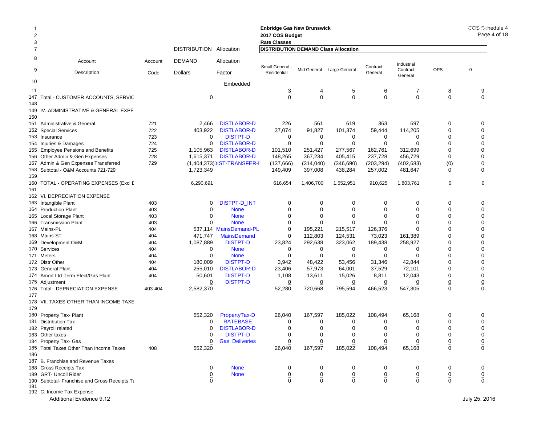| $\overline{2}$<br>3 |                                               |         |                         |                            | <b>Enbridge Gas New Brunswick</b><br>2017 COS Budget<br><b>Rate Classes</b> |                |                           |                |                     |                 | COS Schedule 4<br>Page 4 of $18$ |
|---------------------|-----------------------------------------------|---------|-------------------------|----------------------------|-----------------------------------------------------------------------------|----------------|---------------------------|----------------|---------------------|-----------------|----------------------------------|
| 7                   |                                               |         | DISTRIBUTION Allocation |                            | <b>DISTRIBUTION DEMAND Class Allocation</b>                                 |                |                           |                |                     |                 |                                  |
| 8                   | Account                                       | Account | <b>DEMAND</b>           | Allocation                 | Small General -                                                             |                |                           | Contract       | Industrial          |                 |                                  |
| 9                   | Description                                   | Code    | <b>Dollars</b>          | Factor                     | Residential                                                                 |                | Mid General Large General | General        | Contract<br>General | <b>OPS</b>      | $\mathbf 0$                      |
| 10                  |                                               |         |                         | Embedded                   |                                                                             |                |                           |                |                     |                 |                                  |
| 11                  |                                               |         |                         |                            | 3                                                                           | 4              | 5                         | 6              | $\overline{7}$      | 8               | 9                                |
|                     | 147 Total - CUSTOMER ACCOUNTS, SERVIC         |         | 0                       |                            | $\mathbf 0$                                                                 | $\mathbf 0$    | 0                         | $\mathbf 0$    | $\mathbf 0$         | $\mathbf 0$     | $\mathbf 0$                      |
| 148                 |                                               |         |                         |                            |                                                                             |                |                           |                |                     |                 |                                  |
|                     | 149 IV. ADMINISTRATIVE & GENERAL EXPE         |         |                         |                            |                                                                             |                |                           |                |                     |                 |                                  |
| 150                 | 151 Administrative & General                  | 721     | 2,466                   | <b>DISTLABOR-D</b>         | 226                                                                         | 561            | 619                       | 363            | 697                 | 0               | 0                                |
|                     | 152 Special Services                          | 722     | 403,922                 | <b>DISTLABOR-D</b>         | 37,074                                                                      | 91,827         | 101,374                   | 59,444         | 114,205             | 0               | $\mathbf 0$                      |
|                     | 153 Insurance                                 | 723     | 0                       | <b>DISTPT-D</b>            | 0                                                                           | 0              | 0                         | 0              | 0                   | 0               | $\Omega$                         |
|                     | 154 Injuries & Damages                        | 724     | 0                       | <b>DISTLABOR-D</b>         | $\mathbf 0$                                                                 | $\mathbf 0$    | $\mathbf 0$               | $\mathbf 0$    | $\mathbf 0$         | $\Omega$        | $\mathbf 0$                      |
|                     | 155 Employee Pensions and Benefits            | 725     | 1,105,963               | <b>DISTLABOR-D</b>         | 101,510                                                                     | 251,427        | 277,567                   | 162,761        | 312,699             | $\mathbf 0$     | $\Omega$                         |
|                     | 156 Other Admin & Gen Expenses                | 728     | 1,615,371               | <b>DISTLABOR-D</b>         | 148,265                                                                     | 367,234        | 405,415                   | 237,728        | 456,729             | $\mathbf 0$     | $\mathbf 0$                      |
|                     | 157 Admin & Gen Expenses Transferred          | 729     |                         | (1,404,373) IST-TRANSFER-I | (137, 666)                                                                  | (314,040)      | (346, 690)                | (203, 294)     | (402, 683)          | (0)             | $\overline{0}$                   |
|                     | 158 Subtotal - O&M Accounts 721-729           |         | 1,723,349               |                            | 149,409                                                                     | 397,008        | 438,284                   | 257,002        | 481,647             | $\Omega$        | $\mathbf 0$                      |
| 159                 |                                               |         |                         |                            |                                                                             |                |                           |                |                     |                 |                                  |
|                     | 160 TOTAL - OPERATING EXPENSES (Excl [        |         | 6,290,691               |                            | 616,654                                                                     | 1,406,700      | 1,552,951                 | 910,625        | 1,803,761           | 0               | $\mathbf 0$                      |
| 161                 |                                               |         |                         |                            |                                                                             |                |                           |                |                     |                 |                                  |
|                     | 162 VI. DEPRECIATION EXPENSE                  |         |                         |                            |                                                                             |                |                           |                |                     |                 |                                  |
|                     | 163 Intangible Plant                          | 403     | 0                       | <b>DISTPT-D_INT</b>        | 0                                                                           | 0              | 0                         | 0              | 0                   | 0               | $\Omega$                         |
|                     | 164 Production Plant                          | 403     | 0                       | <b>None</b>                | 0                                                                           | 0              | 0                         | 0              | 0                   | $\Omega$        | $\mathbf 0$                      |
|                     | 165 Local Storage Plant                       | 403     | 0                       | <b>None</b>                | 0                                                                           | 0              | 0                         | 0              | 0                   | 0               | $\Omega$                         |
|                     | 166 Transmission Plant                        | 403     | $\Omega$                | <b>None</b>                | 0                                                                           | $\mathbf 0$    | $\mathbf 0$               | $\Omega$       | 0                   | 0               | $\Omega$                         |
|                     | 167 Mains-PL                                  | 404     |                         | 537,114 MainsDemand-PL     | 0                                                                           | 195,221        | 215,517                   | 126,376        | 0                   | 0               | $\Omega$                         |
|                     | 168 Mains-ST                                  | 404     | 471,747                 | <b>MainsDemand</b>         | 0                                                                           | 112,803        | 124,531                   | 73,023         | 161,389             | $\Omega$        | $\Omega$                         |
|                     | 169 Development O&M                           | 404     | 1,087,889               | <b>DISTPT-D</b>            | 23,824                                                                      | 292,638        | 323,062                   | 189,438        | 258,927             | $\Omega$        | $\mathbf 0$                      |
|                     | 170 Services                                  | 404     | 0                       | <b>None</b>                | 0                                                                           | 0              | 0                         | 0              | 0                   | 0               | $\Omega$                         |
|                     | 171 Meters                                    | 404     | $\mathbf 0$             | <b>None</b>                | $\mathbf 0$                                                                 | 0              | 0                         | $\mathbf 0$    | 0                   | $\Omega$        | $\mathbf 0$                      |
|                     | 172 Distr Other                               | 404     | 180,009                 | <b>DISTPT-D</b>            | 3,942                                                                       | 48,422         | 53,456                    | 31,346         | 42,844              | $\Omega$        | $\Omega$                         |
|                     | 173 General Plant                             | 404     | 255,010                 | <b>DISTLABOR-D</b>         | 23,406                                                                      | 57,973         | 64,001                    | 37,529         | 72,101              | 0               | $\Omega$                         |
|                     | 174 Amort Ltd-Term Elect/Gas Plant            | 404     | 50,601                  | <b>DISTPT-D</b>            | 1,108                                                                       | 13,611         | 15,026                    | 8,811          | 12,043              | 0               | 0                                |
|                     | 175 Adjustment                                |         | $\overline{0}$          | <b>DISTPT-D</b>            | $\overline{0}$                                                              | $\overline{0}$ | $\overline{0}$            | $\overline{0}$ | $\overline{0}$      | $\overline{0}$  | $\overline{0}$                   |
|                     | 176 Total - DEPRECIATION EXPENSE              | 403-404 | 2,582,370               |                            | 52,280                                                                      | 720,668        | 795,594                   | 466,523        | 547,305             | $\mathbf 0$     | $\mathbf 0$                      |
| 177                 |                                               |         |                         |                            |                                                                             |                |                           |                |                     |                 |                                  |
|                     | 178 VII. TAXES OTHER THAN INCOME TAXE         |         |                         |                            |                                                                             |                |                           |                |                     |                 |                                  |
| 179                 |                                               |         |                         |                            |                                                                             |                |                           |                |                     |                 |                                  |
|                     | 180 Property Tax- Plant                       |         | 552,320                 | PropertyTax-D              | 26,040                                                                      | 167,597        | 185,022                   | 108,494        | 65,168              | 0               | 0                                |
|                     | 181 Distribution Tax                          |         | 0                       | <b>RATEBASE</b>            | 0                                                                           | 0              | 0                         | 0              | 0                   | 0               | 0                                |
|                     | 182 Payroll related                           |         | 0                       | <b>DISTLABOR-D</b>         | $\mathbf 0$                                                                 | 0              | 0                         | $\mathbf 0$    | 0                   | $\mathbf 0$     | $\mathbf 0$                      |
|                     | 183 Other taxes                               |         | 0                       | <b>DISTPT-D</b>            | 0                                                                           | 0              | 0                         | 0              | 0                   | 0               | 0                                |
|                     | 184 Property Tax- Gas                         |         | $\overline{0}$          | <b>Gas_Deliveries</b>      | 0                                                                           | $\overline{0}$ | $\overline{0}$            | 0              | 0                   | $\underline{0}$ | $\underline{0}$                  |
|                     | 185 Total Taxes Other Than Income Taxes       | 408     | 552,320                 |                            | 26,040                                                                      | 167,597        | 185,022                   | 108,494        | 65,168              | $\mathbf 0$     | $\mathbf 0$                      |
| 186                 |                                               |         |                         |                            |                                                                             |                |                           |                |                     |                 |                                  |
|                     | 187 B. Franchise and Revenue Taxes            |         |                         |                            |                                                                             |                |                           |                |                     |                 |                                  |
|                     | 188 Gross Receipts Tax                        |         | 0                       | <b>None</b>                | 0                                                                           | 0              | 0                         | 0              | 0                   | 0               | 0                                |
|                     | 189 GRT- Uncoll Rider                         |         | $\overline{0}$          | <b>None</b>                |                                                                             |                |                           |                |                     |                 | $\underline{0}$                  |
|                     | 190 Subtotal- Franchise and Gross Receipts Ta |         | 0                       |                            | $\frac{0}{0}$                                                               | $\frac{0}{0}$  | $\frac{0}{0}$             | $\frac{0}{0}$  | $\frac{0}{0}$       | $\frac{0}{0}$   | $\mathsf 0$                      |
| 191                 |                                               |         |                         |                            |                                                                             |                |                           |                |                     |                 |                                  |
|                     | 192 C. Income Tax Expense                     |         |                         |                            |                                                                             |                |                           |                |                     |                 |                                  |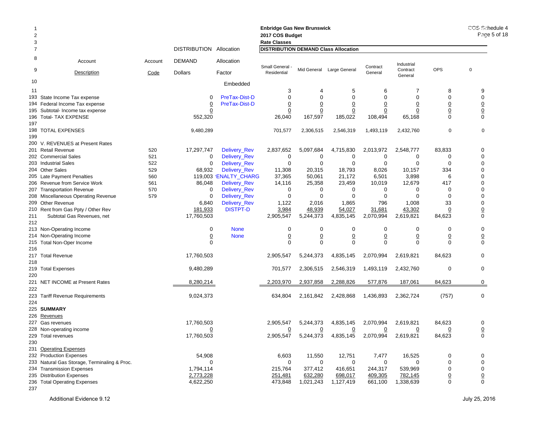| $\overline{2}$<br>3 |                                                           |            |                         |                              | <b>Enbridge Gas New Brunswick</b><br>2017 COS Budget<br><b>Rate Classes</b> |                |                           |                |                     |                     | COS Schedule 4<br>Page 5 of 18 |
|---------------------|-----------------------------------------------------------|------------|-------------------------|------------------------------|-----------------------------------------------------------------------------|----------------|---------------------------|----------------|---------------------|---------------------|--------------------------------|
| 7                   |                                                           |            | DISTRIBUTION Allocation |                              | <b>DISTRIBUTION DEMAND Class Allocation</b>                                 |                |                           |                |                     |                     |                                |
| 8                   | Account                                                   | Account    | DEMAND                  | Allocation                   | Small General -                                                             |                |                           | Contract       | Industrial          |                     |                                |
| 9                   | <u>Description</u>                                        | Code       | <b>Dollars</b>          | Factor                       | Residential                                                                 |                | Mid General Large General | General        | Contract<br>General | <b>OPS</b>          | 0                              |
| 10                  |                                                           |            |                         | Embedded                     |                                                                             |                |                           |                |                     |                     |                                |
| 11                  |                                                           |            |                         |                              | 3                                                                           |                | 5                         | 6              | 7                   | 8                   | 9                              |
|                     | 193 State Income Tax expense                              |            | 0                       | PreTax-Dist-D                | $\mathbf 0$                                                                 | 0              | $\mathbf 0$               | $\Omega$       | 0                   | $\mathbf 0$         | $\mathbf 0$                    |
|                     | 194 Federal Income Tax expense                            |            | $\overline{0}$          | PreTax-Dist-D                | $\overline{0}$                                                              | $\overline{0}$ | $\overline{0}$            | $\overline{0}$ | $\overline{0}$      | $\overline{0}$      | $\overline{0}$                 |
|                     | 195 Subtotal- Income tax expense                          |            | 0                       |                              | $\overline{0}$                                                              | $\overline{0}$ | $\overline{0}$            | $\overline{0}$ | $\overline{0}$      | $\overline{0}$      | $\underline{0}$                |
|                     | 196 Total- TAX EXPENSE                                    |            | 552,320                 |                              | 26,040                                                                      | 167,597        | 185,022                   | 108,494        | 65,168              | $\Omega$            | $\mathbf 0$                    |
| 197                 |                                                           |            |                         |                              |                                                                             |                |                           |                |                     |                     |                                |
|                     | 198 TOTAL EXPENSES                                        |            | 9,480,289               |                              | 701,577                                                                     | 2,306,515      | 2,546,319                 | 1,493,119      | 2,432,760           | 0                   | 0                              |
| 199                 |                                                           |            |                         |                              |                                                                             |                |                           |                |                     |                     |                                |
|                     | 200 V. REVENUES at Present Rates                          |            |                         |                              |                                                                             |                |                           |                |                     |                     |                                |
|                     | 201 Retail Revenue                                        | 520        | 17,297,747              | Delivery_Rev                 | 2,837,652                                                                   | 5,097,684      | 4,715,830                 | 2,013,972      | 2,548,777           | 83,833              | 0                              |
|                     | 202 Commercial Sales                                      | 521        | 0                       | Delivery_Rev                 | 0                                                                           | 0              | 0                         | 0              | 0                   | 0                   | 0                              |
|                     | 203 Industrial Sales                                      | 522<br>529 | 0<br>68,932             | Delivery_Rev<br>Delivery_Rev | $\mathbf 0$<br>11,308                                                       | 0<br>20,315    | $\mathbf 0$<br>18,793     | 0              | $\mathbf 0$         | $\mathbf 0$<br>334  | 0<br>0                         |
|                     | 204 Other Sales<br>205 Late Payment Penalties             | 560        |                         | 119,003 ENALTY CHARG         | 37,365                                                                      | 50,061         | 21,172                    | 8,026<br>6,501 | 10,157<br>3,898     | 6                   | 0                              |
|                     | 206 Revenue from Service Work                             | 561        | 86,048                  | Delivery_Rev                 | 14,116                                                                      | 25,358         | 23,459                    | 10,019         | 12,679              | 417                 | ∩                              |
|                     | 207 Transportation Revenue                                | 570        | 0                       | <b>Delivery Rev</b>          | 0                                                                           | 0              | 0                         | 0              | 0                   | 0                   | 0                              |
|                     | 208 Miscellaneous Operating Revenue                       | 579        | $\mathbf 0$             | <b>Delivery Rev</b>          | $\mathbf 0$                                                                 | 0              | 0                         | 0              | $\Omega$            | $\Omega$            | $\Omega$                       |
|                     | 209 Other Revenue                                         |            | 6,840                   | Delivery_Rev                 | 1,122                                                                       | 2,016          | 1,865                     | 796            | 1,008               | 33                  | $\Omega$                       |
|                     | 210 Rent from Gas Ppty / Other Rev                        |            | 181,933                 | <b>DISTPT-D</b>              | 3,984                                                                       | 48,939         | 54,027                    | 31,681         | 43,302              | $\overline{0}$      | $\overline{0}$                 |
| 211<br>212          | Subtotal Gas Revenues, net                                |            | 17,760,503              |                              | 2,905,547                                                                   | 5,244,373      | 4,835,145                 | 2,070,994      | 2,619,821           | 84,623              | 0                              |
|                     | 213 Non-Operating Income                                  |            | 0                       | <b>None</b>                  | 0                                                                           | 0              | 0                         | 0              | 0                   | 0                   | 0                              |
|                     | 214 Non-Operating Income                                  |            | $\underline{0}$         | <b>None</b>                  | $\overline{0}$                                                              | $\overline{0}$ | $\overline{0}$            | $\overline{0}$ | $\overline{0}$      | $\overline{0}$      | $\overline{0}$                 |
| 216                 | 215 Total Non-Oper Income                                 |            | $\Omega$                |                              | $\mathbf 0$                                                                 | $\mathbf 0$    | $\mathbf 0$               | $\mathbf 0$    | $\mathbf 0$         | $\Omega$            | 0                              |
| 218                 | 217 Total Revenue                                         |            | 17,760,503              |                              | 2,905,547                                                                   | 5,244,373      | 4,835,145                 | 2,070,994      | 2,619,821           | 84,623              | 0                              |
|                     | 219 Total Expenses                                        |            | 9,480,289               |                              | 701,577                                                                     | 2,306,515      | 2,546,319                 | 1,493,119      | 2,432,760           | 0                   | 0                              |
| 220                 |                                                           |            |                         |                              |                                                                             |                |                           |                |                     |                     |                                |
|                     | 221 NET INCOME at Present Rates                           |            | 8,280,214               |                              | 2,203,970                                                                   | 2,937,858      | 2,288,826                 | 577,876        | 187,061             | 84,623              | 0                              |
| 222                 |                                                           |            |                         |                              |                                                                             |                |                           |                |                     |                     |                                |
| 224                 | 223 Tariff Revenue Requirements                           |            | 9,024,373               |                              | 634,804                                                                     | 2,161,842      | 2,428,868                 | 1,436,893      | 2,362,724           | (757)               | 0                              |
|                     | 225 SUMMARY                                               |            |                         |                              |                                                                             |                |                           |                |                     |                     |                                |
|                     | 226 Revenues                                              |            |                         |                              |                                                                             |                |                           |                |                     |                     |                                |
|                     | 227 Gas revenues                                          |            | 17,760,503              |                              | 2,905,547                                                                   | 5,244,373      | 4,835,145                 | 2,070,994      | 2,619,821           | 84,623              | 0                              |
|                     | 228 Non-operating income                                  |            | $\overline{0}$          |                              | $\overline{0}$                                                              | $\overline{0}$ | $\overline{0}$            | $\overline{0}$ | 0                   | 0                   | $\overline{0}$                 |
|                     | 229 Total revenues                                        |            | 17,760,503              |                              | 2,905,547                                                                   | 5,244,373      | 4,835,145                 | 2,070,994      | 2,619,821           | 84,623              | 0                              |
| 230                 |                                                           |            |                         |                              |                                                                             |                |                           |                |                     |                     |                                |
|                     | 231 Operating Expenses                                    |            |                         |                              |                                                                             |                |                           |                |                     |                     |                                |
|                     | 232 Production Expenses                                   |            | 54,908                  |                              | 6,603                                                                       | 11,550         | 12,751                    | 7,477          | 16,525              | 0                   | 0                              |
|                     | 233 Natural Gas Storage, Terminaling & Proc.              |            | 0                       |                              | 0                                                                           | 0              | 0                         | 0              | $\mathbf 0$         | 0                   | 0                              |
|                     | 234 Transmission Expenses                                 |            | 1,794,114               |                              | 215,764                                                                     | 377,412        | 416,651                   | 244,317        | 539,969             | 0                   | 0                              |
|                     | 235 Distribution Expenses<br>236 Total Operating Expenses |            | 2,773,228               |                              | 251,481                                                                     | 632,280        | 698,017                   | 409,305        | 782,145             | $\overline{0}$<br>0 | $\overline{0}$<br>$\mathbf 0$  |
| 237                 |                                                           |            | 4,622,250               |                              | 473,848                                                                     | 1,021,243      | 1,127,419                 | 661,100        | 1,338,639           |                     |                                |
|                     |                                                           |            |                         |                              |                                                                             |                |                           |                |                     |                     |                                |

 $\circ$  of 18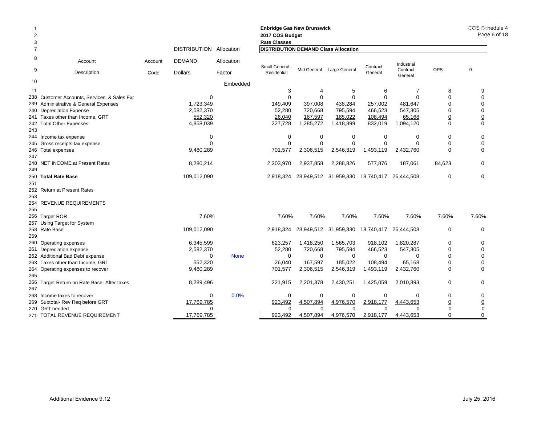| 2<br>3 |                                              |                 |                                 |                      | <b>Enbridge Gas New Brunswick</b><br>2017 COS Budget<br><b>Rate Classes</b> |             | COS Schedule 4<br>Page 6 of 18 |                     |                        |                 |                 |
|--------|----------------------------------------------|-----------------|---------------------------------|----------------------|-----------------------------------------------------------------------------|-------------|--------------------------------|---------------------|------------------------|-----------------|-----------------|
| 7      |                                              |                 | DISTRIBUTION Allocation         |                      | <b>DISTRIBUTION DEMAND Class Allocation</b>                                 |             |                                |                     |                        |                 |                 |
| 8<br>9 | Account<br><b>Description</b>                | Account<br>Code | <b>DEMAND</b><br><b>Dollars</b> | Allocation<br>Factor | Small General<br>Residential                                                |             | Mid General Large General      | Contract<br>General | Industrial<br>Contract | <b>OPS</b>      | $\mathsf 0$     |
| 10     |                                              |                 |                                 |                      |                                                                             |             |                                |                     | General                |                 |                 |
|        |                                              |                 |                                 | Embedded             |                                                                             |             |                                |                     |                        |                 |                 |
| 11     |                                              |                 |                                 |                      | 3                                                                           | 4           | 5                              | 6                   | 7                      | 8               | 9               |
|        | 238 Customer Accounts, Services, & Sales Exp |                 | $\Omega$                        |                      | $\Omega$                                                                    | $\Omega$    | $\Omega$                       | $\Omega$            | $\Omega$               | $\Omega$        | $\mathbf 0$     |
|        | 239 Administrative & General Expenses        |                 | 1,723,349                       |                      | 149,409                                                                     | 397,008     | 438,284                        | 257,002             | 481,647                | $\Omega$        | $\mathbf 0$     |
|        | 240 Depreciation Expense                     |                 | 2,582,370                       |                      | 52,280                                                                      | 720,668     | 795,594                        | 466,523             | 547,305                | 0               | $\mathbf 0$     |
|        | 241 Taxes other than Income, GRT             |                 | 552,320                         |                      | 26,040                                                                      | 167,597     | 185,022                        | 108,494             | 65,168                 | $\underline{0}$ | $\overline{0}$  |
|        | 242 Total Other Expenses                     |                 | 4,858,039                       |                      | 227,728                                                                     | 1,285,272   | 1,418,899                      | 832,019             | 1,094,120              | $\mathbf 0$     | $\mathbf 0$     |
| 243    |                                              |                 |                                 |                      |                                                                             |             |                                |                     |                        |                 |                 |
|        | 244 Income tax expense                       |                 | $\Omega$                        |                      | $\mathbf 0$                                                                 | $\mathbf 0$ | 0                              | $\mathbf 0$         | 0                      | $\mathbf 0$     | 0               |
|        | 245 Gross receipts tax expense               |                 |                                 |                      | $\Omega$                                                                    |             |                                |                     |                        | $\overline{0}$  | $\overline{0}$  |
|        | 246 Total expenses                           |                 | 9,480,289                       |                      | 701,577                                                                     | 2,306,515   | 2,546,319                      | 1,493,119           | 2,432,760              | $\Omega$        | $\Omega$        |
| 247    |                                              |                 |                                 |                      |                                                                             |             |                                |                     |                        |                 |                 |
|        | 248 NET INCOME at Present Rates              |                 | 8,280,214                       |                      | 2,203,970                                                                   | 2,937,858   | 2,288,826                      | 577,876             | 187,061                | 84,623          | $\Omega$        |
| 249    |                                              |                 |                                 |                      |                                                                             |             |                                |                     |                        |                 |                 |
|        | 250 Total Rate Base                          |                 | 109,012,090                     |                      | 2,918,324                                                                   |             | 28,949,512 31,959,330          | 18,740,417          | 26,444,508             | 0               | 0               |
| 251    |                                              |                 |                                 |                      |                                                                             |             |                                |                     |                        |                 |                 |
|        | 252 Return at Present Rates                  |                 |                                 |                      |                                                                             |             |                                |                     |                        |                 |                 |
| 253    |                                              |                 |                                 |                      |                                                                             |             |                                |                     |                        |                 |                 |
|        | 254 REVENUE REQUIREMENTS                     |                 |                                 |                      |                                                                             |             |                                |                     |                        |                 |                 |
| 255    |                                              |                 |                                 |                      |                                                                             |             |                                |                     |                        |                 |                 |
|        | 256 Target ROR                               |                 | 7.60%                           |                      | 7.60%                                                                       | 7.60%       | 7.60%                          | 7.60%               | 7.60%                  | 7.60%           | 7.60%           |
|        | 257 Using Target for System                  |                 |                                 |                      |                                                                             |             |                                |                     |                        |                 |                 |
|        |                                              |                 | 109,012,090                     |                      |                                                                             |             | 28,949,512 31,959,330          | 18,740,417          |                        | 0               | $\mathbf 0$     |
|        | 258 Rate Base                                |                 |                                 |                      | 2,918,324                                                                   |             |                                |                     | 26,444,508             |                 |                 |
| 259    |                                              |                 |                                 |                      |                                                                             |             |                                |                     |                        |                 |                 |
|        | 260 Operating expenses                       |                 | 6,345,599                       |                      | 623,257                                                                     | 1,418,250   | 1,565,703                      | 918,102             | 1,820,287              | $\mathbf 0$     | 0               |
|        | 261 Depreciation expense                     |                 | 2,582,370                       |                      | 52,280                                                                      | 720,668     | 795,594                        | 466,523             | 547,305                | $\Omega$        | $\mathbf 0$     |
|        | 262 Additional Bad Debt expense              |                 | $\mathbf 0$                     | <b>None</b>          | $\mathbf 0$                                                                 | $\mathbf 0$ | $\mathbf 0$                    | $\mathbf 0$         | $\Omega$               | 0               | $\mathbf 0$     |
|        | 263 Taxes other than Income, GRT             |                 | 552,320                         |                      | 26,040                                                                      | 167,597     | 185,022                        | 108,494             | 65,168                 | $\overline{0}$  | $\overline{0}$  |
|        | 264 Operating expenses to recover            |                 | 9,480,289                       |                      | 701,577                                                                     | 2,306,515   | 2,546,319                      | 1,493,119           | 2,432,760              | $\Omega$        | $\mathbf 0$     |
| 265    |                                              |                 |                                 |                      |                                                                             |             |                                |                     |                        |                 |                 |
|        | 266 Target Return on Rate Base- After taxes  |                 | 8,289,496                       |                      | 221,915                                                                     | 2,201,378   | 2,430,251                      | 1,425,059           | 2,010,893              | $\mathbf 0$     | $\mathbf 0$     |
| 267    |                                              |                 |                                 |                      |                                                                             |             |                                |                     |                        |                 |                 |
|        | 268 Income taxes to recover                  |                 | 0                               | 0.0%                 | $\mathbf 0$                                                                 | 0           | $\mathbf 0$                    | $\mathbf 0$         | 0                      | 0               | 0               |
|        | 269 Subtotal- Rev Reg before GRT             |                 | 17,769,785                      |                      | 923,492                                                                     | 4,507,894   | 4,976,570                      | 2,918,177           | 4,443,653              | $\overline{0}$  | $\underline{0}$ |
|        | 270 GRT needed                               |                 | $\Omega$                        |                      | $\Omega$                                                                    | $\Omega$    | $\Omega$                       | $\Omega$            | ∩                      | $\Omega$        | $\mathbf 0$     |
|        | 271 TOTAL REVENUE REQUIREMENT                |                 | 17,769,785                      |                      | 923,492                                                                     | 4,507,894   | 4,976,570                      | 2,918,177           | 4,443,653              | $\Omega$        | $\Omega$        |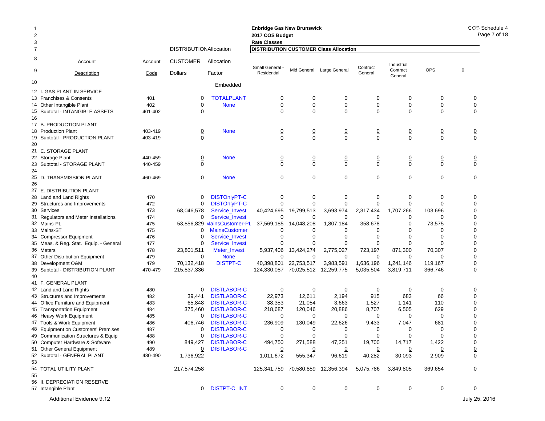| 2              |                                                     |            |                                |                                | <b>Enbridge Gas New Brunswick</b><br>2017 COS Budget |                            |                               |                |                        |                        | COS 3<br>Ρa    |
|----------------|-----------------------------------------------------|------------|--------------------------------|--------------------------------|------------------------------------------------------|----------------------------|-------------------------------|----------------|------------------------|------------------------|----------------|
| 3              |                                                     |            |                                |                                | <b>Rate Classes</b>                                  |                            |                               |                |                        |                        |                |
| $\overline{7}$ |                                                     |            | <b>DISTRIBUTION Allocation</b> |                                | <b>DISTRIBUTION CUSTOMER Class Allocation</b>        |                            |                               |                |                        |                        |                |
| 8              | Account                                             | Account    | <b>CUSTOMER</b>                | Allocation                     | Small General                                        |                            |                               | Contract       | Industrial             | <b>OPS</b>             | $\pmb{0}$      |
| 9              | Description                                         | Code       | <b>Dollars</b>                 | Factor                         | Residential                                          |                            | Mid General Large General     | General        | Contract<br>General    |                        |                |
| 10             |                                                     |            |                                | Embedded                       |                                                      |                            |                               |                |                        |                        |                |
| 12 I.          | <b>GAS PLANT IN SERVICE</b>                         |            |                                |                                |                                                      |                            |                               |                |                        |                        |                |
|                | 13 Franchises & Consents                            | 401        | 0                              | <b>TOTALPLANT</b>              | 0                                                    | 0                          | 0                             | 0              | 0                      | 0                      | 0              |
|                | 14 Other Intangible Plant                           | 402        | 0                              | <b>None</b>                    | $\mathbf 0$                                          | $\mathbf 0$                | $\mathbf 0$                   | 0              | 0                      | 0                      | 0              |
|                | 15 Subtotal - INTANGIBLE ASSETS                     | 401-402    | $\Omega$                       |                                | $\Omega$                                             | $\Omega$                   | $\mathbf 0$                   | $\Omega$       | $\Omega$               | 0                      | 0              |
| 16             |                                                     |            |                                |                                |                                                      |                            |                               |                |                        |                        |                |
|                | 17 B. PRODUCTION PLANT                              |            |                                |                                |                                                      |                            |                               |                |                        |                        |                |
|                | 18 Production Plant                                 | 403-419    | $\overline{0}$<br>$\mathbf{0}$ | <b>None</b>                    | $\frac{0}{0}$                                        | $\overline{0}$<br>$\Omega$ | $\overline{0}$<br>$\mathbf 0$ | $\frac{0}{0}$  | $\frac{0}{0}$          | $\frac{0}{0}$          | $\frac{0}{0}$  |
| 19<br>20       | Subtotal - PRODUCTION PLANT                         | 403-419    |                                |                                |                                                      |                            |                               |                |                        |                        |                |
|                | 21 C. STORAGE PLANT                                 |            |                                |                                |                                                      |                            |                               |                |                        |                        |                |
|                | 22 Storage Plant                                    | 440-459    | $\overline{0}$                 | <b>None</b>                    | $\overline{0}$                                       | $\overline{0}$             | $\overline{0}$                | 0              | $\overline{0}$         | $\overline{0}$         | $\overline{0}$ |
|                | 23 Subtotal - STORAGE PLANT                         | 440-459    | $\Omega$                       |                                | $\Omega$                                             | $\Omega$                   | $\mathbf 0$                   | $\Omega$       | $\overline{0}$         | $\mathbf 0$            | $\Omega$       |
| 24             |                                                     |            |                                |                                |                                                      |                            |                               |                |                        |                        |                |
|                | 25 D. TRANSMISSION PLANT                            | 460-469    | $\mathbf 0$                    | <b>None</b>                    | $\mathbf 0$                                          | $\mathbf 0$                | $\mathbf 0$                   | $\mathbf 0$    | 0                      | $\mathbf 0$            | $\mathbf 0$    |
| 26             |                                                     |            |                                |                                |                                                      |                            |                               |                |                        |                        |                |
|                | 27 E. DISTRIBUTION PLANT                            |            |                                |                                |                                                      |                            |                               |                |                        |                        |                |
|                | 28 Land and Land Rights                             | 470        | 0                              | <b>DISTOnlyPT-C</b>            | 0                                                    | 0                          | 0                             | 0              | 0                      | 0                      | 0              |
|                | 29 Structures and Improvements                      | 472        | 0                              | <b>DISTOnlyPT-C</b>            | $\Omega$                                             | 0                          | 0                             | $\mathbf 0$    | 0                      | $\Omega$               | 0              |
|                | 30 Services                                         | 473        | 68,046,578                     | Service_Invest                 | 40,424,695                                           | 19,799,513                 | 3,693,974                     | 2,317,434      | 1,707,266              | 103,696                | 0              |
|                | 31 Regulators and Meter Installations               | 474        | 0                              | Service_Invest                 | $\mathbf 0$                                          | 0                          | 0                             | $\Omega$       | 0                      | 0                      | 0              |
|                | 32 Mains-PL                                         | 475        |                                | 53,856,829 MainsCustomer-PL    | 37,569,185                                           | 14,048,208                 | 1,807,184                     | 358,678        | 0                      | 73,575                 | 0              |
|                | 33 Mains-ST                                         | 475        | 0                              | <b>MainsCustomer</b>           | O                                                    | 0                          | 0                             | 0              | 0                      | $\mathbf 0$            | 0              |
|                | 34 Compressor Equipment                             | 476        | 0                              | Service_Invest                 | $\Omega$                                             | 0                          | $\mathbf 0$                   | 0              | $\Omega$               | $\mathbf 0$            | 0              |
|                | 35 Meas. & Reg. Stat. Equip. - General              | 477        | 0                              | Service_Invest                 | 0                                                    | 0                          | 0                             | 0              | 0                      | 0                      | 0              |
|                | 36 Meters                                           | 478        | 23,801,511                     | Meter_Invest                   | 5,937,406                                            | 13,424,274                 | 2,775,027                     | 723,197        | 871,300                | 70,307                 | 0              |
|                | 37 Other Distribution Equipment                     | 479<br>479 | 0<br>70,132,418                | <b>None</b><br><b>DISTPT-C</b> | $\Omega$                                             | $\mathbf 0$                | 0<br>3,983,591                | 0<br>1,636,196 | 0                      | $\mathbf 0$<br>119,167 | 0              |
| 39             | 38 Development O&M<br>Subtotal - DISTRIBUTION PLANT | 470-479    | 215,837,336                    |                                | 40,398,801<br>124,330,087                            | 22,753,517<br>70,025,512   | 12,259,775                    | 5,035,504      | 1,241,146<br>3,819,711 | 366,746                | $\frac{0}{0}$  |
| 40             |                                                     |            |                                |                                |                                                      |                            |                               |                |                        |                        |                |
|                | 41 F. GENERAL PLANT                                 |            |                                |                                |                                                      |                            |                               |                |                        |                        |                |
|                | 42 Land and Land Rights                             | 480        | 0                              | <b>DISTLABOR-C</b>             | 0                                                    | 0                          | 0                             | 0              | 0                      | 0                      | 0              |
|                | 43 Structures and Improvements                      | 482        | 39,441                         | <b>DISTLABOR-C</b>             | 22,973                                               | 12,611                     | 2,194                         | 915            | 683                    | 66                     | 0              |
|                | 44 Office Furniture and Equipment                   | 483        | 65,848                         | <b>DISTLABOR-C</b>             | 38,353                                               | 21,054                     | 3,663                         | 1,527          | 1,141                  | 110                    | 0              |
|                | 45 Transportation Equipment                         | 484        | 375,460                        | <b>DISTLABOR-C</b>             | 218,687                                              | 120.046                    | 20,886                        | 8,707          | 6,505                  | 629                    | 0              |
|                | 46 Heavy Work Equipment                             | 485        | 0                              | <b>DISTLABOR-C</b>             | 0                                                    | 0                          | 0                             | 0              | 0                      | $\mathbf 0$            | 0              |
|                | 47 Tools & Work Equipment                           | 486        | 406,746                        | <b>DISTLABOR-C</b>             | 236,909                                              | 130,049                    | 22,626                        | 9,433          | 7,047                  | 681                    | 0              |
|                | 48 Equipment on Customers' Premises                 | 487        | 0                              | <b>DISTLABOR-C</b>             | 0                                                    | 0                          | 0                             | 0              | 0                      | $\mathbf 0$            | 0              |
|                | 49 Communication Structures & Equip                 | 488        | 0                              | <b>DISTLABOR-C</b>             | 0                                                    | $\mathbf 0$                |                               | $\mathbf 0$    | 0                      | 0                      | 0              |
|                | 50 Computer Hardware & Software                     | 490        | 849,427                        | <b>DISTLABOR-C</b>             | 494,750                                              | 271,588                    | 47,251                        | 19,700         | 14,717                 | 1,422                  | 0              |
|                | 51 Other General Equipment                          | 489        | $\overline{0}$                 | <b>DISTLABOR-C</b>             |                                                      | $\overline{0}$             | <u>0</u>                      |                |                        | 0                      | $\overline{0}$ |
|                | 52 Subtotal - GENERAL PLANT                         | 480-490    | 1,736,922                      |                                | 1,011,672                                            | 555,347                    | 96,619                        | 40,282         | 30,093                 | 2,909                  | $\pmb{0}$      |
| 53             |                                                     |            |                                |                                |                                                      |                            |                               |                |                        |                        |                |
| 55             | 54 TOTAL UTILITY PLANT                              |            | 217,574,258                    |                                | 125,341,759 70,580,859 12,356,394                    |                            |                               | 5,075,786      | 3,849,805              | 369,654                | 0              |
|                | 56 II. DEPRECIATION RESERVE                         |            |                                |                                |                                                      |                            |                               |                |                        |                        |                |
|                | 57 Intangible Plant                                 |            |                                | 0 DISTPT-C_INT                 | 0                                                    | 0                          | 0                             | 0              | 0                      | 0                      | 0              |
|                |                                                     |            |                                |                                |                                                      |                            |                               |                |                        |                        |                |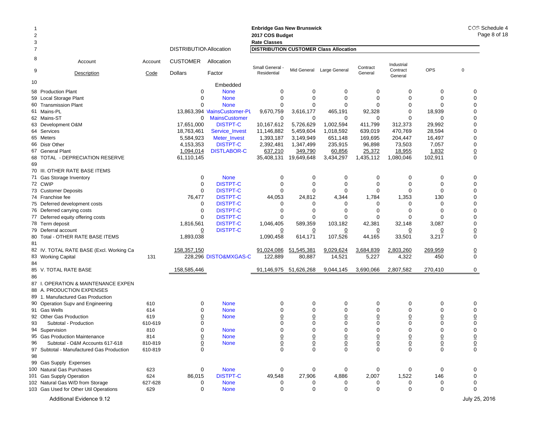|    |                                           |         |                                |                             | <b>Enbridge Gas New Brunswick</b>             |                 |                           |                 |                     |                 | COS S6<br>Pag   |
|----|-------------------------------------------|---------|--------------------------------|-----------------------------|-----------------------------------------------|-----------------|---------------------------|-----------------|---------------------|-----------------|-----------------|
| 3  |                                           |         |                                |                             | 2017 COS Budget<br><b>Rate Classes</b>        |                 |                           |                 |                     |                 |                 |
| 7  |                                           |         | <b>DISTRIBUTION Allocation</b> |                             | <b>DISTRIBUTION CUSTOMER Class Allocation</b> |                 |                           |                 |                     |                 |                 |
| 8  | Account                                   | Account | <b>CUSTOMER</b>                | Allocation                  | Small General -                               |                 |                           | Contract        | Industrial          |                 |                 |
| 9  | Description                               | Code    | <b>Dollars</b>                 | Factor                      | Residential                                   |                 | Mid General Large General | General         | Contract<br>General | OPS             | $\pmb{0}$       |
| 10 |                                           |         |                                | Embedded                    |                                               |                 |                           |                 |                     |                 |                 |
|    | 58 Production Plant                       |         | 0                              | <b>None</b>                 | 0                                             | $\mathbf 0$     | 0                         | 0               | 0                   | $\mathbf 0$     | 0               |
|    | 59 Local Storage Plant                    |         | 0                              | <b>None</b>                 | $\mathbf 0$                                   | $\mathbf 0$     | $\mathbf 0$               | $\mathbf 0$     | 0                   | $\mathbf 0$     | $\mathbf 0$     |
|    | 60 Transmission Plant                     |         | $\Omega$                       | <b>None</b>                 | $\mathbf 0$                                   | $\mathbf 0$     | $\mathbf 0$               | $\Omega$        | 0                   | $\Omega$        | 0               |
|    | 61 Mains-PL                               |         |                                | 13,863,394 MainsCustomer-PL | 9,670,759                                     | 3,616,177       | 465,191                   | 92,328          | 0                   | 18,939          | $\Omega$        |
|    | 62 Mains-ST                               |         | $\mathbf 0$                    | <b>MainsCustomer</b>        | 0                                             | 0               | 0                         | 0               | $\Omega$            | $\Omega$        | 0               |
|    | 63 Development O&M                        |         | 17.651.000                     | <b>DISTPT-C</b>             | 10,167,612                                    | 5,726,629       | 1,002,594                 | 411,799         | 312,373             | 29,992          | 0               |
|    | 64 Services                               |         | 18,763,461                     | Service_Invest              | 11,146,882                                    | 5,459,604       | 1,018,592                 | 639,019         | 470,769             | 28,594          | 0               |
|    | 65 Meters                                 |         | 5,584,923                      | Meter_Invest                | 1,393,187                                     | 3,149,949       | 651,148                   | 169,695         | 204,447             | 16,497          | 0               |
|    | 66 Distr Other                            |         | 4,153,353                      | <b>DISTPT-C</b>             | 2,392,481                                     | 1,347,499       | 235,915                   | 96,898          | 73,503              | 7,057           | $\mathbf 0$     |
|    | 67 General Plant                          |         | 1,094,014                      | <b>DISTLABOR-C</b>          | 637,210                                       | 349,790         | 60,856                    | 25,372          | 18,955              | 1,832           | $\underline{0}$ |
| 69 | 68 TOTAL - DEPRECIATION RESERVE           |         | 61,110,145                     |                             | 35,408,131                                    | 19,649,648      | 3,434,297                 | 1,435,112       | 1,080,046           | 102,911         | $\mathbf 0$     |
|    | 70 III. OTHER RATE BASE ITEMS             |         |                                |                             |                                               |                 |                           |                 |                     |                 |                 |
|    | 71 Gas Storage Inventory                  |         | 0                              | <b>None</b>                 | 0                                             | 0               | 0                         | 0               | 0                   | 0               | 0               |
|    | 72 CWIP                                   |         | $\mathbf 0$                    | <b>DISTPT-C</b>             | $\mathbf 0$                                   | $\mathbf 0$     | $\mathbf 0$               | $\mathbf 0$     | 0                   | $\mathbf 0$     | $\mathbf 0$     |
|    | 73 Customer Deposits                      |         | $\mathbf 0$                    | <b>DISTPT-C</b>             | $\mathbf 0$                                   | $\mathbf 0$     | $\Omega$                  | $\mathbf 0$     | $\Omega$            | $\mathbf 0$     | $\mathbf 0$     |
|    | 74 Franchise fee                          |         | 76,477                         | <b>DISTPT-C</b>             | 44,053                                        | 24,812          | 4,344                     | 1,784           | 1,353               | 130             | 0               |
|    | 75 Deferred development costs             |         | $\mathbf 0$                    | <b>DISTPT-C</b>             | 0                                             | 0               | $\Omega$                  | $\Omega$        | 0                   | $\mathbf 0$     | $\Omega$        |
|    | 76 Deferred carrying costs                |         | $\mathbf 0$                    | <b>DISTPT-C</b>             | 0                                             | 0               | $\Omega$                  | $\Omega$        | $\Omega$            | $\Omega$        | $\Omega$        |
|    | 77 Deferred equity offering costs         |         | $\mathbf 0$                    | <b>DISTPT-C</b>             | 0                                             | $\mathbf 0$     | $\Omega$                  | 0               | 0                   | $\Omega$        | $\mathbf 0$     |
|    | 78 Term deposit                           |         | 1,816,561                      | <b>DISTPT-C</b>             | 1,046,405                                     | 589,359         | 103,182                   | 42,381          | 32,148              | 3,087           | 0               |
|    | 79 Deferral account                       |         | 0                              | <b>DISTPT-C</b>             | 0                                             | 0               | 0                         | 0               | 0                   | 0               | $\underline{0}$ |
|    | 80 Total - OTHER RATE BASE ITEMS          |         | 1,893,038                      |                             | 1,090,458                                     | 614,171         | 107,526                   | 44,165          | 33,501              | 3,217           | $\Omega$        |
| 81 |                                           |         |                                |                             |                                               |                 |                           |                 |                     |                 |                 |
|    | 82 IV. TOTAL RATE BASE (Excl. Working Ca  |         | 158,357,150                    |                             | 91,024,086                                    | 51,545,381      | 9,029,624                 | 3,684,839       | 2,803,260           | 269,959         | $\overline{0}$  |
|    | 83 Working Capital                        | 131     |                                | 228,296 DISTO&MXGAS-C       | 122,889                                       | 80,887          | 14,521                    | 5,227           | 4,322               | 450             | $\mathbf 0$     |
| 84 |                                           |         |                                |                             |                                               |                 |                           |                 |                     |                 |                 |
|    | 85 V. TOTAL RATE BASE                     |         | 158,585,446                    |                             | 91,146,975                                    | 51,626,268      | 9,044,145                 | 3,690,066       | 2,807,582           | 270,410         | 0               |
| 86 |                                           |         |                                |                             |                                               |                 |                           |                 |                     |                 |                 |
|    | 87 I. OPERATION & MAINTENANCE EXPEN       |         |                                |                             |                                               |                 |                           |                 |                     |                 |                 |
|    | 88 A. PRODUCTION EXPENSES                 |         |                                |                             |                                               |                 |                           |                 |                     |                 |                 |
|    | 89 1. Manufactured Gas Production         |         |                                |                             |                                               |                 |                           |                 |                     |                 |                 |
|    | 90 Operation Supv and Engineering         | 610     | 0                              | <b>None</b>                 | 0                                             | $\mathbf 0$     | 0                         | 0               | 0                   | 0               | 0               |
|    | 91 Gas Wells                              | 614     | $\Omega$                       | <b>None</b>                 | 0                                             | $\mathbf 0$     | $\mathbf 0$               | $\mathbf 0$     | 0                   | $\mathbf 0$     | 0               |
|    | 92 Other Gas Production                   | 619     | <u>0</u>                       | <b>None</b>                 | <u>0</u>                                      | $\overline{0}$  | $\overline{0}$            | $\overline{0}$  | $\overline{0}$      | $\overline{0}$  | $\overline{0}$  |
| 93 | Subtotal - Production                     | 610-619 | 0                              |                             | 0                                             | $\mathbf 0$     | $\mathbf 0$               | $\mathbf 0$     | 0                   | $\mathbf 0$     | $\mathbf 0$     |
|    | 94 Supervision                            | 810     | 0                              | <b>None</b>                 | 0                                             | $\mathbf 0$     | $\Omega$                  | $\Omega$        | $\Omega$            | $\Omega$        | $\mathbf 0$     |
| 95 | <b>Gas Production Maintenance</b>         | 814     | $\overline{0}$                 | <b>None</b>                 |                                               | $\overline{0}$  | $\overline{0}$            | $\overline{0}$  | <u>0</u>            | $\overline{0}$  | $\overline{0}$  |
| 96 | Subtotal - O&M Accounts 617-618           | 810-819 | $\underline{0}$                | <b>None</b>                 | $\frac{0}{0}$                                 | $\underline{0}$ | $\underline{0}$           | $\underline{0}$ | $\underline{0}$     | $\underline{0}$ | $\underline{0}$ |
|    | 97 Subtotal - Manufactured Gas Production | 610-819 | $\mathbf 0$                    |                             | $\mathbf 0$                                   | $\Omega$        | 0                         | $\Omega$        | 0                   | $\Omega$        | $\mathbf 0$     |
| 98 |                                           |         |                                |                             |                                               |                 |                           |                 |                     |                 |                 |
|    | 99 Gas Supply Expenses                    |         |                                |                             |                                               |                 |                           |                 |                     |                 |                 |
|    | 100 Natural Gas Purchases                 | 623     | 0                              | <b>None</b>                 | 0                                             | 0               | 0                         | 0               | 0                   | 0               | 0               |
|    | 101 Gas Supply Operation                  | 624     | 86,015                         | <b>DISTPT-C</b>             | 49,548                                        | 27,906          | 4,886                     | 2,007           | 1,522               | 146             | $\mathbf 0$     |
|    | 102 Natural Gas W/D from Storage          | 627-628 | 0                              | <b>None</b>                 | 0                                             |                 | 0                         | 0               | 0                   | 0               | 0               |
|    | 103 Gas Used for Other Util Operations    | 629     | 0                              | <b>None</b>                 | 0                                             | 0               | 0                         | 0               | 0                   | 0               | 0               |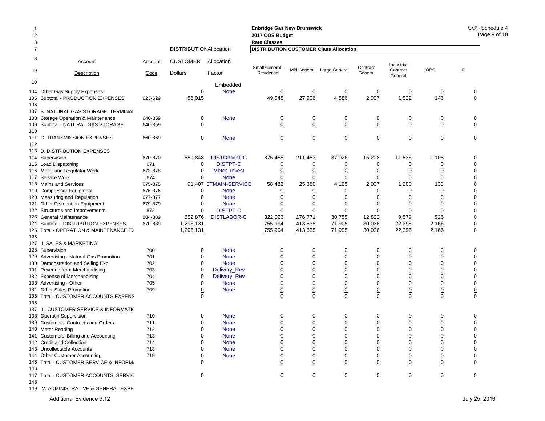|                |                                           |                |                                |                                      | <b>Enbridge Gas New Brunswick</b> |                            |                                               |                  |                     |                 | COS Schedule 4   |
|----------------|-------------------------------------------|----------------|--------------------------------|--------------------------------------|-----------------------------------|----------------------------|-----------------------------------------------|------------------|---------------------|-----------------|------------------|
| $\overline{2}$ |                                           |                |                                |                                      | 2017 COS Budget                   |                            |                                               |                  |                     |                 | Page 9 of 18     |
| 3              |                                           |                |                                |                                      | <b>Rate Classes</b>               |                            |                                               |                  |                     |                 |                  |
|                |                                           |                | <b>DISTRIBUTION Allocation</b> |                                      |                                   |                            | <b>DISTRIBUTION CUSTOMER Class Allocation</b> |                  |                     |                 |                  |
| 8              | Account                                   | Account        | <b>CUSTOMER</b>                | Allocation                           | Small General -                   |                            |                                               | Contract         | Industrial          |                 |                  |
| 9              | Description                               | Code           | Dollars                        | Factor                               | Residential                       |                            | Mid General Large General                     | General          | Contract<br>General | OPS             | $\mathbf 0$      |
| 10             |                                           |                |                                | Embedded                             |                                   |                            |                                               |                  |                     |                 |                  |
| 104            | Other Gas Supply Expenses                 |                | $\overline{0}$                 | <b>None</b>                          | $\overline{0}$                    | $\overline{0}$             | $\overline{0}$                                | $\overline{0}$   | $\overline{0}$      | $\overline{0}$  | $\overline{0}$   |
| 105            | Subtotal - PRODUCTION EXPENSES            | 623-629        | 86,015                         |                                      | 49,548                            | 27,906                     | 4,886                                         | 2,007            | 1,522               | 146             | $\mathbf 0$      |
| 106            |                                           |                |                                |                                      |                                   |                            |                                               |                  |                     |                 |                  |
| 107            | B. NATURAL GAS STORAGE, TERMINAL          |                |                                |                                      |                                   |                            |                                               |                  |                     |                 |                  |
| 108            | Storage Operation & Maintenance           | 640-859        | 0                              | <b>None</b>                          | 0                                 | 0                          | 0                                             | 0                | 0                   | 0               | 0                |
| 109            | Subtotal - NATURAL GAS STORAGE            | 640-859        | $\mathbf 0$                    |                                      | $\Omega$                          | $\mathbf 0$                | $\mathbf 0$                                   | $\mathbf 0$      | $\mathbf 0$         | 0               | $\mathbf 0$      |
| 110            |                                           |                |                                |                                      |                                   |                            |                                               |                  |                     |                 |                  |
|                | 111 C. TRANSMISSION EXPENSES              | 660-869        | $\mathbf 0$                    | <b>None</b>                          | 0                                 | $\mathbf 0$                | $\mathbf 0$                                   | $\mathbf 0$      | $\mathbf 0$         | 0               | 0                |
| 112            |                                           |                |                                |                                      |                                   |                            |                                               |                  |                     |                 |                  |
| 113            | D. DISTRIBUTION EXPENSES                  |                |                                |                                      |                                   |                            |                                               |                  |                     |                 |                  |
| 114            | Supervision                               | 670-870        | 651,848                        | <b>DISTOnlyPT-C</b>                  | 375,488                           | 211,483                    | 37,026                                        | 15,208           | 11,536              | 1,108           | 0<br>$\mathbf 0$ |
|                | 115 Load Dispatching                      | 671            | 0                              | <b>DISTPT-C</b>                      | $\mathbf 0$                       | 0                          | 0                                             | 0                | 0                   | 0               |                  |
| 116            | Meter and Regulator Work                  | 673-878        | 0<br>$\mathbf 0$               | Meter Invest                         | 0                                 | $\mathbf 0$<br>$\mathbf 0$ | 0                                             | 0<br>$\mathbf 0$ | 0<br>$\mathbf 0$    | 0               | 0<br>$\Omega$    |
| 117<br>118     | Service Work<br><b>Mains and Services</b> | 674<br>675-875 |                                | <b>None</b><br>91,407 STMAIN-SERVICE | 0<br>58,482                       | 25,380                     | $\mathbf 0$<br>4,125                          | 2,007            | 1,280               | 0<br>133        | $\Omega$         |
| 119            | <b>Compressor Equipment</b>               | 676-876        | 0                              | <b>None</b>                          | $\Omega$                          | 0                          | 0                                             | $\Omega$         | 0                   | 0               | $\Omega$         |
|                | 120 Measuring and Regulation              | 677-877        | $\mathbf 0$                    | <b>None</b>                          | $\Omega$                          | 0                          | $\Omega$                                      | $\Omega$         | $\Omega$            | 0               | $\mathbf 0$      |
| 121            | <b>Other Distribution Equipment</b>       | 679-879        | 0                              | <b>None</b>                          | 0                                 | $\mathbf 0$                | 0                                             | 0                | 0                   | 0               | 0                |
| 122            | Structures and Improvements               | 872            | 0                              | <b>DISTPT-C</b>                      | $\mathbf 0$                       | $\mathbf 0$                | $\mathbf 0$                                   | $\mathbf 0$      | 0                   | 0               | $\mathbf 0$      |
| 123            | <b>General Maintenance</b>                | 884-889        | 552,876                        | <b>DISTLABOR-C</b>                   | 322,023                           | 176,771                    | 30,755                                        | 12,822           | 9,579               | 926             | $\overline{0}$   |
| 124            | Subtotal - DISTRIBUTION EXPENSES          | 670-889        | 1,296,131                      |                                      | 755,994                           | 413,635                    | 71,905                                        | 30,036           | 22,395              | 2,166           | $\overline{0}$   |
| 125            | Total - OPERATION & MAINTENANCE E>        |                | 1,296,131                      |                                      | 755,994                           | 413,635                    | 71,905                                        | 30,036           | 22,395              | 2,166           | $\underline{0}$  |
| 126            |                                           |                |                                |                                      |                                   |                            |                                               |                  |                     |                 |                  |
|                | 127 II. SALES & MARKETING                 |                |                                |                                      |                                   |                            |                                               |                  |                     |                 |                  |
|                | 128 Supervision                           | 700            | 0                              | <b>None</b>                          | 0                                 | 0                          | 0                                             | 0                | 0                   | 0               | 0                |
| 129            | Advertising - Natural Gas Promotion       | 701            | $\Omega$                       | <b>None</b>                          | $\Omega$                          | 0                          | $\mathbf 0$                                   | $\mathbf 0$      | 0                   | 0               | $\Omega$         |
| 130            | Demonstration and Selling Exp             | 702            | $\mathbf 0$                    | <b>None</b>                          | $\Omega$                          | $\mathbf 0$                | $\mathbf 0$                                   | $\Omega$         | $\mathbf 0$         | 0               | $\mathbf 0$      |
| 131            | Revenue from Merchandising                | 703            | 0                              | <b>Delivery_Rev</b>                  | $\mathbf 0$                       | $\mathbf 0$                | $\mathbf 0$                                   | 0                | $\mathbf 0$         | 0               | 0                |
| 132            | <b>Expense of Merchandising</b>           | 704            | $\mathbf 0$                    | Delivery_Rev                         | $\mathbf 0$                       | $\mathbf 0$                | $\mathbf 0$                                   | $\mathbf 0$      | $\mathbf 0$         | 0               | $\mathbf 0$      |
| 133            | Advertising - Other                       | 705            | 0                              | <b>None</b>                          | $\mathbf 0$                       | $\mathbf 0$                | $\mathbf 0$                                   | $\mathbf 0$      | $\mathbf 0$         | 0               | $\mathbf 0$      |
| 134            | <b>Other Sales Promotion</b>              | 709            | $\underline{0}$                | <b>None</b>                          | $\underline{0}$                   | $\underline{0}$            | $\underline{0}$                               | $\underline{0}$  | $\overline{0}$      | $\underline{0}$ | $\underline{0}$  |
| 135            | Total - CUSTOMER ACCOUNTS EXPENS          |                | $\Omega$                       |                                      | $\Omega$                          | $\Omega$                   | $\mathbf 0$                                   | $\mathbf 0$      | $\mathbf 0$         | $\mathbf 0$     | $\mathbf 0$      |
| 136            |                                           |                |                                |                                      |                                   |                            |                                               |                  |                     |                 |                  |
|                | 137 III. CUSTOMER SERVICE & INFORMATIO    |                |                                |                                      |                                   |                            |                                               |                  |                     |                 |                  |
| 138            | <b>Operatin Supervision</b>               | 710            | 0                              | <b>None</b>                          | 0                                 | 0                          | 0                                             | 0                | 0                   | 0               | 0                |
| 139            | <b>Customers' Contracts and Orders</b>    | 711            | 0                              | <b>None</b>                          | 0                                 | $\mathbf 0$                | $\mathbf 0$                                   | $\Omega$         | 0                   | 0               | $\Omega$         |
|                | 140 Meter Reading                         | 712            | $\mathbf 0$                    | <b>None</b>                          | $\Omega$                          | $\mathbf 0$                | $\mathbf 0$                                   | $\mathbf 0$      | $\mathbf 0$         | 0               | $\mathbf 0$      |
|                | 141 Customers' Billing and Accounting     | 713            | 0                              | <b>None</b>                          |                                   |                            | 0                                             | 0                | 0                   | 0               | 0                |
|                | 142 Credit and Collection                 | 714            | $\Omega$                       | <b>None</b>                          | 0                                 | 0                          | $\mathbf 0$                                   | 0                | 0                   | 0               | $\Omega$         |
|                | 143 Uncollectable Accounts                | 718            | 0                              | <b>None</b>                          | 0                                 | $\Omega$                   | 0                                             | 0                | 0                   | 0               | $\Omega$         |
|                | 144 Other Customer Accounting             | 719            |                                | <b>None</b>                          | 0                                 | 0                          | $\mathbf 0$                                   | 0                | 0                   | 0               | $\Omega$         |
|                | 145 Total - CUSTOMER SERVICE & INFORM.    |                |                                |                                      | $\Omega$                          | $\Omega$                   | $\Omega$                                      | $\Omega$         | $\Omega$            | $\mathbf 0$     | $\Omega$         |
| 146            |                                           |                |                                |                                      |                                   |                            |                                               |                  |                     |                 |                  |
|                | 147 Total - CUSTOMER ACCOUNTS, SERVIC     |                | 0                              |                                      | 0                                 | $\mathbf 0$                | 0                                             | $\mathbf 0$      | 0                   | 0               | 0                |
| 148            |                                           |                |                                |                                      |                                   |                            |                                               |                  |                     |                 |                  |
|                | 149 IV. ADMINISTRATIVE & GENERAL EXPE     |                |                                |                                      |                                   |                            |                                               |                  |                     |                 |                  |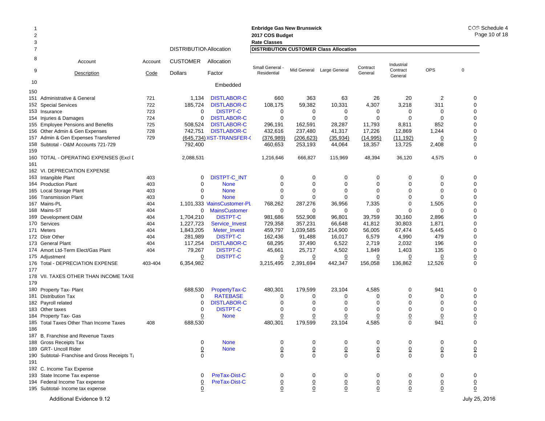#### **Enbridge Gas New Brunswick Enbridge Gas**  2 **2017 COS Budget 2017 COS Bud** 3 **Rate Classes Rate Classes** 7 DISTRIBUTIONAllocation **DISTRIBUTION CUSTOMER Class Allocation** 8 Account Account CUSTOMER Allocation9Description Code Dollars Factor 10 Embedded Industrial **Contract General** Small General - Mid General Large General Contract in additional Contract COPS of the Contract COPS of the Contract COPS of the Residential Contract COPS of the General Contract COPS of the General Contract COPS of the Gen 150151 Administrative & General 721 1,134 DISTLABOR-C 660 363 63 26 20 2 0 **152 Special Services** 2 Special Services 722 185,724 DISTLABOR-C 108,175 59,382 10,331 4,307 3,218 311 0 153 Insurance 723 00 DISTPT-C  $\begin{array}{ccccccccccccccccccccc} C & & & 0 & & 0 & & 0 & & 0 & & 0 & & 0 \end{array}$ 154 Injuries&Damages 724 0 DISTLABOR-C 0 0 0 0 0 155 Employee Pensions and Benefits 725 508,524 DISTLABOR-C 296,191 162,591 28,287 11,793 8,811 852 0 156 Other Admin & Gen Expenses 728 742,751 DISTLABOR-C 432,616 237,480 41,317 17,226 12,869 1,244 0 157 Admin & Gen Expenses Transferred 729 <u>(645,734)</u> JIST-TRANSFER-( <u>(376,989)</u> <u>(206,623) (35,934)</u> (<u>14,995) (11,192)</u> <u>0</u> <u>0</u> 158 Subtotal - O&M Accounts 721-729 792,400 460,653 253,193 44,064 18,357 13,725 2,408 0 159160 TOTAL - OPERATING EXPENSES (Excl I 2,088,531 1,216,646 666,827 115,969 48,394 36,120 4,575 0 161162 VI. DEPRECIATION EXPENSE163 Intangible Plant Intangible Plant 403 0 DISTPT-C\_INT 000000 0 164 Production Plant 403 0 None 000000 0 165 Local Storage Plant 5 Local Storage Plant 403 0 None 0 0 0 0 0 0 166 Transmission Plant 166 Transmission Plant 0 None 000000 0 167 Mains-PL 404 1,101,333 MainsCustomer-PL 768,262 287,276 36,956 7,335 0 1,505 0 168 Mains-ST 404 0 MainsCustomer 000000 0 169 Development O&M 9 Development O&M 404 1,704,210 DISTPT-C 981,686 552,908 96,801 39,759 30,160 2,896 0 170 Services 404 1,227,723 Service\_Invest 729,358 357,231 66,648 41,812 30,803 1,871 0 171 Meters 404 1,843,205 Meter\_Invest 459,797 1,039,585 214,900 56,005 67,474 5,445 0 172 Distr Other 404 281,989 DISTPT-C 162,436 91,488 16,017 6,579 4,990 479 0 173 General Plant 404 117,254 DISTLABOR-C 68,295 37,490 6,522 2,719 2,032 196 0 174 Amort Ltd-Term Elect/Gas Plant 174 Amort Ltd-Term 79,267 DISTPT-C 45,661 25,717 4,502 1,849 1,403 135 0 175 Adiustment 5 Adjustment <u>0</u> DISTPT-C <u>0</u> <u>0</u> <u>0</u> <u>0</u> 0 0 176 Total - DEPRECIATION EXPENSE 403-404 6,354,982 3,215,495 2,391,694 442,347 156,058 136,862 12,526 0 177178 VII. TAXES OTHER THAN INCOME TAXE1791800 Property Tax- Plant 688,530 PropertyTax-C 480,301 179,599 23,104 4,585 0 941 0 181 Distribution Tax $\mathsf{x}$  0 0 RATEBASE E 0 0 0 0 0 0 0 182 Payroll related 2 Payroll related 0 DISTLABOR-C 0 0 0 0 0 0 183 Other taxes $\sim$  0  $\sim$ 0 DISTPT-C  $\begin{array}{ccccccccccccccccccccc} C & & & 0 & & 0 & & 0 & & 0 & & 0 & & 0 \end{array}$ 184 Property Tax- Gas 4 Property Tax- Gas <u>0</u> None <u>0</u> <u>0</u> <u>0</u> <u>0</u> <u>0</u> <u>0</u> 185 Total Taxes Other Than Income Taxes  $\hspace{1.6cm}$  408 688,530 480,301 179,599 23,104 4,585 0 941 0 186187 B. Franchise and Revenue Taxes 188 Gross Receipts Tax 0 None 000000 0 189 GRT- Uncoll Riderr 0 None 0 0 0 0 0 0 0 190 Subtotal- Franchise and Gross Receipts Ta 0 000000 0 191192 C. Income Tax Expense 193 State Income Tax expense 0 PreTax-Dist-C 000000 0 194 Federal Income Tax expense 0 PreTax-Dist-C 0 0 0 0 0 0 0 195 Subtotal- Income tax expense 0 0 0 0 0 0 0 0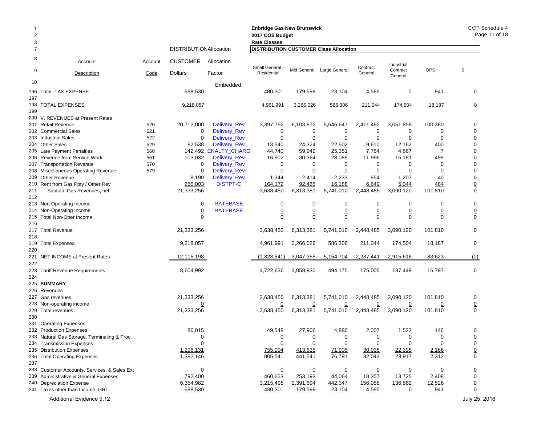| $\overline{2}$<br>3 |                                              |         |                                |                       | <b>Enbridge Gas New Brunswick</b><br>2017 COS Budget<br><b>Rate Classes</b> |                 |                           |                 |                        |                | COS Schedule 4<br>Page 11 of 18 |
|---------------------|----------------------------------------------|---------|--------------------------------|-----------------------|-----------------------------------------------------------------------------|-----------------|---------------------------|-----------------|------------------------|----------------|---------------------------------|
| 7                   |                                              |         | <b>DISTRIBUTION Allocation</b> |                       | <b>DISTRIBUTION CUSTOMER Class Allocation</b>                               |                 |                           |                 |                        |                |                                 |
| 8<br>9              | Account                                      | Account | <b>CUSTOMER</b>                | Allocation            | Small General -                                                             |                 | Mid General Large General | Contract        | Industrial<br>Contract | <b>OPS</b>     | $\pmb{0}$                       |
|                     | Description                                  | Code    | <b>Dollars</b>                 | Factor                | Residential                                                                 |                 |                           | General         | General                |                |                                 |
| 10                  |                                              |         |                                | Embedded              |                                                                             |                 |                           |                 |                        |                |                                 |
| 197                 | 196 Total- TAX EXPENSE                       |         | 688,530                        |                       | 480,301                                                                     | 179,599         | 23,104                    | 4,585           | 0                      | 941            | 0                               |
|                     | 198 TOTAL EXPENSES                           |         | 9,218,057                      |                       | 4,961,991                                                                   | 3,266,026       | 586,306                   | 211,044         | 174,504                | 18,187         | $\mathbf 0$                     |
| 199                 | 200 V. REVENUES at Present Rates             |         |                                |                       |                                                                             |                 |                           |                 |                        |                |                                 |
|                     | 201 Retail Revenue                           | 520     | 20,712,000                     | Delivery_Rev          | 3,397,752                                                                   | 6,103,872       | 5,646,647                 | 2,411,492       | 3,051,858              | 100,380        | 0                               |
|                     | 202 Commercial Sales                         | 521     | 0                              | Delivery_Rev          | 0                                                                           | 0               | 0                         | 0               | 0                      | 0              | 0                               |
|                     | 203 Industrial Sales                         | 522     | $\mathbf 0$                    | Delivery_Rev          | $\mathbf 0$                                                                 | $\mathbf 0$     | $\mathbf 0$               | 0               | $\mathbf 0$            | 0              | 0                               |
|                     | 204 Other Sales                              | 529     | 82,538                         | Delivery_Rev          | 13,540                                                                      | 24,324          | 22,502                    | 9,610           | 12,162                 | 400            | 0                               |
|                     | 205 Late Payment Penalties                   | 560     |                                | 142,492 'ENALTY_CHARG | 44,740                                                                      | 59,942          | 25,351                    | 7,784           | 4,667                  | 7              | 0                               |
|                     | 206 Revenue from Service Work                | 561     | 103,032                        | Delivery_Rev          | 16,902                                                                      | 30,364          | 28,089                    | 11,996          | 15,181                 | 499            | 0                               |
|                     | 207 Transportation Revenue                   | 570     | 0                              | <b>Delivery_Rev</b>   | 0                                                                           | 0               | 0                         | 0               | 0                      | 0              | 0                               |
|                     |                                              |         | $\mathbf 0$                    |                       | $\mathbf 0$                                                                 | $\mathbf 0$     | $\mathbf 0$               |                 | $\mathbf 0$            |                | 0                               |
|                     | 208 Miscellaneous Operating Revenue          | 579     |                                | Delivery_Rev          |                                                                             |                 |                           | 0               |                        | 0              |                                 |
|                     | 209 Other Revenue                            |         | 8,190                          | Delivery_Rev          | 1,344                                                                       | 2,414           | 2,233                     | 954             | 1,207                  | 40             | 0                               |
| 210                 | Rent from Gas Ppty / Other Rev               |         | 285,003                        | <b>DISTPT-C</b>       | 164,172                                                                     | 92,465          | 16,188                    | 6,649           | 5,044                  | 484            | $\overline{0}$                  |
| 211<br>212          | Subtotal Gas Revenues, net                   |         | 21,333,256                     |                       | 3,638,450                                                                   | 6,313,381       | 5,741,010                 | 2,448,485       | 3,090,120              | 101,810        | 0                               |
|                     | 213 Non-Operating Income                     |         | $\mathbf 0$                    | <b>RATEBASE</b>       | $\mathbf 0$                                                                 | 0               | 0                         | 0               | 0                      | 0              | 0                               |
|                     | 214 Non-Operating Income                     |         | $\overline{0}$                 | <b>RATEBASE</b>       | $\underline{0}$                                                             | $\underline{0}$ | $\pmb{0}$                 | $\underline{0}$ | $\underline{0}$        | $\overline{0}$ | $\underline{0}$                 |
| 215                 | Total Non-Oper Income                        |         | $\mathbf 0$                    |                       | $\mathbf 0$                                                                 | $\mathbf 0$     | 0                         | $\mathbf 0$     | $\mathbf 0$            | $\mathbf 0$    | 0                               |
|                     |                                              |         |                                |                       |                                                                             |                 |                           |                 |                        |                |                                 |
| 216                 |                                              |         |                                |                       |                                                                             |                 |                           |                 |                        |                |                                 |
|                     | 217 Total Revenue                            |         | 21,333,256                     |                       | 3,638,450                                                                   | 6,313,381       | 5,741,010                 | 2,448,485       | 3,090,120              | 101,810        | 0                               |
| 218                 |                                              |         |                                |                       |                                                                             |                 |                           |                 |                        |                |                                 |
|                     | 219 Total Expenses                           |         | 9,218,057                      |                       | 4,961,991                                                                   | 3,266,026       | 586,306                   | 211,044         | 174,504                | 18,187         | 0                               |
| 220                 |                                              |         |                                |                       |                                                                             |                 |                           |                 |                        |                |                                 |
|                     | 221 NET INCOME at Present Rates              |         | 12,115,198                     |                       | (1,323,541)                                                                 | 3,047,355       | 5,154,704                 | 2,237,441       | 2,915,616              | 83,623         | (0)                             |
| 222                 |                                              |         |                                |                       |                                                                             |                 |                           |                 |                        |                |                                 |
|                     | 223 Tariff Revenue Requirements              |         | 8,604,992                      |                       | 4,722,636                                                                   | 3,058,930       | 494,175                   | 175,005         | 137,449                | 16,797         | 0                               |
| 224                 |                                              |         |                                |                       |                                                                             |                 |                           |                 |                        |                |                                 |
|                     |                                              |         |                                |                       |                                                                             |                 |                           |                 |                        |                |                                 |
|                     | 225 SUMMARY                                  |         |                                |                       |                                                                             |                 |                           |                 |                        |                |                                 |
|                     | 226 Revenues                                 |         |                                |                       |                                                                             |                 |                           |                 |                        |                |                                 |
|                     | 227 Gas revenues                             |         | 21,333,256                     |                       | 3,638,450                                                                   | 6,313,381       | 5,741,010                 | 2,448,485       | 3,090,120              | 101,810        | 0                               |
|                     | 228 Non-operating income                     |         | $\overline{0}$                 |                       | $\overline{0}$                                                              | $\overline{0}$  | <u>0</u>                  | $\overline{0}$  | $\overline{0}$         | $\overline{0}$ | $\overline{0}$                  |
|                     | 229 Total revenues                           |         | 21,333,256                     |                       | 3,638,450                                                                   | 6,313,381       | 5,741,010                 | 2,448,485       | 3,090,120              | 101,810        | $\mathbf 0$                     |
| 230                 |                                              |         |                                |                       |                                                                             |                 |                           |                 |                        |                |                                 |
|                     | 231 Operating Expenses                       |         |                                |                       |                                                                             |                 |                           |                 |                        |                |                                 |
|                     | 232 Production Expenses                      |         | 86,015                         |                       | 49,548                                                                      | 27,906          | 4,886                     | 2,007           | 1,522                  | 146            | 0                               |
|                     | 233 Natural Gas Storage, Terminaling & Proc. |         | 0                              |                       | 0                                                                           | 0               | 0                         | 0               | 0                      | 0              | 0                               |
|                     |                                              |         | $\Omega$                       |                       | $\mathbf 0$                                                                 | $\mathbf 0$     | 0                         | 0               | $\Omega$               | $\Omega$       | 0                               |
|                     | 234 Transmission Expenses                    |         | 1,296,131                      |                       |                                                                             | 413,635         |                           |                 |                        |                |                                 |
|                     | 235 Distribution Expenses                    |         |                                |                       | 755,994                                                                     |                 | 71,905                    | 30,036          | 22,395                 | 2,166          | $\overline{0}$                  |
|                     | 236 Total Operating Expenses                 |         | 1,382,146                      |                       | 805,541                                                                     | 441,541         | 76,791                    | 32,043          | 23,917                 | 2,312          | 0                               |
| 237                 |                                              |         |                                |                       |                                                                             |                 |                           |                 |                        |                |                                 |
|                     | 238 Customer Accounts, Services, & Sales Exp |         | $\mathbf 0$                    |                       | 0                                                                           | 0               | 0                         | 0               | 0                      | 0              | 0                               |
|                     | 239 Administrative & General Expenses        |         | 792,400                        |                       | 460,653                                                                     | 253,193         | 44,064                    | 18,357          | 13,725                 | 2,408          | 0                               |
|                     | 240 Depreciation Expense                     |         | 6,354,982                      |                       | 3,215,495                                                                   | 2,391,694       | 442,347                   | 156,058         | 136,862                | 12,526         | 0                               |
|                     | 241 Taxes other than Income, GRT             |         | 688,530                        |                       | 480,301                                                                     | 179,599         | 23,104                    | 4,585           | $\overline{0}$         | 941            | $\underline{0}$                 |
|                     |                                              |         |                                |                       |                                                                             |                 |                           |                 |                        |                |                                 |
|                     | Additional Evidence 9.12                     |         |                                |                       |                                                                             |                 |                           |                 |                        |                | July 25, 2016                   |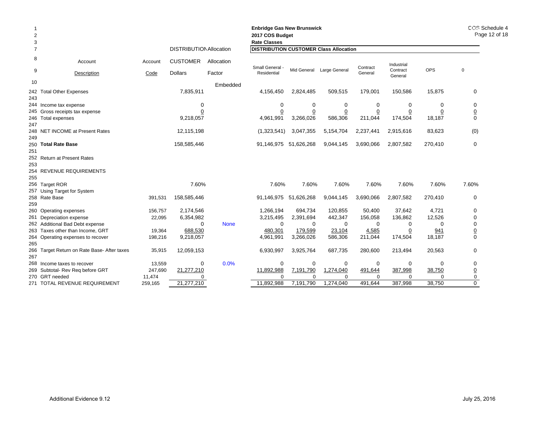| $\overline{2}$<br>3 |                                         |                           |                                |             | <b>Enbridge Gas New Brunswick</b><br>2017 COS Budget<br><b>Rate Classes</b> |                |                           |                |                     |                | COS Schedule 4<br>Page 12 of 18 |
|---------------------|-----------------------------------------|---------------------------|--------------------------------|-------------|-----------------------------------------------------------------------------|----------------|---------------------------|----------------|---------------------|----------------|---------------------------------|
|                     |                                         |                           | <b>DISTRIBUTION Allocation</b> |             | <b>DISTRIBUTION CUSTOMER Class Allocation</b>                               |                |                           |                |                     |                |                                 |
| 8                   | Account                                 | Account                   | <b>CUSTOMER</b>                | Allocation  | Small General                                                               |                |                           | Contract       | Industrial          |                |                                 |
| 9                   | Description                             | Code                      | <b>Dollars</b>                 | Factor      | Residential                                                                 |                | Mid General Large General | General        | Contract<br>General | <b>OPS</b>     | $\mathbf 0$                     |
| 10                  |                                         |                           |                                | Embedded    |                                                                             |                |                           |                |                     |                |                                 |
| 242<br>243          | <b>Total Other Expenses</b>             |                           | 7,835,911                      |             | 4,156,450                                                                   | 2,824,485      | 509,515                   | 179,001        | 150,586             | 15,875         | 0                               |
|                     | 244 Income tax expense                  |                           | 0                              |             | $\mathbf 0$                                                                 | 0              | 0                         | 0              | 0                   | 0              | 0                               |
| 245                 | Gross receipts tax expense              |                           | 0                              |             | 0                                                                           | $\overline{0}$ | $\overline{0}$            | $\overline{0}$ | $\overline{0}$      | $\overline{0}$ | $\underline{0}$                 |
| 246<br>247          | Total expenses                          |                           | 9,218,057                      |             | 4,961,991                                                                   | 3,266,026      | 586,306                   | 211,044        | 174,504             | 18,187         | $\mathbf 0$                     |
| 248<br>249          | NET INCOME at Present Rates             | 12,115,198<br>158,585,446 |                                |             | (1,323,541)                                                                 | 3,047,355      | 5,154,704                 | 2,237,441      | 2,915,616           | 83,623         | (0)                             |
| 250                 | <b>Total Rate Base</b>                  |                           |                                | 91,146,975  | 51,626,268                                                                  | 9,044,145      | 3,690,066                 | 2,807,582      | 270,410             | $\mathbf 0$    |                                 |
| 251                 |                                         |                           |                                |             |                                                                             |                |                           |                |                     |                |                                 |
| 252<br>253          | <b>Return at Present Rates</b>          |                           |                                |             |                                                                             |                |                           |                |                     |                |                                 |
| 254                 | <b>REVENUE REQUIREMENTS</b>             |                           |                                |             |                                                                             |                |                           |                |                     |                |                                 |
| 255                 |                                         |                           |                                |             |                                                                             |                |                           |                |                     |                |                                 |
| 256                 | <b>Target ROR</b>                       |                           | 7.60%                          |             | 7.60%                                                                       | 7.60%          | 7.60%                     | 7.60%          | 7.60%               | 7.60%          | 7.60%                           |
| 257                 | Using Target for System                 |                           |                                |             |                                                                             |                |                           |                |                     |                |                                 |
| 258                 | Rate Base                               | 391,531                   | 158,585,446                    |             | 91,146,975                                                                  | 51,626,268     | 9,044,145                 | 3,690,066      | 2,807,582           | 270,410        | 0                               |
| 259                 |                                         |                           |                                |             |                                                                             |                |                           |                |                     |                |                                 |
| 260                 | Operating expenses                      | 156,757                   | 2,174,546                      |             | 1,266,194                                                                   | 694,734        | 120,855                   | 50,400         | 37,642              | 4,721          | 0                               |
| 261                 | Depreciation expense                    | 22,095                    | 6,354,982                      |             | 3,215,495                                                                   | 2,391,694      | 442,347                   | 156,058        | 136,862             | 12,526         | $\mathbf 0$                     |
|                     | Additional Bad Debt expense             |                           | $\Omega$                       | <b>None</b> | $\mathbf 0$                                                                 | $\Omega$       | 0                         | $\Omega$       | 0                   | 0              | $\pmb{0}$                       |
| 263                 | Taxes other than Income, GRT            | 19,364                    | 688,530                        |             | 480,301                                                                     | 179,599        | 23,104                    | 4,585          | $\overline{0}$      | 941            | $\overline{0}$                  |
| 264<br>265          | Operating expenses to recover           | 198,216                   | 9,218,057                      |             | 4,961,991                                                                   | 3,266,026      | 586,306                   | 211,044        | 174,504             | 18,187         | $\mathbf 0$                     |
| 266<br>267          | Target Return on Rate Base- After taxes | 35,915                    | 12,059,153                     |             | 6,930,997                                                                   | 3,925,764      | 687,735                   | 280,600        | 213,494             | 20,563         | $\mathbf 0$                     |
| 268                 | Income taxes to recover                 | 13,559                    | 0                              | 0.0%        | $\Omega$                                                                    | 0              | 0                         | 0              | 0                   | 0              | 0                               |
| 269                 | Subtotal- Rev Reg before GRT            | 247,690                   | 21,277,210                     |             | 11,892,988                                                                  | 7,191,790      | 1,274,040                 | 491,644        | 387,998             | 38,750         | $\overline{0}$                  |
| 270                 | GRT needed<br>11,474<br>$\Omega$        |                           |                                | $\Omega$    | $\Omega$                                                                    | $\Omega$       | $\Omega$                  | U              | $\pmb{0}$           |                |                                 |
|                     | 271 TOTAL REVENUE REQUIREMENT           | 259.165                   | 21.277.210                     |             | 11.892.988                                                                  | 7,191,790      | 1.274.040                 | 491.644        | 387.998             | 38.750         | $\mathbf 0$                     |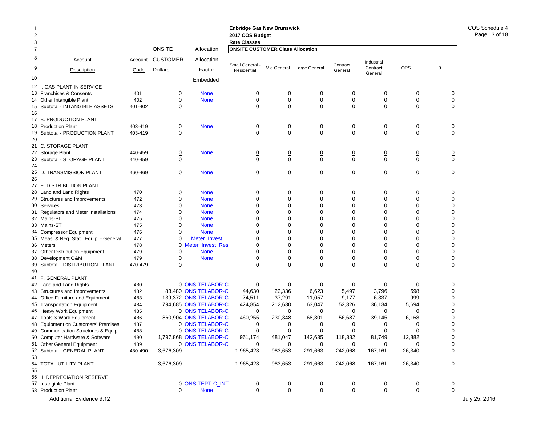| -1<br>$\overline{\mathbf{c}}$<br>3 |                                        |         |                 |                         | <b>Enbridge Gas New Brunswick</b><br>2017 COS Budget<br><b>Rate Classes</b> |                |                           |                     |                     |                |                 | COS Sched<br>Page 13 |
|------------------------------------|----------------------------------------|---------|-----------------|-------------------------|-----------------------------------------------------------------------------|----------------|---------------------------|---------------------|---------------------|----------------|-----------------|----------------------|
| 7                                  |                                        |         | <b>ONSITE</b>   | Allocation              | <b>ONSITE CUSTOMER Class Allocation</b>                                     |                |                           |                     |                     |                |                 |                      |
| 8                                  | Account                                | Account | <b>CUSTOMER</b> | Allocation              | Small General -                                                             |                |                           |                     | Industrial          |                |                 |                      |
| 9                                  | Description                            | Code    | <b>Dollars</b>  | Factor                  | Residential                                                                 |                | Mid General Large General | Contract<br>General | Contract<br>General | <b>OPS</b>     | $\pmb{0}$       |                      |
| 10                                 |                                        |         |                 | Embedded                |                                                                             |                |                           |                     |                     |                |                 |                      |
|                                    | 12 I. GAS PLANT IN SERVICE             |         |                 |                         |                                                                             |                |                           |                     |                     |                |                 |                      |
|                                    | 13 Franchises & Consents               | 401     | 0               | <b>None</b>             | 0                                                                           | 0              | 0                         | 0                   | 0                   | 0              | 0               |                      |
|                                    | 14 Other Intangible Plant              | 402     | 0               | <b>None</b>             | $\mathbf 0$                                                                 | 0              | $\mathbf 0$               | $\mathbf 0$         | 0                   | $\mathbf 0$    | $\Omega$        |                      |
|                                    | 15 Subtotal - INTANGIBLE ASSETS        | 401-402 | 0               |                         | $\mathbf 0$                                                                 | $\Omega$       | 0                         | $\mathbf 0$         | 0                   | $\mathbf 0$    | $\mathbf 0$     |                      |
| 16                                 |                                        |         |                 |                         |                                                                             |                |                           |                     |                     |                |                 |                      |
|                                    | 17 B. PRODUCTION PLANT                 |         |                 |                         |                                                                             |                |                           |                     |                     |                |                 |                      |
|                                    | 18 Production Plant                    | 403-419 | <u>0</u>        | <b>None</b>             | $\overline{0}$                                                              | $\overline{0}$ | $\frac{0}{0}$             | $\overline{0}$      | $\overline{0}$      | $\overline{0}$ | $\overline{0}$  |                      |
|                                    | 19 Subtotal - PRODUCTION PLANT         | 403-419 | 0               |                         | $\mathbf 0$                                                                 | $\mathbf 0$    |                           | $\Omega$            | 0                   | $\mathsf 0$    | $\mathbf 0$     |                      |
| 20                                 |                                        |         |                 |                         |                                                                             |                |                           |                     |                     |                |                 |                      |
|                                    | 21 C. STORAGE PLANT                    |         |                 |                         |                                                                             |                |                           |                     |                     |                |                 |                      |
|                                    | 22 Storage Plant                       | 440-459 | <u>0</u>        | <b>None</b>             | $\overline{0}$                                                              | $\overline{0}$ | $\frac{0}{0}$             | $\overline{0}$      | <u>0</u>            | $\overline{0}$ | $\overline{0}$  |                      |
| 23                                 | Subtotal - STORAGE PLANT               | 440-459 | 0               |                         | $\mathbf 0$                                                                 | $\mathbf 0$    |                           | $\mathbf 0$         | 0                   | $\mathbf 0$    | 0               |                      |
| 24                                 |                                        |         |                 |                         |                                                                             |                |                           |                     |                     |                |                 |                      |
| 25                                 | D. TRANSMISSION PLANT                  | 460-469 | 0               | <b>None</b>             | 0                                                                           | 0              | 0                         | 0                   | 0                   | 0              | 0               |                      |
| 26                                 |                                        |         |                 |                         |                                                                             |                |                           |                     |                     |                |                 |                      |
|                                    | 27 E. DISTRIBUTION PLANT               |         |                 |                         |                                                                             |                |                           |                     |                     |                |                 |                      |
|                                    | 28 Land and Land Rights                | 470     | 0               | <b>None</b>             | 0                                                                           | 0              | 0                         | 0                   | 0                   | 0              | 0               |                      |
|                                    | 29 Structures and Improvements         | 472     | 0               | <b>None</b>             | 0                                                                           | $\Omega$       | $\mathbf 0$               | $\mathbf 0$         | 0                   | $\mathbf 0$    | $\Omega$        |                      |
|                                    | 30 Services                            | 473     | 0               | <b>None</b>             | 0                                                                           | 0              | $\mathbf 0$               | $\mathbf 0$         | 0                   | $\mathbf 0$    | $\Omega$        |                      |
|                                    | 31 Regulators and Meter Installations  | 474     | 0               | <b>None</b>             | 0                                                                           | 0              | 0                         | $\mathbf 0$         | 0                   | $\mathbf 0$    | $\Omega$        |                      |
|                                    | 32 Mains-PL                            | 475     | 0               | <b>None</b>             | 0                                                                           | $\Omega$       | $\mathbf 0$               | $\mathbf 0$         | 0                   | $\mathbf 0$    | $\Omega$        |                      |
|                                    | 33 Mains-ST                            | 475     | 0               | <b>None</b>             | 0                                                                           | $\Omega$       | 0                         | $\Omega$            | 0                   | $\mathbf 0$    | $\Omega$        |                      |
|                                    | 34 Compressor Equipment                | 476     | $\Omega$        | <b>None</b>             | 0                                                                           | $\Omega$       | 0                         | $\Omega$            | $\Omega$            | $\mathbf 0$    | $\Omega$        |                      |
|                                    | 35 Meas. & Reg. Stat. Equip. - General | 477     | 0               | Meter_Invest            | 0                                                                           | $\Omega$       | $\mathbf 0$               | $\mathbf 0$         | 0                   | $\mathbf 0$    | $\Omega$        |                      |
|                                    | 36 Meters                              | 478     |                 | 0 Meter_Invest_Res      | 0                                                                           | 0              | 0                         | $\Omega$            | 0                   | $\mathbf 0$    | $\Omega$        |                      |
|                                    | 37 Other Distribution Equipment        | 479     | 0               | <b>None</b>             | 0                                                                           | 0              | $\mathbf 0$               | $\mathbf 0$         | 0                   | $\mathbf 0$    | $\Omega$        |                      |
|                                    | 38 Development O&M                     | 479     | $\overline{0}$  | <b>None</b>             | $\overline{0}$                                                              | $\overline{0}$ | $\underline{0}$           | $\overline{0}$      | $\underline{0}$     | $\overline{0}$ | $\overline{0}$  |                      |
|                                    | 39 Subtotal - DISTRIBUTION PLANT       | 470-479 | $\Omega$        |                         | $\Omega$                                                                    | $\Omega$       | $\mathbf 0$               | $\Omega$            | $\Omega$            | $\mathbf 0$    | 0               |                      |
| 40                                 |                                        |         |                 |                         |                                                                             |                |                           |                     |                     |                |                 |                      |
|                                    | 41 F. GENERAL PLANT                    |         |                 |                         |                                                                             |                |                           |                     |                     |                |                 |                      |
|                                    | 42 Land and Land Rights                | 480     |                 | 0 ONSITELABOR-C         | 0                                                                           | 0              | 0                         | 0                   | 0                   | 0              | 0               |                      |
|                                    | 43 Structures and Improvements         | 482     |                 | 83,480 ONSITELABOR-C    | 44,630                                                                      | 22,336         | 6,623                     | 5,497               | 3,796               | 598            | $\Omega$        |                      |
|                                    | 44 Office Furniture and Equipment      | 483     |                 | 139,372 ONSITELABOR-C   | 74,511                                                                      | 37,291         | 11,057                    | 9,177               | 6,337               | 999            | $\Omega$        |                      |
|                                    | 45 Transportation Equipment            | 484     |                 | 794,685 ONSITELABOR-C   | 424,854                                                                     | 212,630        | 63,047                    | 52,326              | 36,134              | 5,694          | $\Omega$        |                      |
|                                    | 46 Heavy Work Equipment                | 485     |                 | 0 ONSITELABOR-C         | 0                                                                           | 0              | 0                         | 0                   | 0                   | 0              | $\Omega$        |                      |
|                                    | 47 Tools & Work Equipment              | 486     |                 | 860,904 ONSITELABOR-C   | 460,255                                                                     | 230,348        | 68,301                    | 56,687              | 39,145              | 6,168          | $\Omega$        |                      |
|                                    | 48 Equipment on Customers' Premises    | 487     |                 | 0 ONSITELABOR-C         | 0                                                                           | 0              | 0                         | 0                   | 0                   | 0              | $\Omega$        |                      |
|                                    | 49 Communication Structures & Equip    | 488     |                 | 0 ONSITELABOR-C         | $\Omega$                                                                    | $\Omega$       | $\Omega$                  | $\Omega$            | $\Omega$            | $\Omega$       |                 |                      |
|                                    | 50 Computer Hardware & Software        | 490     |                 | 1,797,868 ONSITELABOR-C | 961,174                                                                     | 481,047        | 142,635                   | 118,382             | 81,749              | 12,882         | $\pmb{0}$       |                      |
|                                    | 51 Other General Equipment             | 489     |                 | 0 ONSITELABOR-C         | $\overline{0}$                                                              | $\overline{0}$ | $\overline{0}$            | $\overline{0}$      | <u>0</u>            | $\overline{0}$ | $\underline{0}$ |                      |
| 53                                 | 52 Subtotal - GENERAL PLANT            | 480-490 | 3,676,309       |                         | 1,965,423                                                                   | 983,653        | 291,663                   | 242,068             | 167,161             | 26,340         | 0               |                      |
|                                    | 54 TOTAL UTILITY PLANT                 |         | 3,676,309       |                         | 1,965,423                                                                   | 983,653        | 291,663                   | 242,068             | 167,161             | 26,340         | 0               |                      |
| 55                                 |                                        |         |                 |                         |                                                                             |                |                           |                     |                     |                |                 |                      |
|                                    | 56 II. DEPRECIATION RESERVE            |         |                 |                         |                                                                             |                |                           |                     |                     |                |                 |                      |
|                                    | 57 Intangible Plant                    |         |                 | 0 ONSITEPT-C_INT        | 0                                                                           | 0              | 0                         | 0                   | 0                   | $\mathbf 0$    | 0               |                      |
|                                    | 58 Production Plant                    |         | 0               | <b>None</b>             | 0                                                                           | $\mathbf 0$    | 0                         | 0                   | 0                   | 0              | $\mathbf 0$     |                      |
|                                    | Additional Evidence 9.12               |         |                 |                         |                                                                             |                |                           |                     |                     |                |                 | July 25, 2016        |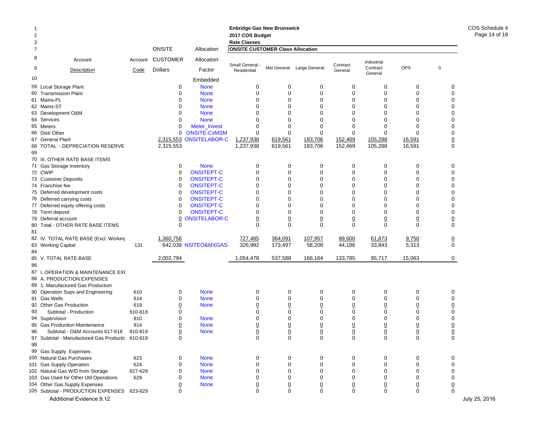## **Enbridge Gas New Brunswick Enbridge Gas N 2017 COS Budget 2017 COS Budg**

| 3  |                                               |         |                 |                       | <b>Rate Classes</b>                     |                 |                           |                     |                     |                 |                  |               |
|----|-----------------------------------------------|---------|-----------------|-----------------------|-----------------------------------------|-----------------|---------------------------|---------------------|---------------------|-----------------|------------------|---------------|
| 7  |                                               |         | <b>ONSITE</b>   | Allocation            | <b>ONSITE CUSTOMER Class Allocation</b> |                 |                           |                     |                     |                 |                  |               |
| 8  | Account                                       | Account | <b>CUSTOMER</b> | Allocation            |                                         |                 |                           |                     | Industrial          |                 |                  |               |
| 9  | Description                                   | Code    | <b>Dollars</b>  | Factor                | Small General -<br>Residential          |                 | Mid General Large General | Contract<br>General | Contract<br>General | <b>OPS</b>      | $\mathbf 0$      |               |
| 10 |                                               |         |                 | Embedded              |                                         |                 |                           |                     |                     |                 |                  |               |
|    | 59 Local Storage Plant                        |         | 0               | <b>None</b>           | 0                                       | $\mathbf 0$     | 0                         | 0                   | 0                   | 0               | 0                |               |
|    | 60 Transmission Plant                         |         | 0               | <b>None</b>           | $\mathbf 0$                             | $\mathbf 0$     | $\mathbf 0$               | 0                   | $\mathbf 0$         | $\mathbf 0$     | $\mathbf 0$      |               |
|    | 61 Mains-PL                                   |         |                 | <b>None</b>           | $\mathbf 0$                             | $\mathbf 0$     | $\Omega$                  | 0                   | $\mathbf 0$         | 0               | $\Omega$         |               |
|    | 62 Mains-ST                                   |         |                 | <b>None</b>           | $\Omega$                                | $\Omega$        | $\Omega$                  | $\Omega$            | $\Omega$            | $\Omega$        | $\Omega$         |               |
|    | 63 Development O&M                            |         | O               | <b>None</b>           | 0                                       | $\mathbf 0$     | $\Omega$                  | $\mathbf 0$         | $\mathbf 0$         | 0               | $\Omega$         |               |
|    | 64 Services                                   |         | O               | <b>None</b>           | $\Omega$                                | $\Omega$        | $\Omega$                  | 0                   | $\Omega$            | $\Omega$        | $\mathbf 0$      |               |
|    | 65 Meters                                     |         | $\Omega$        | Meter_Invest          | $\mathbf 0$                             | $\mathbf 0$     | $\mathbf 0$               | $\mathbf 0$         | $\mathbf 0$         | $\mathbf 0$     | $\mathbf 0$      |               |
|    | 66 Distr Other                                |         | 0               | <b>ONSITE-CxMSM</b>   | $\mathbf 0$                             | 0               | 0                         | 0                   | $\Omega$            | $\Omega$        | $\Omega$         |               |
|    | 67 General Plant                              |         | 2,315,553       | <b>ONSITELABOR-C</b>  | 1,237,938                               | 619,561         | 183,706                   | 152,469             | 105,288             | 16,591          | $\overline{0}$   |               |
|    | 68 TOTAL - DEPRECIATION RESERVE               |         | 2,315,553       |                       | 1,237,938                               | 619,561         | 183,706                   | 152,469             | 105,288             | 16,591          | $\mathbf 0$      |               |
| 69 |                                               |         |                 |                       |                                         |                 |                           |                     |                     |                 |                  |               |
|    | 70 III. OTHER RATE BASE ITEMS                 |         |                 |                       |                                         |                 |                           |                     |                     |                 |                  |               |
|    | 71 Gas Storage Inventory                      |         | 0               | <b>None</b>           | $\mathbf 0$                             | 0               | 0                         | 0                   | 0                   | 0               | 0                |               |
|    | 72 CWIP                                       |         | $\Omega$        | <b>ONSITEPT-C</b>     | $\mathbf 0$                             | $\mathbf 0$     | $\mathbf 0$               | 0                   | $\mathbf 0$         | 0               | $\Omega$         |               |
|    | 73 Customer Deposits                          |         | 0               | <b>ONSITEPT-C</b>     | $\mathbf 0$                             | $\mathbf 0$     | $\mathbf 0$               | 0                   | $\mathbf 0$         | 0               | $\mathbf 0$      |               |
|    | 74 Franchise fee                              |         | $\Omega$        | <b>ONSITEPT-C</b>     | $\mathbf 0$                             | $\Omega$        | $\mathbf 0$               | 0                   | $\mathbf 0$         | $\Omega$        | $\Omega$         |               |
|    | 75 Deferred development costs                 |         | 0               | <b>ONSITEPT-C</b>     | $\mathbf 0$                             | $\mathbf 0$     | 0                         | 0                   | $\mathbf 0$         | 0               | $\mathbf 0$      |               |
|    | 76 Deferred carrying costs                    |         | 0               | <b>ONSITEPT-C</b>     | $\mathbf 0$                             | 0               | $\Omega$                  | 0                   | $\Omega$            | 0               | $\Omega$         |               |
|    | 77 Deferred equity offering costs             |         | $\Omega$        | <b>ONSITEPT-C</b>     | $\Omega$                                | $\Omega$        | $\Omega$                  | $\Omega$            | $\Omega$            | $\Omega$        | $\Omega$         |               |
|    | 78 Term deposit                               |         | 0               | <b>ONSITEPT-C</b>     | $\mathbf 0$                             | $\mathbf 0$     | $\mathbf 0$               | $\mathbf 0$         | $\mathbf 0$         | 0               | $\Omega$         |               |
|    | 79 Deferral account                           |         | 0               | <b>ONSITELABOR-C</b>  | $\overline{0}$                          | $\overline{0}$  | $\overline{0}$            | $\overline{0}$      | $\overline{0}$      | $\overline{0}$  | $\overline{0}$   |               |
|    | 80 Total - OTHER RATE BASE ITEMS              |         | 0               |                       | $\Omega$                                | $\Omega$        | $\Omega$                  | $\Omega$            | $\Omega$            | $\Omega$        | $\mathbf 0$      |               |
| 81 |                                               |         |                 |                       |                                         |                 |                           |                     |                     |                 |                  |               |
|    | 82 IV. TOTAL RATE BASE (Excl. Working         |         | 1,360,756       |                       | 727,485                                 | 364,091         | 107,957                   | 89,600              | 61,873              | 9,750           | $\underline{0}$  |               |
|    | 83 Working Capital                            | 131     |                 | 642,039 NSITEO&MXGAS- | 326,992                                 | 173,497         | 58,208                    | 44,186              | 33,843              | 5,313           | $\mathbf 0$      |               |
| 84 |                                               |         |                 |                       |                                         |                 |                           |                     |                     |                 |                  |               |
|    | 85 V. TOTAL RATE BASE                         |         | 2,002,794       |                       | 1,054,478                               | 537,588         | 166,164                   | 133,785             | 95,717              | 15,063          | 0                |               |
| 86 |                                               |         |                 |                       |                                         |                 |                           |                     |                     |                 |                  |               |
|    |                                               |         |                 |                       |                                         |                 |                           |                     |                     |                 |                  |               |
|    | 87 I. OPERATION & MAINTENANCE EXI             |         |                 |                       |                                         |                 |                           |                     |                     |                 |                  |               |
|    | 88 A. PRODUCTION EXPENSES                     |         |                 |                       |                                         |                 |                           |                     |                     |                 |                  |               |
|    | 89 1. Manufactured Gas Production             |         |                 |                       |                                         |                 |                           |                     |                     |                 |                  |               |
|    | 90 Operation Supv and Engineering             | 610     | 0<br>0          | <b>None</b>           | 0<br>$\mathbf 0$                        | 0<br>0          | 0<br>$\mathbf 0$          | 0<br>0              | 0<br>$\mathbf 0$    | 0<br>0          | 0<br>$\mathbf 0$ |               |
|    | 91 Gas Wells                                  | 614     |                 | <b>None</b>           |                                         |                 |                           |                     |                     |                 |                  |               |
|    | 92 Other Gas Production                       | 619     | 0               | <b>None</b>           | $\overline{0}$                          | $\overline{0}$  | $\overline{0}$            | $\overline{0}$      | $\overline{0}$      | <u>0</u>        | $\underline{0}$  |               |
| 93 | Subtotal - Production                         | 610-619 | $\Omega$        |                       | $\mathbf 0$                             | $\mathbf 0$     | $\mathbf 0$               | 0                   | $\mathbf 0$         | $\mathbf 0$     | $\mathbf 0$      |               |
|    | 94 Supervision                                | 810     | 0               | <b>None</b>           | $\mathbf 0$                             | 0               | 0                         | 0                   | $\mathbf 0$         | 0               | 0                |               |
|    | 95 Gas Production Maintenance                 | 814     | $\overline{0}$  | <b>None</b>           | $\overline{0}$                          | $\overline{0}$  | $\overline{0}$            | $\overline{0}$      | $\overline{0}$      | $\overline{0}$  | $\underline{0}$  |               |
| 96 | Subtotal - O&M Accounts 617-618               | 810-819 | $\overline{0}$  | <b>None</b>           | $\underline{0}$                         | $\underline{0}$ | $\underline{0}$           | $\overline{0}$      | $\overline{0}$      | <u>0</u>        | $\underline{0}$  |               |
| 97 | Subtotal - Manufactured Gas Productic 610-819 |         | $\Omega$        |                       | $\mathbf 0$                             | $\Omega$        | $\mathbf 0$               | 0                   | $\mathbf 0$         | $\Omega$        | $\mathbf 0$      |               |
| 98 |                                               |         |                 |                       |                                         |                 |                           |                     |                     |                 |                  |               |
|    | 99 Gas Supply Expenses                        |         |                 |                       |                                         |                 |                           |                     |                     |                 |                  |               |
|    | 100 Natural Gas Purchases                     | 623     | 0               | <b>None</b>           | $\mathbf 0$                             | 0               | $\mathbf 0$               | 0                   | 0                   | 0               | 0                |               |
|    | 101 Gas Supply Operation                      | 624     | 0               | <b>None</b>           | $\mathbf 0$                             | 0               | $\mathbf 0$               | 0                   | $\pmb{0}$           | 0               | 0                |               |
|    | 102 Natural Gas W/D from Storage              | 627-628 | 0               | <b>None</b>           | $\mathbf 0$                             | $\mathbf 0$     | 0                         | 0                   | $\mathbf 0$         | 0               | $\mathbf 0$      |               |
|    | 103 Gas Used for Other Util Operations        | 629     | 0               | <b>None</b>           | $\mathbf 0$                             | $\mathbf 0$     | $\mathbf 0$               | 0                   | $\mathbf 0$         | 0               | $\pmb{0}$        |               |
|    | 104 Other Gas Supply Expenses                 |         | $\overline{0}$  | <b>None</b>           | $\overline{0}$                          | $\overline{0}$  | $\underline{0}$           | $\underline{0}$     | $\underline{0}$     | $\underline{0}$ | $\underline{0}$  |               |
|    | 105 Subtotal - PRODUCTION EXPENSES            | 623-629 | $\mathbf 0$     |                       | $\mathbf 0$                             | $\mathbf 0$     | $\mathbf 0$               | 0                   | $\mathbf 0$         | $\mathbf 0$     | 0                |               |
|    | Additional Evidence 9.12                      |         |                 |                       |                                         |                 |                           |                     |                     |                 |                  | July 25, 2016 |

1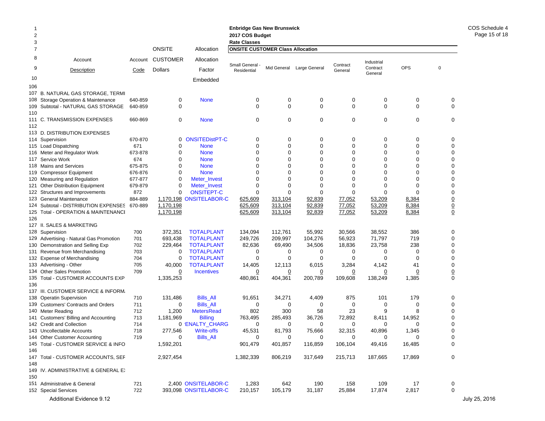| $\overline{2}$<br>3 |                                              | <b>Enbridge Gas New Brunswick</b><br>2017 COS Budget<br><b>Rate Classes</b> |                 |                       |                                         |             |                           |                     | COS Sched<br>Page 15 |             |                 |               |
|---------------------|----------------------------------------------|-----------------------------------------------------------------------------|-----------------|-----------------------|-----------------------------------------|-------------|---------------------------|---------------------|----------------------|-------------|-----------------|---------------|
| $\overline{7}$      |                                              |                                                                             | <b>ONSITE</b>   | Allocation            | <b>ONSITE CUSTOMER Class Allocation</b> |             |                           |                     |                      |             |                 |               |
| 8                   | Account                                      | Account                                                                     | <b>CUSTOMER</b> | Allocation            |                                         |             |                           |                     | Industrial           |             |                 |               |
| 9                   | Description                                  | Code                                                                        | <b>Dollars</b>  | Factor                | Small General<br>Residential            |             | Mid General Large General | Contract<br>General | Contract<br>General  | OPS         | 0               |               |
| 10                  |                                              |                                                                             |                 | Embedded              |                                         |             |                           |                     |                      |             |                 |               |
| 106                 |                                              |                                                                             |                 |                       |                                         |             |                           |                     |                      |             |                 |               |
|                     | 107 B. NATURAL GAS STORAGE, TERMI            |                                                                             |                 |                       |                                         |             |                           |                     |                      |             |                 |               |
|                     | 108 Storage Operation & Maintenance          | 640-859                                                                     | 0               | <b>None</b>           | 0                                       | 0           | 0                         | 0                   | 0                    | 0           | 0               |               |
|                     | 109 Subtotal - NATURAL GAS STORAGE           | 640-859                                                                     | 0               |                       | $\mathbf 0$                             | $\mathbf 0$ | $\mathbf 0$               | $\mathbf 0$         | 0                    | 0           | $\mathbf 0$     |               |
| 110                 |                                              |                                                                             |                 |                       |                                         |             |                           |                     |                      |             |                 |               |
|                     | 111 C. TRANSMISSION EXPENSES                 | 660-869                                                                     | 0               | <b>None</b>           | $\mathbf 0$                             | $\mathbf 0$ | 0                         | 0                   | 0                    | $\mathbf 0$ | 0               |               |
| 112                 |                                              |                                                                             |                 |                       |                                         |             |                           |                     |                      |             |                 |               |
|                     | 113 D. DISTRIBUTION EXPENSES                 |                                                                             |                 |                       |                                         |             |                           |                     |                      |             |                 |               |
|                     | 114 Supervision                              | 670-870                                                                     | 0               | <b>ONSITEDistPT-C</b> | 0                                       | 0           | 0                         | 0                   | 0                    | 0           | 0               |               |
|                     | 115 Load Dispatching                         | 671                                                                         | $\mathbf 0$     | <b>None</b>           | 0                                       | 0           | 0                         | 0                   | $\Omega$             | 0           | 0               |               |
|                     | 116 Meter and Regulator Work                 | 673-878                                                                     | 0               | <b>None</b>           | 0                                       | 0           | 0                         | 0                   | $\mathbf 0$          | $\mathbf 0$ | 0               |               |
|                     | 117 Service Work                             | 674                                                                         | 0               | <b>None</b>           | 0                                       | 0           | 0                         | 0                   | $\Omega$             | $\Omega$    | $\Omega$        |               |
|                     | 118 Mains and Services                       | 675-875                                                                     | $\Omega$        | <b>None</b>           | 0                                       | $\Omega$    | 0                         | $\Omega$            | $\Omega$             | $\Omega$    | $\Omega$        |               |
|                     | 119 Compressor Equipment                     | 676-876                                                                     | 0               | <b>None</b>           | 0                                       | $\Omega$    | 0                         | 0                   | $\Omega$             | 0           | 0               |               |
|                     | 120 Measuring and Regulation                 | 677-877                                                                     | $\mathbf 0$     | Meter_Invest          | 0                                       | $\Omega$    | $\Omega$                  | 0                   | $\Omega$             | $\Omega$    | $\Omega$        |               |
|                     | 121 Other Distribution Equipment             | 679-879                                                                     | 0               | Meter_Invest          | 0                                       | 0           | 0                         | 0                   | $\mathbf 0$          | $\Omega$    | $\mathbf 0$     |               |
|                     | 122 Structures and Improvements              | 872                                                                         | 0               | <b>ONSITEPT-C</b>     | 0                                       | 0           | 0                         | 0                   | $\Omega$             | $\Omega$    | $\Omega$        |               |
|                     | 123 General Maintenance                      | 884-889                                                                     | 1,170,198       | <b>ONSITELABOR-C</b>  | 625,609                                 | 313,104     | 92,839                    | 77,052              | 53,209               | 8,384       | $\overline{0}$  |               |
|                     | 124 Subtotal - DISTRIBUTION EXPENSES 670-889 |                                                                             | 1,170,198       |                       | 625,609                                 | 313,104     | 92,839                    | 77,052              | 53,209               | 8,384       | $\underline{0}$ |               |
|                     | 125 Total - OPERATION & MAINTENANCI          |                                                                             | 1,170,198       |                       | 625,609                                 | 313,104     | 92,839                    | 77,052              | 53,209               | 8,384       | $\underline{0}$ |               |
| 126                 |                                              |                                                                             |                 |                       |                                         |             |                           |                     |                      |             |                 |               |
|                     | 127 II. SALES & MARKETING                    |                                                                             |                 |                       |                                         |             |                           |                     |                      |             |                 |               |
|                     | 128 Supervision                              | 700                                                                         | 372,351         | <b>TOTALPLANT</b>     | 134,094                                 | 112,761     | 55,992                    | 30,566              | 38,552               | 386         | 0               |               |
|                     | 129 Advertising - Natural Gas Promotion      | 701                                                                         | 693,438         | <b>TOTALPLANT</b>     | 249,726                                 | 209,997     | 104,276                   | 56,923              | 71,797               | 719         | $\Omega$        |               |
|                     | 130 Demonstration and Selling Exp            | 702                                                                         | 229,464         | <b>TOTALPLANT</b>     | 82,636                                  | 69,490      | 34,506                    | 18,836              | 23,758               | 238         | 0               |               |
|                     | 131 Revenue from Merchandising               | 703                                                                         | 0               | <b>TOTALPLANT</b>     | 0                                       | 0           | 0                         | 0                   | 0                    | 0           | 0               |               |
|                     | 132 Expense of Merchandising                 | 704                                                                         | 0               | <b>TOTALPLANT</b>     | 0                                       | 0           | 0                         | 0                   | $\mathbf 0$          | 0           | $\Omega$        |               |
|                     | 133 Advertising - Other                      | 705                                                                         | 40,000          | <b>TOTALPLANT</b>     | 14,405                                  | 12,113      | 6,015                     | 3,284               | 4,142                | 41          | $\Omega$        |               |
|                     | 134 Other Sales Promotion                    | 709                                                                         | $\overline{0}$  | <b>Incentives</b>     | 0                                       | 0           | $\overline{0}$            | $\overline{0}$      | 0                    | 0           | $\overline{0}$  |               |
|                     | 135 Total - CUSTOMER ACCOUNTS EXP            |                                                                             | 1,335,253       |                       | 480,861                                 | 404,361     | 200,789                   | 109,608             | 138,249              | 1,385       | 0               |               |
| 136                 |                                              |                                                                             |                 |                       |                                         |             |                           |                     |                      |             |                 |               |
|                     | 137 III. CUSTOMER SERVICE & INFORM.          |                                                                             |                 |                       |                                         |             |                           |                     |                      |             |                 |               |
|                     | 138 Operatin Supervision                     | 710                                                                         | 131,486         | <b>Bills_All</b>      | 91,651                                  | 34,271      | 4,409                     | 875                 | 101                  | 179         | $\mathbf 0$     |               |
|                     | 139 Customers' Contracts and Orders          | 711                                                                         | 0               | <b>Bills_All</b>      | 0                                       | 0           | 0                         | 0                   | 0                    | 0           | $\mathbf 0$     |               |
|                     | 140 Meter Reading                            | 712                                                                         | 1,200           | <b>MetersRead</b>     | 802                                     | 300         | 58                        | 23                  | 9                    | 8           | 0               |               |
|                     | 141 Customers' Billing and Accounting        | 713                                                                         | 1,181,969       | <b>Billing</b>        | 763,495                                 | 285,493     | 36,726                    | 72,892              | 8,411                | 14,952      | $\Omega$        |               |
|                     | 142 Credit and Collection                    | 714                                                                         |                 | 0 'ENALTY_CHARG       | 0                                       | 0           | 0                         | 0                   | 0                    | 0           | 0               |               |
|                     | 143 Uncollectable Accounts                   | 718                                                                         | 277,546         | <b>Write-offs</b>     | 45,531                                  | 81,793      | 75,666                    | 32,315              | 40,896               | 1,345       | ∩               |               |
|                     | 144 Other Customer Accounting                | 719                                                                         | 0               | <b>Bills_All</b>      | 0                                       | 0           | $\mathbf 0$               | 0                   | 0                    | $\mathbf 0$ | $\mathbf 0$     |               |
|                     | 145 Total - CUSTOMER SERVICE & INFO          |                                                                             | 1,592,201       |                       | 901,479                                 | 401,857     | 116,859                   | 106,104             | 49,416               | 16,485      | 0               |               |
| 146                 |                                              |                                                                             |                 |                       |                                         |             |                           |                     |                      |             |                 |               |
|                     | 147 Total - CUSTOMER ACCOUNTS, SEF           |                                                                             | 2,927,454       |                       | 1,382,339                               | 806,219     | 317,649                   | 215,713             | 187,665              | 17,869      | 0               |               |
| 148                 |                                              |                                                                             |                 |                       |                                         |             |                           |                     |                      |             |                 |               |
|                     | 149 IV. ADMINISTRATIVE & GENERAL E.          |                                                                             |                 |                       |                                         |             |                           |                     |                      |             |                 |               |
| 150                 |                                              |                                                                             |                 |                       |                                         |             |                           |                     |                      |             |                 |               |
|                     | 151 Administrative & General                 | 721                                                                         |                 | 2,400 ONSITELABOR-C   | 1,283                                   | 642         | 190                       | 158                 | 109                  | 17          | 0               |               |
|                     | 152 Special Services                         | 722                                                                         |                 | 393,098 ONSITELABOR-C | 210,157                                 | 105,179     | 31,187                    | 25,884              | 17,874               | 2,817       | $\mathbf 0$     |               |
|                     | Additional Evidence 9.12                     |                                                                             |                 |                       |                                         |             |                           |                     |                      |             |                 | July 25, 2016 |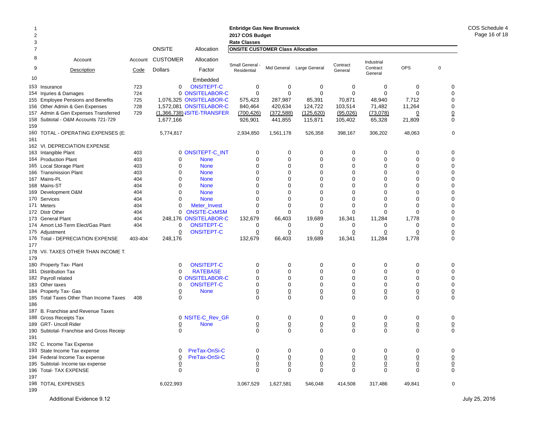| $\overline{c}$ |                                           |                 |                                   |                            | <b>Enbridge Gas New Brunswick</b><br>2017 COS Budget |                 |                           |                 |                        |                 |                 |
|----------------|-------------------------------------------|-----------------|-----------------------------------|----------------------------|------------------------------------------------------|-----------------|---------------------------|-----------------|------------------------|-----------------|-----------------|
| 3              |                                           |                 |                                   |                            | <b>Rate Classes</b>                                  |                 |                           |                 |                        |                 |                 |
| 7              |                                           |                 | <b>ONSITE</b>                     | Allocation                 | <b>ONSITE CUSTOMER Class Allocation</b>              |                 |                           |                 |                        |                 |                 |
| 8<br>9         | Account<br>Description                    | Account<br>Code | <b>CUSTOMER</b><br><b>Dollars</b> | Allocation<br>Factor       | Small General -                                      |                 | Mid General Large General | Contract        | Industrial<br>Contract | <b>OPS</b>      | $\pmb{0}$       |
|                |                                           |                 |                                   |                            | Residential                                          |                 |                           | General         | General                |                 |                 |
| 10             |                                           |                 |                                   | Embedded                   |                                                      |                 |                           |                 |                        |                 |                 |
|                | 153 Insurance                             | 723             | 0                                 | <b>ONSITEPT-C</b>          | 0                                                    | 0               | 0                         | 0               | 0                      | 0               | 0               |
|                | 154 Injuries & Damages                    | 724             |                                   | 0 ONSITELABOR-C            | $\mathbf 0$                                          | $\mathbf 0$     | $\mathbf 0$               | $\mathbf 0$     | $\mathbf 0$            | $\Omega$        | 0               |
|                | 155 Employee Pensions and Benefits        | 725             |                                   | 1.076.325 ONSITELABOR-C    | 575,423                                              | 287,987         | 85,391                    | 70,871          | 48,940                 | 7,712           | $\mathbf 0$     |
|                | 156 Other Admin & Gen Expenses            | 728             |                                   | 1,572,081 ONSITELABOR-C    | 840,464                                              | 420,634         | 124,722                   | 103,514         | 71,482                 | 11,264          | 0               |
|                | 157 Admin & Gen Expenses Transferred      | 729             |                                   | (1,366,738) ISITE-TRANSFER | (700, 426)                                           | (372, 588)      | (125, 620)                | (95,026)        | (73,078)               | $\overline{0}$  | $\underline{0}$ |
|                | 158 Subtotal - O&M Accounts 721-729       |                 | 1,677,166                         |                            | 926,901                                              | 441,855         | 115,871                   | 105,402         | 65,328                 | 21,809          | 0               |
| 159            |                                           |                 |                                   |                            |                                                      |                 |                           |                 |                        |                 |                 |
|                | 160 TOTAL - OPERATING EXPENSES (E:        |                 | 5,774,817                         |                            | 2,934,850                                            | 1,561,178       | 526,358                   | 398,167         | 306,202                | 48,063          | 0               |
| 161            | 162 VI. DEPRECIATION EXPENSE              |                 |                                   |                            |                                                      |                 |                           |                 |                        |                 |                 |
|                | 163 Intangible Plant                      | 403             |                                   | 0 ONSITEPT-C_INT           | 0                                                    | 0               | 0                         | 0               | 0                      | 0               | 0               |
|                | 164 Production Plant                      | 403             | 0                                 | <b>None</b>                | $\mathbf 0$                                          | 0               | 0                         | $\mathbf 0$     | 0                      | 0               | 0               |
|                | 165 Local Storage Plant                   | 403             | $\mathbf 0$                       | <b>None</b>                | $\mathbf 0$                                          | $\mathbf 0$     | $\mathbf 0$               | $\mathbf 0$     | $\mathbf 0$            | $\mathbf 0$     | 0               |
|                | 166 Transmission Plant                    | 403             | 0                                 | <b>None</b>                | 0                                                    | $\mathbf 0$     | $\mathbf 0$               | $\mathbf 0$     | $\mathbf 0$            | 0               | 0               |
|                | 167 Mains-PL                              | 404             | $\mathbf 0$                       | <b>None</b>                | 0                                                    | 0               | $\mathbf 0$               | $\mathbf 0$     | $\mathbf 0$            | $\mathbf 0$     | 0               |
|                | 168 Mains-ST                              | 404             | $\mathbf 0$                       | <b>None</b>                | $\Omega$                                             | $\Omega$        | $\mathbf 0$               | $\mathbf 0$     | $\mathbf 0$            | $\mathbf 0$     | 0               |
|                | 169 Development O&M                       | 404             | 0                                 | <b>None</b>                | 0                                                    | 0               | 0                         | 0               | $\mathbf 0$            | $\mathbf 0$     | 0               |
|                | 170 Services                              | 404             | $\mathbf 0$                       | <b>None</b>                | $\Omega$                                             | $\mathbf 0$     | $\Omega$                  | $\mathbf 0$     | $\mathbf 0$            | $\mathbf 0$     | 0               |
|                | 171 Meters                                | 404             | 0                                 | Meter_Invest               | 0                                                    | 0               | $\mathbf 0$               | $\mathbf 0$     | $\mathbf 0$            | 0               | 0               |
|                | 172 Distr Other                           | 404             | 0                                 | <b>ONSITE-CxMSM</b>        | $\mathbf 0$                                          | $\mathbf 0$     | $\mathbf 0$               | $\mathbf 0$     | $\mathbf 0$            | $\mathbf 0$     | 0               |
|                | 173 General Plant                         | 404             | 248,176                           | <b>ONSITELABOR-C</b>       | 132,679                                              | 66,403          | 19,689                    | 16,341          | 11,284                 | 1,778           | 0               |
|                | 174 Amort Ltd-Term Elect/Gas Plant        | 404             | 0                                 | <b>ONSITEPT-C</b>          | 0                                                    | 0               | 0                         | 0               | 0                      | 0               | 0               |
|                | 175 Adjustment                            |                 | $\overline{0}$                    | <b>ONSITEPT-C</b>          | 0                                                    | $\overline{0}$  | $\overline{0}$            | $\overline{0}$  | $\overline{0}$         | $\overline{0}$  | $\overline{0}$  |
|                | 176 Total - DEPRECIATION EXPENSE          | 403-404         | 248,176                           |                            | 132,679                                              | 66,403          | 19,689                    | 16,341          | 11,284                 | 1,778           | $\mathbf 0$     |
| 177            |                                           |                 |                                   |                            |                                                      |                 |                           |                 |                        |                 |                 |
|                | 178 VII. TAXES OTHER THAN INCOME T.       |                 |                                   |                            |                                                      |                 |                           |                 |                        |                 |                 |
| 179            |                                           |                 |                                   |                            |                                                      |                 |                           |                 |                        |                 |                 |
|                | 180 Property Tax- Plant                   |                 | 0                                 | <b>ONSITEPT-C</b>          | 0                                                    | 0               | 0                         | 0               | 0                      | 0               | 0               |
|                | 181 Distribution Tax                      |                 | 0                                 | <b>RATEBASE</b>            | $\mathbf 0$                                          | $\mathbf 0$     | $\mathbf 0$               | $\mathbf 0$     | $\mathbf 0$            | $\mathbf 0$     | 0               |
|                | 182 Payroll related                       |                 | $\Omega$                          | <b>ONSITELABOR-C</b>       | $\mathbf 0$                                          | $\mathbf 0$     | $\mathbf 0$               | $\mathbf 0$     | $\mathbf 0$            | $\mathbf 0$     | 0               |
|                | 183 Other taxes                           |                 | $\mathbf 0$                       | <b>ONSITEPT-C</b>          | $\mathbf 0$                                          | 0               | $\mathbf 0$               | $\mathbf 0$     | $\mathbf 0$            | 0               | 0               |
|                | 184 Property Tax- Gas                     |                 | $\overline{0}$                    | <b>None</b>                | $\overline{0}$                                       | $\overline{0}$  | $\overline{0}$            | $\underline{0}$ | $\underline{0}$        | $\overline{0}$  | $\overline{0}$  |
| 186            | 185 Total Taxes Other Than Income Taxes   | 408             | 0                                 |                            | $\mathbf 0$                                          | $\mathbf 0$     | $\mathbf 0$               | $\mathbf 0$     | $\mathbf 0$            | $\mathbf 0$     | $\mathbf 0$     |
|                | 187 B. Franchise and Revenue Taxes        |                 |                                   |                            |                                                      |                 |                           |                 |                        |                 |                 |
|                | 188 Gross Receipts Tax                    |                 |                                   | 0 NSITE-C_Rev_GR           | 0                                                    | 0               | 0                         | 0               | 0                      | 0               | 0               |
|                | 189 GRT- Uncoll Rider                     |                 | $\overline{0}$                    | <b>None</b>                | $\overline{0}$                                       | $\overline{0}$  | $\overline{0}$            | $\overline{0}$  | $\overline{0}$         | $\overline{0}$  | $\overline{0}$  |
|                | 190 Subtotal- Franchise and Gross Receipt |                 | 0                                 |                            | $\mathbf 0$                                          | $\mathbf 0$     | $\mathbf 0$               | $\mathbf 0$     | $\mathbf 0$            | $\mathbf 0$     | $\mathbf 0$     |
| 191            |                                           |                 |                                   |                            |                                                      |                 |                           |                 |                        |                 |                 |
|                | 192 C. Income Tax Expense                 |                 |                                   |                            |                                                      |                 |                           |                 |                        |                 |                 |
|                | 193 State Income Tax expense              |                 | 0                                 | PreTax-OnSi-C              | 0                                                    | 0               | 0                         | 0               | 0                      | 0               | 0               |
|                | 194 Federal Income Tax expense            |                 | $\overline{0}$                    | PreTax-OnSi-C              | $\overline{0}$                                       | $\overline{0}$  | $\overline{0}$            | $\overline{0}$  | $\underline{0}$        | $\overline{0}$  | $\overline{0}$  |
|                | 195 Subtotal- Income tax expense          |                 | $\overline{0}$                    |                            | $\underline{0}$                                      | $\underline{0}$ | $\underline{0}$           | $\underline{0}$ | $\underline{0}$        | $\underline{0}$ |                 |
|                | 196 Total- TAX EXPENSE                    |                 | $\mathbf 0$                       |                            | $\mathbf 0$                                          | $\mathbf 0$     | $\mathbf 0$               | 0               | $\mathbf 0$            | $\mathbf 0$     | $\frac{0}{0}$   |
| 197            |                                           |                 |                                   |                            |                                                      |                 |                           |                 |                        |                 |                 |
|                | 198 TOTAL EXPENSES                        |                 | 6,022,993                         |                            | 3,067,529                                            | 1,627,581       | 546,048                   | 414,508         | 317,486                | 49,841          | 0               |
| 199            |                                           |                 |                                   |                            |                                                      |                 |                           |                 |                        |                 |                 |

COS Schedule 4Page 16 of 18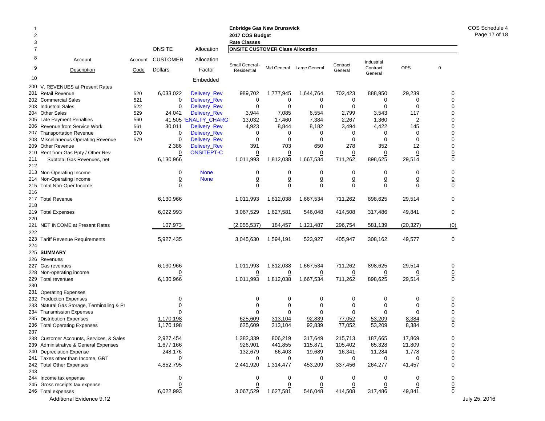| 2<br>3 |                                           |                 |                            |                      | <b>Enbridge Gas New Brunswick</b><br>2017 COS Budget<br><b>Rate Classes</b> |                |                           |                     |                        |                |                 | COS Sched<br>Page 17 |
|--------|-------------------------------------------|-----------------|----------------------------|----------------------|-----------------------------------------------------------------------------|----------------|---------------------------|---------------------|------------------------|----------------|-----------------|----------------------|
| 7      |                                           |                 | ONSITE                     | Allocation           | <b>ONSITE CUSTOMER Class Allocation</b>                                     |                |                           |                     |                        |                |                 |                      |
| 8<br>9 | Account<br>Description                    | Account<br>Code | <b>CUSTOMER</b><br>Dollars | Allocation<br>Factor | Small General -<br>Residential                                              |                | Mid General Large General | Contract<br>General | Industrial<br>Contract | <b>OPS</b>     | 0               |                      |
| 10     |                                           |                 |                            | Embedded             |                                                                             |                |                           |                     | General                |                |                 |                      |
|        | 200 V. REVENUES at Present Rates          |                 |                            |                      |                                                                             |                |                           |                     |                        |                |                 |                      |
|        | 201 Retail Revenue                        | 520             | 6,033,022                  | Delivery_Rev         | 989,702                                                                     | 1,777,945      | 1,644,764                 | 702,423             | 888,950                | 29,239         | 0               |                      |
|        | 202 Commercial Sales                      | 521             | 0                          | Delivery_Rev         | 0                                                                           | 0              | 0                         | 0                   | 0                      | 0              | $\Omega$        |                      |
|        | 203 Industrial Sales                      | 522             | 0                          | Delivery_Rev         | 0                                                                           | 0              | 0                         | 0                   | 0                      | 0              | n               |                      |
|        | 204 Other Sales                           | 529             | 24,042                     | Delivery_Rev         | 3,944                                                                       | 7,085          | 6,554                     | 2,799               | 3,543                  | 117            |                 |                      |
|        | 205 Late Payment Penalties                | 560             |                            | 41,505 'ENALTY_CHARG | 13,032                                                                      | 17,460         | 7,384                     | 2,267               | 1,360                  | 2              | n               |                      |
|        | 206 Revenue from Service Work             | 561             | 30,011                     | Delivery_Rev         | 4,923                                                                       | 8,844          | 8,182                     | 3,494               | 4,422                  | 145            | 0               |                      |
|        | 207 Transportation Revenue                | 570             | 0                          | Delivery_Rev         | 0                                                                           | 0              | 0                         | 0                   | 0                      | 0              | O               |                      |
|        | 208 Miscellaneous Operating Revenue       | 579             | 0                          | Delivery_Rev         | 0                                                                           | 0              | 0                         | 0                   | 0                      | 0              | 0               |                      |
|        | 209 Other Revenue                         |                 | 2,386                      | Delivery_Rev         | 391                                                                         | 703            | 650                       | 278                 | 352                    | 12             | $\Omega$        |                      |
|        | 210 Rent from Gas Ppty / Other Rev        |                 | 0                          | <b>ONSITEPT-C</b>    | 0                                                                           | $\overline{0}$ | 0                         | $\overline{0}$      | $\overline{0}$         | 0              |                 |                      |
| 211    | Subtotal Gas Revenues, net                |                 | 6,130,966                  |                      | 1,011,993                                                                   | 1,812,038      | 1,667,534                 | 711,262             | 898,625                | 29,514         | 0               |                      |
| 212    |                                           |                 |                            |                      |                                                                             |                |                           |                     |                        |                |                 |                      |
|        | 213 Non-Operating Income                  |                 | 0                          | <b>None</b>          | 0                                                                           | 0              | 0                         | 0                   | 0                      | 0              | 0               |                      |
|        | 214 Non-Operating Income                  |                 | $\overline{0}$             | <b>None</b>          | <u>0</u>                                                                    | $\overline{0}$ | $\overline{0}$            | $\overline{0}$      | $\overline{0}$         | $\overline{0}$ | $\overline{0}$  |                      |
|        | 215 Total Non-Oper Income                 |                 | 0                          |                      | $\Omega$                                                                    | $\Omega$       | 0                         | 0                   | 0                      | $\Omega$       | 0               |                      |
| 216    |                                           |                 |                            |                      |                                                                             |                |                           |                     |                        |                |                 |                      |
|        | 217 Total Revenue                         |                 | 6,130,966                  |                      | 1,011,993                                                                   | 1,812,038      | 1,667,534                 | 711,262             | 898,625                | 29,514         | 0               |                      |
| 218    |                                           |                 |                            |                      |                                                                             |                |                           |                     |                        |                |                 |                      |
|        | 219 Total Expenses                        |                 | 6,022,993                  |                      | 3,067,529                                                                   | 1,627,581      | 546,048                   | 414,508             | 317,486                | 49,841         | 0               |                      |
| 220    |                                           |                 |                            |                      |                                                                             |                |                           |                     |                        |                |                 |                      |
|        | 221 NET INCOME at Present Rates           |                 | 107,973                    |                      | (2,055,537)                                                                 | 184,457        | 1,121,487                 | 296,754             | 581,139                | (20, 327)      | (0)             |                      |
| 222    |                                           |                 |                            |                      |                                                                             |                |                           |                     |                        |                |                 |                      |
|        | 223 Tariff Revenue Requirements           |                 | 5,927,435                  |                      | 3,045,630                                                                   | 1,594,191      | 523,927                   | 405,947             | 308,162                | 49,577         | 0               |                      |
| 224    |                                           |                 |                            |                      |                                                                             |                |                           |                     |                        |                |                 |                      |
|        | 225 SUMMARY                               |                 |                            |                      |                                                                             |                |                           |                     |                        |                |                 |                      |
|        | 226 Revenues                              |                 |                            |                      |                                                                             |                |                           |                     |                        |                |                 |                      |
|        | 227 Gas revenues                          |                 | 6,130,966                  |                      | 1,011,993                                                                   | 1,812,038      | 1,667,534                 | 711,262             | 898,625                | 29,514         |                 |                      |
|        | 228 Non-operating income                  |                 | 0                          |                      | 0                                                                           | $\overline{0}$ | 0                         | $\overline{0}$      | $\overline{0}$         | 0              | $\overline{0}$  |                      |
|        | 229 Total revenues                        |                 | 6,130,966                  |                      | 1,011,993                                                                   | 1,812,038      | 1,667,534                 | 711,262             | 898,625                | 29,514         | 0               |                      |
| 230    |                                           |                 |                            |                      |                                                                             |                |                           |                     |                        |                |                 |                      |
|        | 231 Operating Expenses                    |                 |                            |                      |                                                                             |                |                           |                     |                        |                |                 |                      |
|        | 232 Production Expenses                   |                 | 0                          |                      | 0                                                                           | 0              | 0                         | 0                   | 0                      | 0              | 0               |                      |
|        | 233 Natural Gas Storage, Terminaling & Pr |                 | 0                          |                      | 0                                                                           | 0              | 0                         | 0                   | 0                      | 0              | 0               |                      |
|        | 234 Transmission Expenses                 |                 | ∩                          |                      | 0                                                                           | $\Omega$       | 0                         | 0                   | $\Omega$               | $\Omega$       | $\Omega$        |                      |
|        | 235 Distribution Expenses                 |                 | 1,170,198                  |                      | 625,609                                                                     | 313,104        | 92,839                    | 77,052              | 53,209                 | 8,384          | <u>0</u>        |                      |
|        | 236 Total Operating Expenses              |                 | 1,170,198                  |                      | 625,609                                                                     | 313,104        | 92,839                    | 77,052              | 53,209                 | 8,384          | 0               |                      |
| 237    |                                           |                 |                            |                      |                                                                             |                |                           |                     |                        |                |                 |                      |
|        | 238 Customer Accounts, Services, & Sales  |                 | 2,927,454                  |                      | 1,382,339                                                                   | 806,219        | 317,649                   | 215,713             | 187,665                | 17,869         | 0               |                      |
|        | 239 Administrative & General Expenses     |                 | 1,677,166                  |                      | 926,901                                                                     | 441,855        | 115,871                   | 105,402             | 65,328                 | 21,809         | 0               |                      |
|        | 240 Depreciation Expense                  |                 | 248,176                    |                      | 132,679                                                                     | 66,403         | 19,689                    | 16,341              | 11,284                 | 1,778          | 0               |                      |
|        | 241 Taxes other than Income, GRT          |                 | $\overline{0}$             |                      | <u>0</u>                                                                    |                | <u>0</u>                  | $\overline{0}$      | 0                      | $\overline{0}$ | $\overline{0}$  |                      |
|        | 242 Total Other Expenses                  |                 | 4,852,795                  |                      | 2,441,920                                                                   | 1,314,477      | 453,209                   | 337,456             | 264,277                | 41,457         | 0               |                      |
| 243    |                                           |                 |                            |                      |                                                                             |                |                           |                     |                        |                |                 |                      |
|        | 244 Income tax expense                    |                 | 0                          |                      | 0                                                                           | 0              | 0                         | 0                   | 0                      | 0              | 0               |                      |
|        | 245 Gross receipts tax expense            |                 | $\overline{0}$             |                      | $\overline{0}$                                                              | $\overline{0}$ | <u>0</u>                  | $\overline{0}$      | $\overline{0}$         | $\overline{0}$ | $\underline{0}$ |                      |
|        | 246 Total expenses                        |                 | 6,022,993                  |                      | 3,067,529                                                                   | 1,627,581      | 546,048                   | 414,508             | 317,486                | 49,841         | 0               |                      |
|        | Additional Evidence 9.12                  |                 |                            |                      |                                                                             |                |                           |                     |                        |                |                 | July 25, 2016        |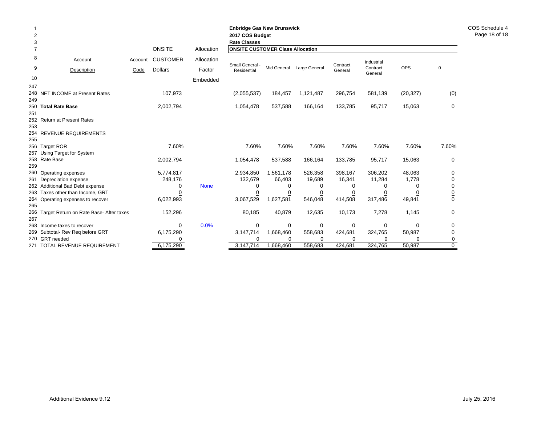| $\overline{2}$<br>3 |                                             |         |                 |             | <b>Enbridge Gas New Brunswick</b><br>2017 COS Budget<br><b>Rate Classes</b> |                |                           |                     |                     |            |                               |
|---------------------|---------------------------------------------|---------|-----------------|-------------|-----------------------------------------------------------------------------|----------------|---------------------------|---------------------|---------------------|------------|-------------------------------|
| $\overline{7}$      |                                             |         | <b>ONSITE</b>   | Allocation  | <b>ONSITE CUSTOMER Class Allocation</b>                                     |                |                           |                     |                     |            |                               |
| 8                   | Account                                     | Account | <b>CUSTOMER</b> | Allocation  |                                                                             |                |                           |                     | Industrial          |            |                               |
| 9                   | Description                                 | Code    | <b>Dollars</b>  | Factor      | Small General -<br>Residential                                              |                | Mid General Large General | Contract<br>General | Contract<br>General | <b>OPS</b> | $\Omega$                      |
| 10                  |                                             |         |                 | Embedded    |                                                                             |                |                           |                     |                     |            |                               |
| 247                 |                                             |         |                 |             |                                                                             |                |                           |                     |                     |            |                               |
|                     | 248 NET INCOME at Present Rates             |         | 107,973         |             | (2,055,537)                                                                 | 184,457        | 1,121,487                 | 296,754             | 581,139             | (20, 327)  | (0)                           |
| 249                 |                                             |         |                 |             |                                                                             |                |                           |                     |                     |            |                               |
| 251                 | 250 Total Rate Base                         |         | 2,002,794       |             | 1,054,478                                                                   | 537,588        | 166,164                   | 133,785             | 95,717              | 15,063     | 0                             |
|                     | 252 Return at Present Rates                 |         |                 |             |                                                                             |                |                           |                     |                     |            |                               |
| 253                 |                                             |         |                 |             |                                                                             |                |                           |                     |                     |            |                               |
|                     | 254 REVENUE REQUIREMENTS                    |         |                 |             |                                                                             |                |                           |                     |                     |            |                               |
| 255                 |                                             |         |                 |             |                                                                             |                |                           |                     |                     |            |                               |
|                     | 256 Target ROR                              |         | 7.60%           |             | 7.60%                                                                       | 7.60%          | 7.60%                     | 7.60%               | 7.60%               | 7.60%      | 7.60%                         |
|                     | 257 Using Target for System                 |         |                 |             |                                                                             |                |                           |                     |                     |            |                               |
|                     | 258 Rate Base                               |         | 2,002,794       |             | 1,054,478                                                                   | 537,588        | 166,164                   | 133,785             | 95,717              | 15,063     | 0                             |
| 259                 |                                             |         |                 |             |                                                                             |                |                           |                     |                     |            |                               |
|                     | 260 Operating expenses                      |         | 5,774,817       |             | 2,934,850                                                                   | 1,561,178      | 526,358                   | 398,167             | 306,202             | 48,063     | $\Omega$                      |
|                     | 261 Depreciation expense                    |         | 248,176         |             | 132,679                                                                     | 66,403         | 19,689                    | 16,341              | 11,284              | 1,778      | 0                             |
|                     | 262 Additional Bad Debt expense             |         | 0               | <b>None</b> | 0                                                                           | 0              | 0                         | 0                   | 0                   | 0          | 0                             |
|                     | 263 Taxes other than Income, GRT            |         |                 |             |                                                                             | $\overline{0}$ | <u>0</u>                  | <u>0</u>            | 0<br>317,486        |            | $\overline{0}$<br>$\mathbf 0$ |
| 265                 | 264 Operating expenses to recover           |         | 6,022,993       |             | 3,067,529                                                                   | 1,627,581      | 546,048                   | 414,508             |                     | 49,841     |                               |
| 267                 | 266 Target Return on Rate Base- After taxes |         | 152,296         |             | 80,185                                                                      | 40,879         | 12,635                    | 10,173              | 7,278               | 1,145      | 0                             |
|                     | 268 Income taxes to recover                 |         | 0               | 0.0%        | 0                                                                           | 0              | 0                         | 0                   | 0                   | 0          | 0                             |
|                     | 269 Subtotal- Rev Req before GRT            |         | 6,175,290       |             | 3,147,714                                                                   | 1,668,460      | 558,683                   | 424,681             | 324,765             | 50,987     | $\overline{0}$                |
|                     | 270 GRT needed                              |         |                 |             | ŋ                                                                           | $\Omega$       | $\Omega$                  | $\Omega$            |                     | $\Omega$   | 0                             |
|                     | 271 TOTAL REVENUE REQUIREMENT               |         | 6,175,290       |             | 3,147,714                                                                   | 1,668,460      | 558,683                   | 424,681             | 324,765             | 50,987     | $\mathbf 0$                   |

COS Schedule 4Page 18 of 18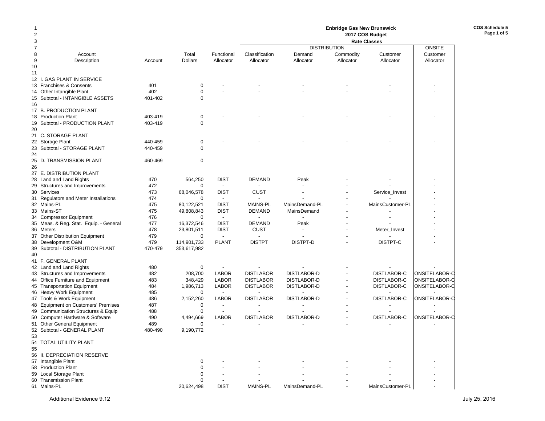## **Enbridge Gas New Brunswick 2017 COS Budget**

**COS Schedule 5Page 1 of 5**

| 3              |                                        |         |                |                          | <b>Rate Classes</b> |                     |           |                    |               |  |
|----------------|----------------------------------------|---------|----------------|--------------------------|---------------------|---------------------|-----------|--------------------|---------------|--|
| $\overline{7}$ |                                        |         |                |                          |                     | <b>DISTRIBUTION</b> |           |                    | <b>ONSITE</b> |  |
| 8              | Account                                |         | Total          | Functional               | Classification      | Demand              | Commodity | Customer           | Customer      |  |
| 9              | Description                            | Account | <b>Dollars</b> | Allocator                | Allocator           | Allocator           | Allocator | Allocator          | Allocator     |  |
| 10             |                                        |         |                |                          |                     |                     |           |                    |               |  |
| 11             |                                        |         |                |                          |                     |                     |           |                    |               |  |
|                | 12 I. GAS PLANT IN SERVICE             |         |                |                          |                     |                     |           |                    |               |  |
|                | 13 Franchises & Consents               | 401     | $\mathbf 0$    |                          |                     |                     |           |                    |               |  |
|                | 14 Other Intangible Plant              | 402     | 0              |                          |                     |                     |           |                    |               |  |
|                |                                        |         | $\mathbf 0$    |                          |                     |                     |           |                    |               |  |
|                | 15 Subtotal - INTANGIBLE ASSETS        | 401-402 |                |                          |                     |                     |           |                    |               |  |
| 16             |                                        |         |                |                          |                     |                     |           |                    |               |  |
|                | 17 B. PRODUCTION PLANT                 |         |                |                          |                     |                     |           |                    |               |  |
|                | 18 Production Plant                    | 403-419 | $\mathbf 0$    |                          |                     |                     |           |                    |               |  |
|                | 19 Subtotal - PRODUCTION PLANT         | 403-419 | $\mathbf 0$    |                          |                     |                     |           |                    |               |  |
| 20             |                                        |         |                |                          |                     |                     |           |                    |               |  |
|                | 21 C. STORAGE PLANT                    |         |                |                          |                     |                     |           |                    |               |  |
|                | 22 Storage Plant                       | 440-459 | 0              |                          |                     |                     |           |                    |               |  |
|                | 23 Subtotal - STORAGE PLANT            | 440-459 | $\mathbf 0$    |                          |                     |                     |           |                    |               |  |
| 24             |                                        |         |                |                          |                     |                     |           |                    |               |  |
|                | 25 D. TRANSMISSION PLANT               | 460-469 | $\mathbf 0$    |                          |                     |                     |           |                    |               |  |
| 26             |                                        |         |                |                          |                     |                     |           |                    |               |  |
|                | 27 E. DISTRIBUTION PLANT               |         |                |                          |                     |                     |           |                    |               |  |
|                | 28 Land and Land Rights                | 470     | 564,250        | <b>DIST</b>              | <b>DEMAND</b>       | Peak                |           |                    |               |  |
|                | 29 Structures and Improvements         | 472     | 0              | $\overline{a}$           |                     |                     |           |                    |               |  |
|                | 30 Services                            | 473     | 68,046,578     | <b>DIST</b>              | <b>CUST</b>         |                     |           | Service_Invest     |               |  |
|                | 31 Regulators and Meter Installations  | 474     | $\mathbf 0$    |                          |                     |                     |           |                    |               |  |
|                | 32 Mains-PL                            | 475     | 80,122,521     | <b>DIST</b>              | <b>MAINS-PL</b>     | MainsDemand-PL      |           | MainsCustomer-PL   |               |  |
|                |                                        |         |                |                          |                     |                     |           |                    |               |  |
|                | 33 Mains-ST                            | 475     | 49,808,843     | <b>DIST</b>              | <b>DEMAND</b>       | MainsDemand         |           |                    |               |  |
|                | 34 Compressor Equipment                | 476     | $\Omega$       | $\overline{\phantom{a}}$ |                     |                     |           |                    |               |  |
|                | 35 Meas. & Reg. Stat. Equip. - General | 477     | 16,372,546     | <b>DIST</b>              | <b>DEMAND</b>       | Peak                |           |                    |               |  |
| 36 Meters      |                                        | 478     | 23,801,511     | <b>DIST</b>              | <b>CUST</b>         |                     |           | Meter_Invest       |               |  |
|                | 37 Other Distribution Equipment        | 479     | 0              |                          |                     |                     |           |                    |               |  |
|                | 38 Development O&M                     | 479     | 114,901,733    | <b>PLANT</b>             | <b>DISTPT</b>       | DISTPT-D            |           | DISTPT-C           |               |  |
|                | 39 Subtotal - DISTRIBUTION PLANT       | 470-479 | 353,617,982    |                          |                     |                     |           |                    |               |  |
| 40             |                                        |         |                |                          |                     |                     |           |                    |               |  |
|                | 41 F. GENERAL PLANT                    |         |                |                          |                     |                     |           |                    |               |  |
|                | 42 Land and Land Rights                | 480     | 0              | $\overline{a}$           |                     |                     |           |                    |               |  |
|                | 43 Structures and Improvements         | 482     | 208.700        | <b>LABOR</b>             | <b>DISTLABOR</b>    | <b>DISTLABOR-D</b>  |           | <b>DISTLABOR-C</b> | ONSITELABOR-C |  |
|                | 44 Office Furniture and Equipment      | 483     | 348,429        | <b>LABOR</b>             | <b>DISTLABOR</b>    | <b>DISTLABOR-D</b>  |           | DISTLABOR-C        | ONSITELABOR-C |  |
|                | 45 Transportation Equipment            | 484     | 1,986,713      | <b>LABOR</b>             | <b>DISTLABOR</b>    | DISTLABOR-D         |           | DISTLABOR-C        | ONSITELABOR-C |  |
|                | 46 Heavy Work Equipment                | 485     | $\mathbf 0$    |                          |                     |                     |           |                    |               |  |
|                | 47 Tools & Work Equipment              | 486     | 2,152,260      | <b>LABOR</b>             | <b>DISTLABOR</b>    | DISTLABOR-D         |           | DISTLABOR-C        | ONSITELABOR-C |  |
|                | 48 Equipment on Customers' Premises    | 487     | $\mathbf 0$    | $\overline{a}$           |                     |                     |           |                    |               |  |
|                | 49 Communication Structures & Equip    | 488     | $\mathbf 0$    |                          |                     |                     |           |                    |               |  |
|                | 50 Computer Hardware & Software        | 490     | 4,494,669      | <b>LABOR</b>             | <b>DISTLABOR</b>    | DISTLABOR-D         |           | DISTLABOR-C        | ONSITELABOR-C |  |
|                |                                        | 489     |                |                          |                     |                     |           |                    |               |  |
|                | 51 Other General Equipment             |         | $\mathbf 0$    |                          |                     |                     |           |                    |               |  |
|                | 52 Subtotal - GENERAL PLANT            | 480-490 | 9,190,772      |                          |                     |                     |           |                    |               |  |
| 53             |                                        |         |                |                          |                     |                     |           |                    |               |  |
|                | 54 TOTAL UTILITY PLANT                 |         |                |                          |                     |                     |           |                    |               |  |
| 55             |                                        |         |                |                          |                     |                     |           |                    |               |  |
|                | 56 II. DEPRECIATION RESERVE            |         |                |                          |                     |                     |           |                    |               |  |
|                | 57 Intangible Plant                    |         | $\mathbf 0$    |                          |                     |                     |           |                    |               |  |
|                | 58 Production Plant                    |         | $\Omega$       |                          |                     |                     |           |                    |               |  |
|                | 59 Local Storage Plant                 |         | 0              |                          |                     |                     |           |                    |               |  |
|                | 60 Transmission Plant                  |         | $\Omega$       |                          |                     |                     |           |                    |               |  |
|                | 61 Mains-PL                            |         | 20,624,498     | <b>DIST</b>              | <b>MAINS-PL</b>     | MainsDemand-PL      |           | MainsCustomer-PL   |               |  |
|                |                                        |         |                |                          |                     |                     |           |                    |               |  |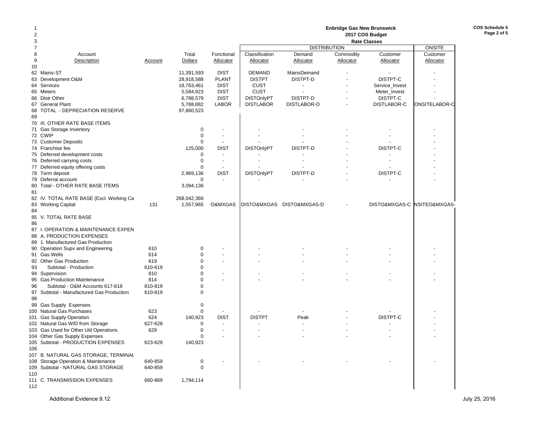|        |                                                                             |                |                        |                               |                                  |                           | <b>Enbridge Gas New Brunswick</b> |                             |               |
|--------|-----------------------------------------------------------------------------|----------------|------------------------|-------------------------------|----------------------------------|---------------------------|-----------------------------------|-----------------------------|---------------|
| 2<br>3 |                                                                             |                |                        |                               |                                  |                           |                                   | 2017 COS Budget             |               |
|        |                                                                             |                |                        |                               |                                  | <b>DISTRIBUTION</b>       |                                   | <b>Rate Classes</b>         | <b>ONSITE</b> |
| 8      | Account                                                                     |                | Total                  | Functional                    | Classification                   | Demand                    | Commodity                         | Customer                    | Customer      |
| 9      | Description                                                                 | Account        | <b>Dollars</b>         | Allocator                     | Allocator                        | Allocator                 | Allocator                         | Allocator                   | Allocator     |
| 10     |                                                                             |                |                        |                               |                                  |                           |                                   |                             |               |
|        | 62 Mains-ST                                                                 |                | 11.391.593             | <b>DIST</b>                   | <b>DEMAND</b>                    | MainsDemand               |                                   |                             |               |
|        | 63 Development O&M                                                          |                | 28,918,588             | <b>PLANT</b>                  | <b>DISTPT</b>                    | DISTPT-D                  |                                   | DISTPT-C                    |               |
|        | 64 Services                                                                 |                | 18,763,461             | <b>DIST</b>                   | <b>CUST</b>                      | ÷                         |                                   | Service_Invest              |               |
|        | 65 Meters<br>66 Distr Other                                                 |                | 5,584,923<br>6,788,579 | <b>DIST</b><br><b>DIST</b>    | <b>CUST</b><br><b>DISTOnlyPT</b> | DISTPT-D                  |                                   | Meter_Invest<br>DISTPT-C    |               |
|        | 67 General Plant                                                            |                | 5,788,882              | <b>LABOR</b>                  | <b>DISTLABOR</b>                 | DISTLABOR-D               |                                   | DISTLABOR-C                 | ONSITELABOR-C |
| 68     | TOTAL - DEPRECIATION RESERVE                                                |                | 97,860,523             |                               |                                  |                           |                                   |                             |               |
| 69     |                                                                             |                |                        |                               |                                  |                           |                                   |                             |               |
|        | 70 III. OTHER RATE BASE ITEMS                                               |                |                        |                               |                                  |                           |                                   |                             |               |
|        | 71 Gas Storage Inventory                                                    |                | 0                      |                               |                                  |                           |                                   |                             |               |
|        | 72 CWIP                                                                     |                | $\mathbf 0$            | $\blacksquare$                |                                  |                           |                                   |                             |               |
|        | 73 Customer Deposits                                                        |                | $\mathbf 0$            | $\overline{\phantom{a}}$      |                                  |                           |                                   |                             |               |
|        | 74 Franchise fee                                                            |                | 125,000                | <b>DIST</b>                   | <b>DISTOnlyPT</b>                | DISTPT-D                  |                                   | DISTPT-C                    |               |
|        | 75 Deferred development costs                                               |                | 0                      |                               |                                  |                           |                                   |                             |               |
|        | 76 Deferred carrying costs                                                  |                | $\mathbf 0$            | $\overline{a}$                |                                  |                           |                                   |                             |               |
|        | 77 Deferred equity offering costs                                           |                | $\Omega$               | $\overline{\phantom{a}}$      |                                  |                           |                                   |                             |               |
|        | 78 Term deposit<br>79 Deferral account                                      |                | 2,969,136<br>$\Omega$  | <b>DIST</b><br>$\blacksquare$ | <b>DISTOnlyPT</b>                | DISTPT-D                  |                                   | DISTPT-C                    |               |
|        | 80 Total - OTHER RATE BASE ITEMS                                            |                | 3,094,136              |                               |                                  |                           |                                   |                             |               |
| 81     |                                                                             |                |                        |                               |                                  |                           |                                   |                             |               |
|        | 82 IV. TOTAL RATE BASE (Excl. Working Ca                                    |                | 268,042,366            |                               |                                  |                           |                                   |                             |               |
|        | 83 Working Capital                                                          | 131            | 1,557,965              | O&MXGAS                       |                                  | DISTO&MXGAS DISTO&MXGAS-D |                                   | DISTO&MXGAS-C NSITEO&MXGAS- |               |
| 84     |                                                                             |                |                        |                               |                                  |                           |                                   |                             |               |
|        | 85 V. TOTAL RATE BASE                                                       |                |                        |                               |                                  |                           |                                   |                             |               |
| 86     |                                                                             |                |                        |                               |                                  |                           |                                   |                             |               |
|        | 87 I. OPERATION & MAINTENANCE EXPEN                                         |                |                        |                               |                                  |                           |                                   |                             |               |
|        | 88 A. PRODUCTION EXPENSES                                                   |                |                        |                               |                                  |                           |                                   |                             |               |
|        | 89 1. Manufactured Gas Production                                           |                |                        |                               |                                  |                           |                                   |                             |               |
|        | 90 Operation Supv and Engineering                                           | 610            | 0                      |                               |                                  |                           |                                   |                             |               |
|        | 91 Gas Wells                                                                | 614            | $\mathbf 0$            |                               |                                  |                           |                                   |                             |               |
| 93     | 92 Other Gas Production<br>Subtotal - Production                            | 619<br>610-619 | 0<br>$\mathbf 0$       |                               |                                  |                           |                                   |                             |               |
|        | 94 Supervision                                                              | 810            | $\pmb{0}$              | $\overline{a}$                |                                  |                           |                                   |                             |               |
|        | 95 Gas Production Maintenance                                               | 814            | $\mathbf 0$            | $\overline{a}$                |                                  |                           |                                   |                             |               |
| 96     | Subtotal - O&M Accounts 617-618                                             | 810-819        | 0                      |                               |                                  |                           |                                   |                             |               |
|        | 97 Subtotal - Manufactured Gas Production                                   | 610-819        | $\mathbf 0$            |                               |                                  |                           |                                   |                             |               |
| 98     |                                                                             |                |                        |                               |                                  |                           |                                   |                             |               |
| 99     | <b>Gas Supply Expenses</b>                                                  |                | $\mathbf 0$            |                               |                                  |                           |                                   |                             |               |
|        | 100 Natural Gas Purchases                                                   | 623            | $\mathbf 0$            |                               |                                  |                           |                                   |                             |               |
| 101    | <b>Gas Supply Operation</b>                                                 | 624            | 140,923                | <b>DIST</b>                   | <b>DISTPT</b>                    | Peak                      |                                   | DISTPT-C                    |               |
|        | 102 Natural Gas W/D from Storage                                            | 627-628        | $\mathbf 0$            | $\overline{\phantom{a}}$      |                                  | $\blacksquare$            |                                   |                             |               |
|        | 103 Gas Used for Other Util Operations                                      | 629            | $\Omega$               |                               |                                  |                           |                                   |                             |               |
|        | 104 Other Gas Supply Expenses                                               |                | 0                      |                               |                                  |                           |                                   |                             |               |
|        | 105 Subtotal - PRODUCTION EXPENSES                                          | 623-629        | 140,923                |                               |                                  |                           |                                   |                             |               |
| 106    |                                                                             |                |                        |                               |                                  |                           |                                   |                             |               |
|        | 107 B. NATURAL GAS STORAGE, TERMINAL<br>108 Storage Operation & Maintenance | 640-859        |                        |                               |                                  |                           |                                   |                             |               |
|        | 109 Subtotal - NATURAL GAS STORAGE                                          | 640-859        | 0<br>0                 |                               |                                  |                           |                                   |                             |               |
| 110    |                                                                             |                |                        |                               |                                  |                           |                                   |                             |               |
|        | 111 C. TRANSMISSION EXPENSES                                                | 660-869        | 1,794,114              |                               |                                  |                           |                                   |                             |               |
| 112    |                                                                             |                |                        |                               |                                  |                           |                                   |                             |               |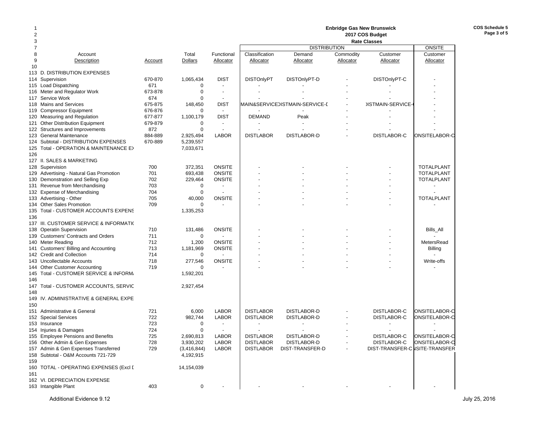| 2              |                                               |         |                  |                          |                   |                                |           |                                |                   |
|----------------|-----------------------------------------------|---------|------------------|--------------------------|-------------------|--------------------------------|-----------|--------------------------------|-------------------|
| 3              |                                               |         |                  |                          |                   |                                |           | <b>Rate Classes</b>            |                   |
| $\overline{7}$ |                                               |         |                  |                          |                   | <b>DISTRIBUTION</b>            |           |                                | <b>ONSITE</b>     |
| 8              | Account                                       |         | Total            | Functional               | Classification    | Demand                         | Commodity | Customer                       | Customer          |
| 9              | Description                                   | Account | Dollars          | Allocator                | Allocator         | Allocator                      | Allocator | Allocator                      | Allocator         |
| 10             |                                               |         |                  |                          |                   |                                |           |                                |                   |
|                | 113 D. DISTRIBUTION EXPENSES                  |         |                  |                          |                   |                                |           |                                |                   |
|                | 114 Supervision                               | 670-870 | 1,065,434        | <b>DIST</b>              | <b>DISTOnlyPT</b> | DISTOnlyPT-D                   |           | DISTOnlyPT-C                   |                   |
|                | 115 Load Dispatching                          | 671     | 0                |                          |                   |                                |           |                                |                   |
|                | 116 Meter and Regulator Work                  | 673-878 | $\mathbf 0$      | $\overline{\phantom{a}}$ |                   |                                |           |                                |                   |
|                | 117 Service Work                              | 674     | $\boldsymbol{0}$ |                          |                   |                                |           |                                |                   |
|                | 118 Mains and Services                        | 675-875 | 148,450          | <b>DIST</b>              |                   | MAIN&SERVICEJISTMAIN-SERVICE-E |           | <b>JISTMAIN-SERVICE</b>        |                   |
|                | 119 Compressor Equipment                      | 676-876 | $\Omega$         | $\blacksquare$           |                   |                                |           |                                |                   |
|                | 120 Measuring and Regulation                  | 677-877 | 1,100,179        | <b>DIST</b>              | <b>DEMAND</b>     | Peak                           |           |                                |                   |
|                | 121 Other Distribution Equipment              | 679-879 | $\mathbf 0$      |                          |                   |                                |           |                                |                   |
|                | 122 Structures and Improvements               | 872     | $\mathbf 0$      |                          |                   |                                |           |                                |                   |
| 123            | <b>General Maintenance</b>                    | 884-889 | 2,925,494        | <b>LABOR</b>             | <b>DISTLABOR</b>  | DISTLABOR-D                    |           | DISTLABOR-C                    | ONSITELABOR-C     |
|                | 124 Subtotal - DISTRIBUTION EXPENSES          | 670-889 | 5,239,557        |                          |                   |                                |           |                                |                   |
|                | 125 Total - OPERATION & MAINTENANCE E>        |         | 7,033,671        |                          |                   |                                |           |                                |                   |
| 126            |                                               |         |                  |                          |                   |                                |           |                                |                   |
|                | 127 II. SALES & MARKETING                     |         |                  |                          |                   |                                |           |                                |                   |
|                | 128 Supervision                               | 700     | 372,351          | <b>ONSITE</b>            |                   |                                |           |                                | <b>TOTALPLANT</b> |
|                | 129 Advertising - Natural Gas Promotion       | 701     | 693,438          | <b>ONSITE</b>            |                   |                                |           |                                | <b>TOTALPLANT</b> |
| 130            | Demonstration and Selling Exp                 | 702     | 229,464          | <b>ONSITE</b>            |                   |                                |           |                                | <b>TOTALPLANT</b> |
|                | 131 Revenue from Merchandising                | 703     | $\mathbf 0$      |                          |                   |                                |           |                                |                   |
|                | 132 Expense of Merchandising                  | 704     | $\Omega$         |                          |                   |                                |           |                                |                   |
|                | 133 Advertising - Other                       | 705     | 40,000           | <b>ONSITE</b>            |                   |                                |           |                                | <b>TOTALPLANT</b> |
|                | 134 Other Sales Promotion                     | 709     | $\mathbf 0$      |                          |                   |                                |           |                                |                   |
|                | 135 Total - CUSTOMER ACCOUNTS EXPENS          |         | 1,335,253        |                          |                   |                                |           |                                |                   |
| 136            |                                               |         |                  |                          |                   |                                |           |                                |                   |
| 137            | <b>III. CUSTOMER SERVICE &amp; INFORMATI(</b> |         |                  |                          |                   |                                |           |                                |                   |
|                | 138 Operatin Supervision                      | 710     | 131,486          | <b>ONSITE</b>            |                   |                                |           |                                | Bills_All         |
|                | 139 Customers' Contracts and Orders           | 711     | $\mathbf 0$      |                          |                   |                                |           |                                |                   |
|                | 140 Meter Reading                             | 712     | 1,200            | <b>ONSITE</b>            |                   |                                |           |                                | MetersRead        |
|                | 141 Customers' Billing and Accounting         | 713     | 1,181,969        | <b>ONSITE</b>            |                   |                                |           |                                | <b>Billing</b>    |
|                | 142 Credit and Collection                     | 714     | 0                |                          |                   |                                |           |                                |                   |
| 143            | Uncollectable Accounts                        | 718     | 277,546          | <b>ONSITE</b>            |                   |                                |           |                                | Write-offs        |
|                | 144 Other Customer Accounting                 | 719     | 0                |                          |                   |                                |           |                                |                   |
|                | 145 Total - CUSTOMER SERVICE & INFORM.        |         | 1,592,201        |                          |                   |                                |           |                                |                   |
| 146            |                                               |         |                  |                          |                   |                                |           |                                |                   |
|                | 147 Total - CUSTOMER ACCOUNTS, SERVIC         |         | 2,927,454        |                          |                   |                                |           |                                |                   |
| 148            |                                               |         |                  |                          |                   |                                |           |                                |                   |
| 149            | IV. ADMINISTRATIVE & GENERAL EXPE             |         |                  |                          |                   |                                |           |                                |                   |
| 150            |                                               |         |                  |                          |                   |                                |           |                                |                   |
| 151            | Administrative & General                      | 721     | 6,000            | <b>LABOR</b>             | <b>DISTLABOR</b>  | <b>DISTLABOR-D</b>             |           | DISTLABOR-C                    | ONSITELABOR-C     |
|                | 152 Special Services                          | 722     | 982,744          | <b>LABOR</b>             | <b>DISTLABOR</b>  | DISTLABOR-D                    |           | DISTLABOR-C                    | ONSITELABOR-C     |
|                | 153 Insurance                                 | 723     | $\Omega$         |                          |                   |                                |           |                                |                   |
|                | 154 Injuries & Damages                        | 724     | 0                |                          |                   |                                |           |                                |                   |
|                | 155 Employee Pensions and Benefits            | 725     | 2,690,813        | <b>LABOR</b>             | <b>DISTLABOR</b>  | DISTLABOR-D                    |           | DISTLABOR-C                    | ONSITELABOR-C     |
|                | 156 Other Admin & Gen Expenses                | 728     | 3,930,202        | <b>LABOR</b>             | <b>DISTLABOR</b>  | <b>DISTLABOR-D</b>             |           | DISTLABOR-C                    | ONSITELABOR-C     |
|                | 157 Admin & Gen Expenses Transferred          | 729     | (3, 416, 844)    | <b>LABOR</b>             | <b>DISTLABOR</b>  | DIST-TRANSFER-D                |           | DIST-TRANSFER-C ISITE-TRANSFER |                   |
|                | 158 Subtotal - O&M Accounts 721-729           |         | 4,192,915        |                          |                   |                                |           |                                |                   |
| 159            |                                               |         |                  |                          |                   |                                |           |                                |                   |
| 160<br>161     | TOTAL - OPERATING EXPENSES (Excl I            |         | 14,154,039       |                          |                   |                                |           |                                |                   |
|                | 162 VI. DEPRECIATION EXPENSE                  |         |                  |                          |                   |                                |           |                                |                   |
|                |                                               | 403     | $\mathbf 0$      |                          |                   |                                |           |                                |                   |
|                | 163 Intangible Plant                          |         |                  |                          |                   |                                |           |                                |                   |

**Enbridge Gas New Brunswick**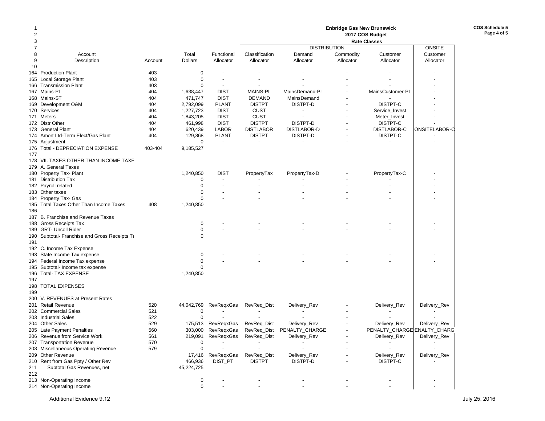| 2<br>3         |                                               |         |                |                          |                  |                            |                | <b>Enbridge Gas New Brunswick</b><br>2017 COS Budget |               |  |
|----------------|-----------------------------------------------|---------|----------------|--------------------------|------------------|----------------------------|----------------|------------------------------------------------------|---------------|--|
| $\overline{7}$ |                                               |         |                |                          |                  | <b>DISTRIBUTION</b>        |                | <b>Rate Classes</b>                                  | <b>ONSITE</b> |  |
| 8              | Account                                       |         | Total          | Functional               | Classification   | Demand                     | Commodity      | Customer                                             | Customer      |  |
| 9              | Description                                   | Account | <b>Dollars</b> | Allocator                | <b>Allocator</b> | Allocator                  | Allocator      | Allocator                                            | Allocator     |  |
| 10             |                                               |         |                |                          |                  |                            |                |                                                      |               |  |
|                | 164 Production Plant                          | 403     | 0              |                          |                  |                            |                |                                                      |               |  |
|                | 165 Local Storage Plant                       | 403     | 0              |                          |                  |                            |                |                                                      |               |  |
|                | 166 Transmission Plant                        | 403     | $\mathbf 0$    | $\overline{\phantom{a}}$ |                  |                            |                |                                                      |               |  |
|                | 167 Mains-PL                                  | 404     | 1,638,447      | <b>DIST</b>              | <b>MAINS-PL</b>  | MainsDemand-PL             |                | MainsCustomer-PL                                     |               |  |
|                | 168 Mains-ST                                  | 404     | 471,747        | <b>DIST</b>              | <b>DEMAND</b>    | MainsDemand                |                |                                                      |               |  |
|                | 169 Development O&M                           | 404     | 2,792,099      | <b>PLANT</b>             | <b>DISTPT</b>    | DISTPT-D                   |                | DISTPT-C                                             |               |  |
|                | 170 Services                                  | 404     | 1,227,723      | <b>DIST</b>              | <b>CUST</b>      | $\overline{\phantom{a}}$   |                | Service_Invest                                       |               |  |
|                | 171 Meters                                    | 404     | 1,843,205      | <b>DIST</b>              | <b>CUST</b>      |                            |                | Meter Invest                                         |               |  |
|                | 172 Distr Other                               | 404     | 461,998        | <b>DIST</b>              | <b>DISTPT</b>    | DISTPT-D                   |                | DISTPT-C                                             |               |  |
|                | 173 General Plant                             | 404     | 620,439        | <b>LABOR</b>             | <b>DISTLABOR</b> | DISTLABOR-D                |                | <b>DISTLABOR-C</b>                                   | ONSITELABOR-C |  |
|                | 174 Amort Ltd-Term Elect/Gas Plant            | 404     | 129,868        | <b>PLANT</b>             | <b>DISTPT</b>    | DISTPT-D                   |                | DISTPT-C                                             |               |  |
|                |                                               |         | $\mathbf 0$    | $\overline{\phantom{a}}$ |                  |                            |                |                                                      |               |  |
|                | 175 Adjustment                                |         |                |                          |                  |                            |                |                                                      |               |  |
|                | 176 Total - DEPRECIATION EXPENSE              | 403-404 | 9,185,527      |                          |                  |                            |                |                                                      |               |  |
| 177            | 178 VII. TAXES OTHER THAN INCOME TAXE         |         |                |                          |                  |                            |                |                                                      |               |  |
|                |                                               |         |                |                          |                  |                            |                |                                                      |               |  |
|                | 179 A. General Taxes                          |         |                |                          |                  |                            |                |                                                      |               |  |
|                | 180 Property Tax- Plant                       |         | 1,240,850      | <b>DIST</b>              | PropertyTax      | PropertyTax-D              |                | PropertyTax-C                                        |               |  |
|                | 181 Distribution Tax                          |         | 0              |                          |                  |                            |                |                                                      |               |  |
|                | 182 Payroll related                           |         | $\mathbf 0$    |                          |                  |                            |                |                                                      |               |  |
|                | 183 Other taxes                               |         | $\mathbf 0$    |                          |                  |                            |                |                                                      |               |  |
|                | 184 Property Tax- Gas                         |         | $\mathbf 0$    |                          |                  |                            |                |                                                      |               |  |
|                | 185 Total Taxes Other Than Income Taxes       | 408     | 1,240,850      |                          |                  |                            |                |                                                      |               |  |
| 186            |                                               |         |                |                          |                  |                            |                |                                                      |               |  |
|                | 187 B. Franchise and Revenue Taxes            |         |                |                          |                  |                            |                |                                                      |               |  |
|                | 188 Gross Receipts Tax                        |         | 0              |                          |                  |                            |                |                                                      |               |  |
|                | 189 GRT- Uncoll Rider                         |         | 0              |                          |                  |                            |                |                                                      |               |  |
|                | 190 Subtotal- Franchise and Gross Receipts Ta |         | 0              |                          |                  |                            |                |                                                      |               |  |
| 191            |                                               |         |                |                          |                  |                            |                |                                                      |               |  |
|                | 192 C. Income Tax Expense                     |         |                |                          |                  |                            |                |                                                      |               |  |
|                | 193 State Income Tax expense                  |         | 0              |                          |                  |                            |                |                                                      |               |  |
|                | 194 Federal Income Tax expense                |         | $\mathbf 0$    |                          |                  |                            |                |                                                      |               |  |
|                | 195 Subtotal- Income tax expense              |         | $\Omega$       |                          |                  |                            |                |                                                      |               |  |
|                | 196 Total- TAX EXPENSE                        |         | 1,240,850      |                          |                  |                            |                |                                                      |               |  |
| 197            |                                               |         |                |                          |                  |                            |                |                                                      |               |  |
|                | 198 TOTAL EXPENSES                            |         |                |                          |                  |                            |                |                                                      |               |  |
| 199            |                                               |         |                |                          |                  |                            |                |                                                      |               |  |
|                | 200 V. REVENUES at Present Rates              |         |                |                          |                  |                            |                |                                                      |               |  |
|                | 201 Retail Revenue                            | 520     | 44,042,769     | <b>RevRegxGas</b>        | RevReq_Dist      | Delivery_Rev               |                | Delivery_Rev                                         | Delivery_Rev  |  |
|                | 202 Commercial Sales                          | 521     | 0              |                          |                  |                            |                |                                                      |               |  |
|                | 203 Industrial Sales                          | 522     | $\mathbf 0$    |                          |                  |                            |                |                                                      |               |  |
|                | 204 Other Sales                               | 529     | 175,513        | <b>RevRegxGas</b>        | RevReq_Dist      | Delivery_Rev               |                | Delivery_Rev                                         | Delivery_Rev  |  |
|                | 205 Late Payment Penalties                    | 560     |                | 303,000 RevRegxGas       |                  | RevReq_Dist PENALTY_CHARGE | $\blacksquare$ | PENALTY_CHARGE ENALTY_CHARGI                         |               |  |
|                | 206 Revenue from Service Work                 | 561     |                | 219,091 RevRegxGas       | RevReq_Dist      | Delivery_Rev               |                | Delivery_Rev                                         | Delivery_Rev  |  |
|                | 207 Transportation Revenue                    | 570     | 0              |                          |                  |                            |                |                                                      |               |  |
|                | 208 Miscellaneous Operating Revenue           | 579     | $\mathbf 0$    |                          |                  |                            |                |                                                      |               |  |
|                | 209 Other Revenue                             |         |                | 17,416 RevReqxGas        | RevReq_Dist      | Delivery_Rev               |                | Delivery_Rev                                         | Delivery_Rev  |  |
|                | 210 Rent from Gas Ppty / Other Rev            |         | 466,936        | DIST_PT                  | <b>DISTPT</b>    | DISTPT-D                   |                | DISTPT-C                                             |               |  |
| 211            | Subtotal Gas Revenues, net                    |         | 45,224,725     |                          |                  |                            |                |                                                      |               |  |
| 212            |                                               |         |                |                          |                  |                            |                |                                                      |               |  |
|                | 213 Non-Operating Income                      |         | 0              |                          |                  |                            |                |                                                      |               |  |
|                | 214 Non-Operating Income                      |         | 0              |                          |                  |                            |                |                                                      |               |  |

**COS Schedule 5Page 4 of 5**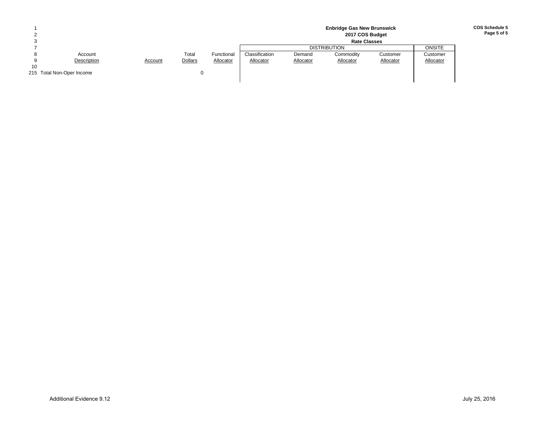|    | <b>Enbridge Gas New Brunswick</b><br>2017 COS Budget |         |         |            |                |           |                     |           |               |
|----|------------------------------------------------------|---------|---------|------------|----------------|-----------|---------------------|-----------|---------------|
|    | <b>Rate Classes</b>                                  |         |         |            |                |           |                     |           |               |
|    |                                                      |         |         |            |                |           | <b>DISTRIBUTION</b> |           | <b>ONSITE</b> |
|    | Account                                              |         | Total   | Functional | Classification | Demand    | Commodity           | Customer  | Customer      |
|    | Description                                          | Account | Dollars | Allocator  | Allocator      | Allocator | Allocator           | Allocator | Allocator     |
| 10 |                                                      |         |         |            |                |           |                     |           |               |
|    | 215 Total Non-Oper Income                            |         |         |            |                |           |                     |           |               |
|    |                                                      |         |         |            |                |           |                     |           |               |

### **COS Schedule 5Page 5 of 5**